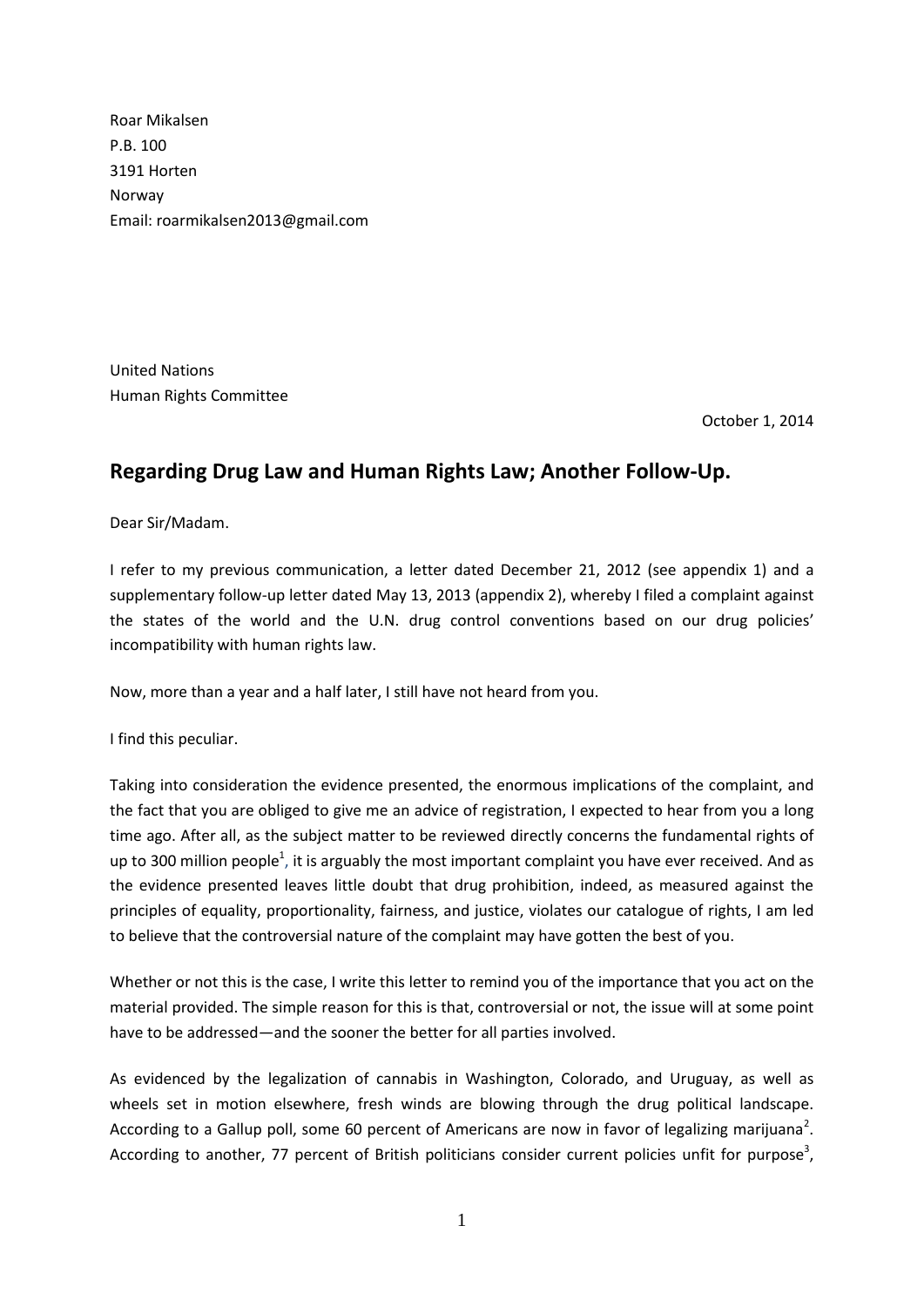Roar Mikalsen P.B. 100 3191 Horten Norway Email: roarmikalsen2013@gmail.com

United Nations Human Rights Committee

October 1, 2014

## **Regarding Drug Law and Human Rights Law; Another Follow-Up.**

Dear Sir/Madam.

I refer to my previous communication, a letter dated December 21, 2012 (see appendix 1) and a supplementary follow-up letter dated May 13, 2013 (appendix 2), whereby I filed a complaint against the states of the world and the U.N. drug control conventions based on our drug policies' incompatibility with human rights law.

Now, more than a year and a half later, I still have not heard from you.

I find this peculiar.

Taking into consideration the evidence presented, the enormous implications of the complaint, and the fact that you are obliged to give me an advice of registration, I expected to hear from you a long time ago. After all, as the subject matter to be reviewed directly concerns the fundamental rights of up to 300 million people<sup>1</sup>, it is arguably the most important complaint you have ever received. And as the evidence presented leaves little doubt that drug prohibition, indeed, as measured against the principles of equality, proportionality, fairness, and justice, violates our catalogue of rights, I am led to believe that the controversial nature of the complaint may have gotten the best of you.

Whether or not this is the case, I write this letter to remind you of the importance that you act on the material provided. The simple reason for this is that, controversial or not, the issue will at some point have to be addressed—and the sooner the better for all parties involved.

As evidenced by the legalization of cannabis in Washington, Colorado, and Uruguay, as well as wheels set in motion elsewhere, fresh winds are blowing through the drug political landscape. According to a Gallup poll, some 60 percent of Americans are now in favor of legalizing marijuana<sup>2</sup>. According to another, 77 percent of British politicians consider current policies unfit for purpose<sup>3</sup>,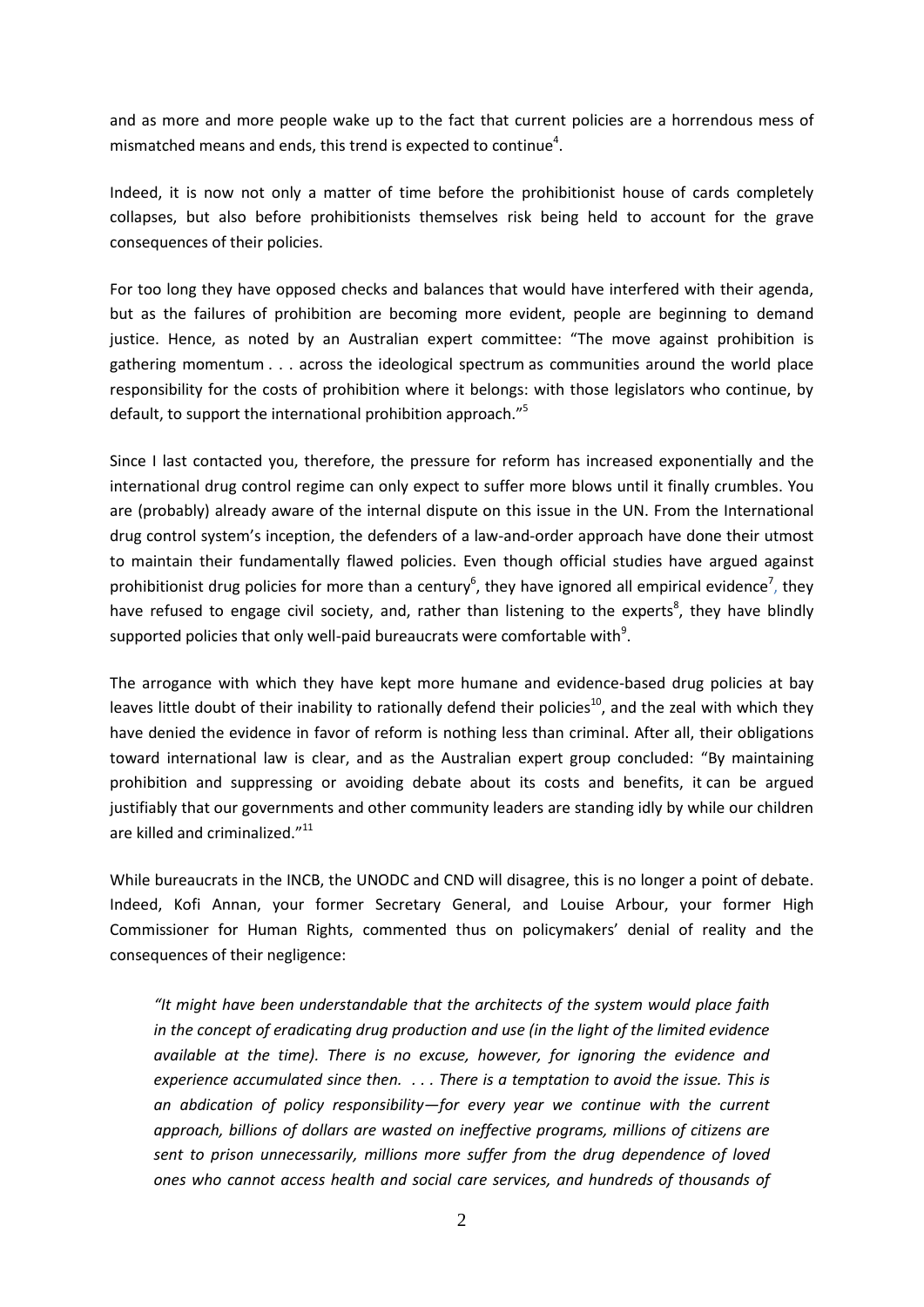and as more and more people wake up to the fact that current policies are a horrendous mess of mismatched means and ends, this trend is expected to continue<sup>4</sup>.

Indeed, it is now not only a matter of time before the prohibitionist house of cards completely collapses, but also before prohibitionists themselves risk being held to account for the grave consequences of their policies.

For too long they have opposed checks and balances that would have interfered with their agenda, but as the failures of prohibition are becoming more evident, people are beginning to demand justice. Hence, as noted by an Australian expert committee: "The move against prohibition is gathering momentum . . . across the ideological spectrum as communities around the world place responsibility for the costs of prohibition where it belongs: with those legislators who continue, by default, to support the international prohibition approach."<sup>5</sup>

Since I last contacted you, therefore, the pressure for reform has increased exponentially and the international drug control regime can only expect to suffer more blows until it finally crumbles. You are (probably) already aware of the internal dispute on this issue in the UN. From the International drug control system's inception, the defenders of a law-and-order approach have done their utmost to maintain their fundamentally flawed policies. Even though official studies have argued against prohibitionist drug policies for more than a century<sup>6</sup>, they have ignored all empirical evidence<sup>7</sup>, they have refused to engage civil society, and, rather than listening to the experts<sup>8</sup>, they have blindly supported policies that only well-paid bureaucrats were comfortable with $^9$ .

The arrogance with which they have kept more humane and evidence-based drug policies at bay leaves little doubt of their inability to rationally defend their policies<sup>10</sup>, and the zeal with which they have denied the evidence in favor of reform is nothing less than criminal. After all, their obligations toward international law is clear, and as the Australian expert group concluded: "By maintaining prohibition and suppressing or avoiding debate about its costs and benefits, it can be argued justifiably that our governments and other community leaders are standing idly by while our children are killed and criminalized."<sup>11</sup>

While bureaucrats in the INCB, the UNODC and CND will disagree, this is no longer a point of debate. Indeed, Kofi Annan, your former Secretary General, and Louise Arbour, your former High Commissioner for Human Rights, commented thus on policymakers' denial of reality and the consequences of their negligence:

*"It might have been understandable that the architects of the system would place faith in the concept of eradicating drug production and use (in the light of the limited evidence available at the time). There is no excuse, however, for ignoring the evidence and experience accumulated since then. . . . There is a temptation to avoid the issue. This is an abdication of policy responsibility—for every year we continue with the current approach, billions of dollars are wasted on ineffective programs, millions of citizens are sent to prison unnecessarily, millions more suffer from the drug dependence of loved ones who cannot access health and social care services, and hundreds of thousands of*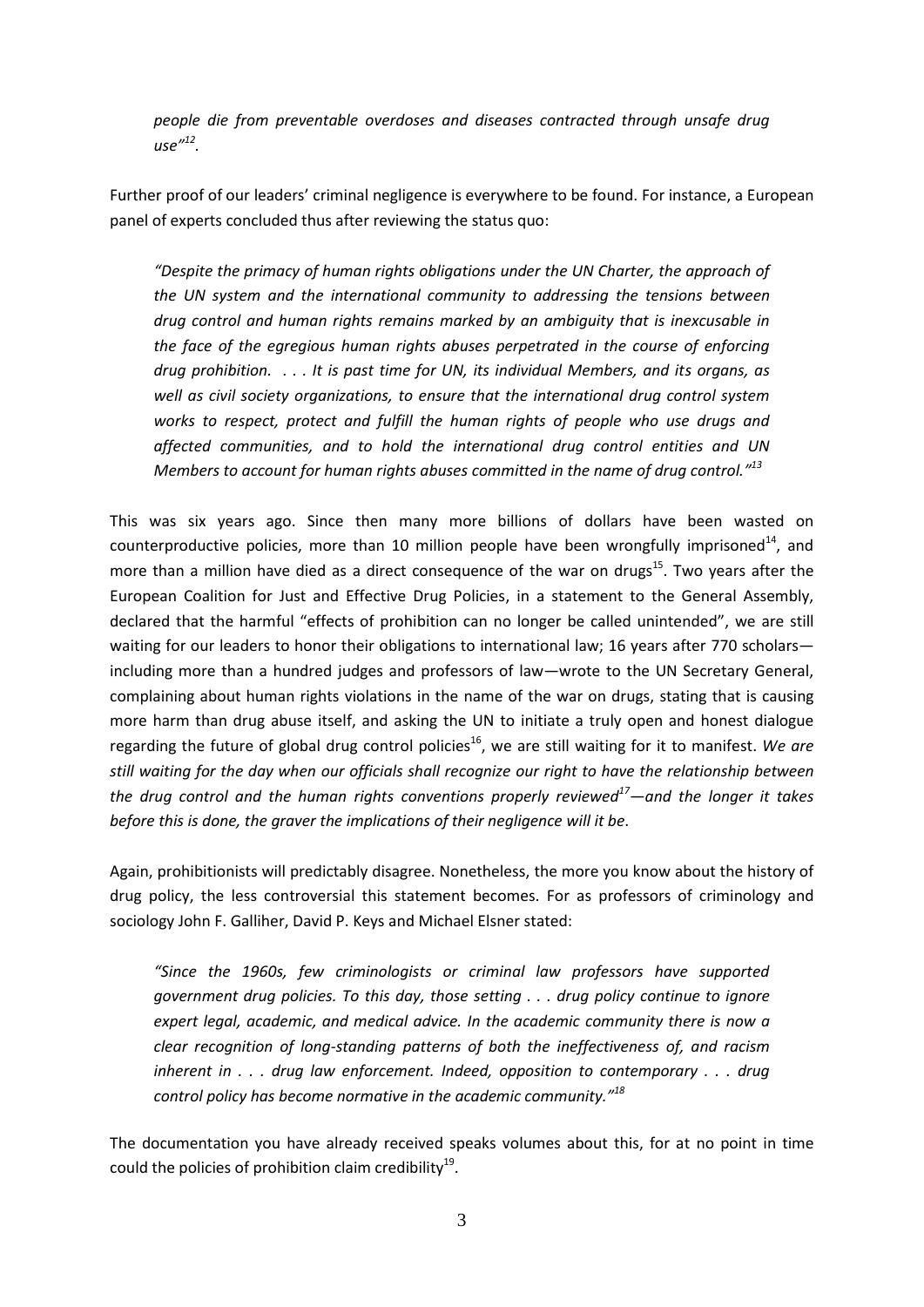*people die from preventable overdoses and diseases contracted through unsafe drug use"<sup>12</sup> .* 

Further proof of our leaders' criminal negligence is everywhere to be found. For instance, a European panel of experts concluded thus after reviewing the status quo:

*"Despite the primacy of human rights obligations under the UN Charter, the approach of the UN system and the international community to addressing the tensions between drug control and human rights remains marked by an ambiguity that is inexcusable in the face of the egregious human rights abuses perpetrated in the course of enforcing drug prohibition. . . . It is past time for UN, its individual Members, and its organs, as well as civil society organizations, to ensure that the international drug control system*  works to respect, protect and fulfill the human rights of people who use drugs and *affected communities, and to hold the international drug control entities and UN Members to account for human rights abuses committed in the name of drug control." 13*

This was six years ago. Since then many more billions of dollars have been wasted on counterproductive policies, more than 10 million people have been wrongfully imprisoned<sup>14</sup>, and more than a million have died as a direct consequence of the war on drugs<sup>15</sup>. Two years after the European Coalition for Just and Effective Drug Policies, in a statement to the General Assembly, declared that the harmful "effects of prohibition can no longer be called unintended", we are still waiting for our leaders to honor their obligations to international law; 16 years after 770 scholars including more than a hundred judges and professors of law—wrote to the UN Secretary General, complaining about human rights violations in the name of the war on drugs, stating that is causing more harm than drug abuse itself, and asking the UN to initiate a truly open and honest dialogue regarding the future of global drug control policies<sup>16</sup>, we are still waiting for it to manifest. We are *still waiting for the day when our officials shall recognize our right to have the relationship between the drug control and the human rights conventions properly reviewed<sup>17</sup>—and the longer it takes before this is done, the graver the implications of their negligence will it be*.

Again, prohibitionists will predictably disagree. Nonetheless, the more you know about the history of drug policy, the less controversial this statement becomes. For as professors of criminology and sociology John F. Galliher, David P. Keys and Michael Elsner stated:

*"Since the 1960s, few criminologists or criminal law professors have supported government drug policies. To this day, those setting . . . drug policy continue to ignore expert legal, academic, and medical advice. In the academic community there is now a clear recognition of long-standing patterns of both the ineffectiveness of, and racism inherent in . . . drug law enforcement. Indeed, opposition to contemporary . . . drug control policy has become normative in the academic community."<sup>18</sup>*

The documentation you have already received speaks volumes about this, for at no point in time could the policies of prohibition claim credibility<sup>19</sup>.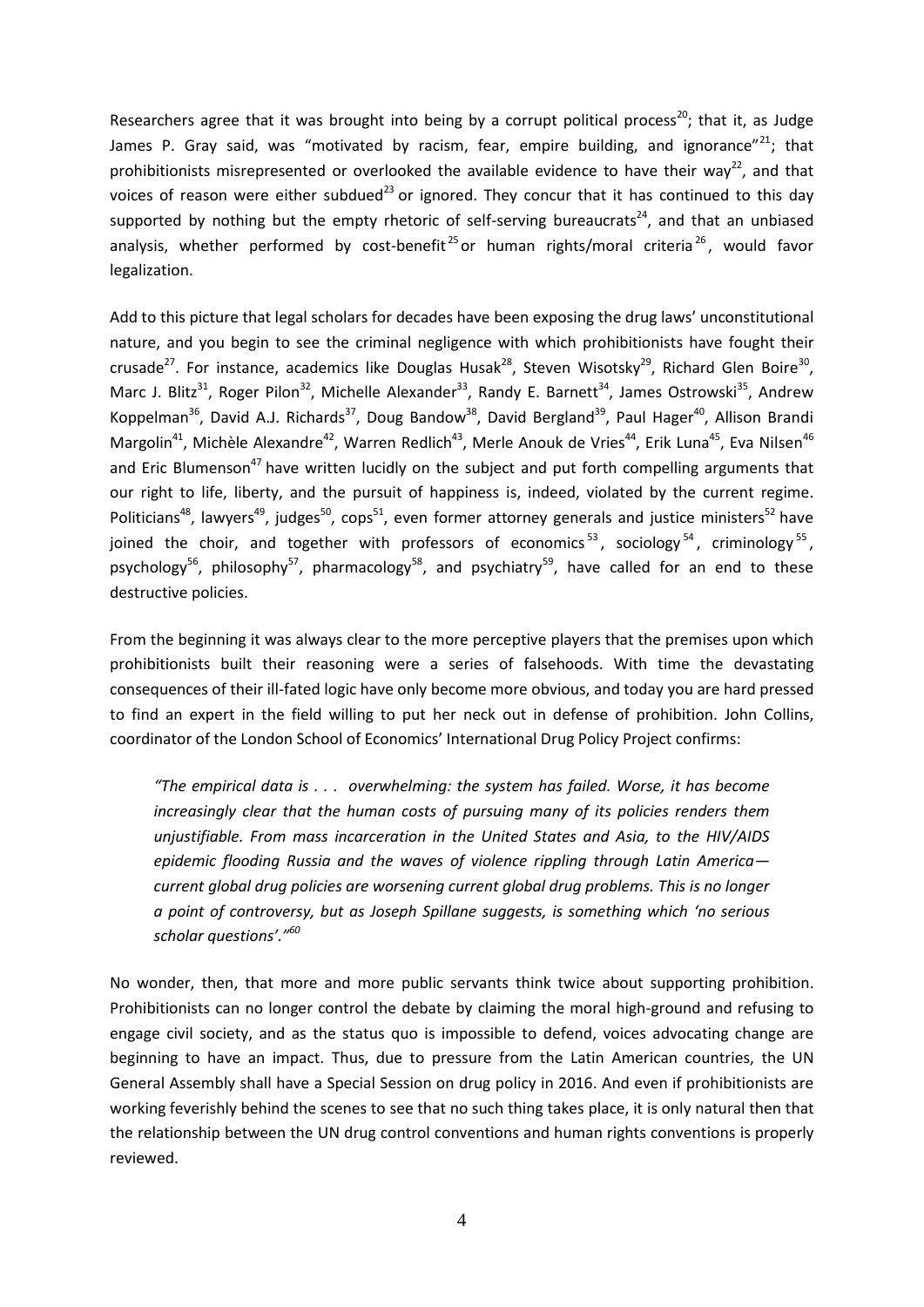Researchers agree that it was brought into being by a corrupt political process<sup>20</sup>; that it, as Judge James P. Gray said, was "motivated by racism, fear, empire building, and ignorance"<sup>21</sup>; that prohibitionists misrepresented or overlooked the available evidence to have their wav<sup>22</sup>, and that voices of reason were either subdued<sup>23</sup> or ignored. They concur that it has continued to this day supported by nothing but the empty rhetoric of self-serving bureaucrats<sup>24</sup>, and that an unbiased analysis, whether performed by cost-benefit<sup>25</sup> or human rights/moral criteria<sup>26</sup>, would favor legalization.

Add to this picture that legal scholars for decades have been exposing the drug laws' unconstitutional nature, and you begin to see the criminal negligence with which prohibitionists have fought their crusade<sup>27</sup>. For instance, academics like Douglas Husak<sup>28</sup>, Steven Wisotsky<sup>29</sup>, Richard Glen Boire<sup>30</sup>, Marc J. Blitz<sup>31</sup>, Roger Pilon<sup>32</sup>, Michelle Alexander<sup>33</sup>, Randy E. Barnett<sup>34</sup>, James Ostrowski<sup>35</sup>, Andrew Koppelman<sup>36</sup>, David A.J. Richards<sup>37</sup>, Doug Bandow<sup>38</sup>, David Bergland<sup>39</sup>, Paul Hager<sup>40</sup>, Allison Brandi Margolin<sup>41</sup>, Michèle Alexandre<sup>42</sup>, Warren Redlich<sup>43</sup>, Merle Anouk de Vries<sup>44</sup>, Erik Luna<sup>45</sup>, Eva Nilsen<sup>46</sup> and Eric Blumenson<sup>47</sup> have written lucidly on the subject and put forth compelling arguments that our right to life, liberty, and the pursuit of happiness is, indeed, violated by the current regime. Politicians<sup>48</sup>, lawyers<sup>49</sup>, judges<sup>50</sup>, cops<sup>51</sup>, even former attorney generals and justice ministers<sup>52</sup> have joined the choir, and together with professors of economics<sup>53</sup>, sociology<sup>54</sup>, criminology<sup>55</sup>, psychology<sup>56</sup>, philosophy<sup>57</sup>, pharmacology<sup>58</sup>, and psychiatry<sup>59</sup>, have called for an end to these destructive policies.

From the beginning it was always clear to the more perceptive players that the premises upon which prohibitionists built their reasoning were a series of falsehoods. With time the devastating consequences of their ill-fated logic have only become more obvious, and today you are hard pressed to find an expert in the field willing to put her neck out in defense of prohibition. John Collins, coordinator of the London School of Economics' International Drug Policy Project confirms:

*"The empirical data is . . . overwhelming: the system has failed. Worse, it has become increasingly clear that the human costs of pursuing many of its policies renders them unjustifiable. From mass incarceration in the United States and Asia, to the HIV/AIDS epidemic flooding Russia and the waves of violence rippling through Latin America current global drug policies are worsening current global drug problems. This is no longer a point of controversy, but as Joseph Spillane suggests, is something which 'no serious scholar questions'."<sup>60</sup>*

No wonder, then, that more and more public servants think twice about supporting prohibition. Prohibitionists can no longer control the debate by claiming the moral high-ground and refusing to engage civil society, and as the status quo is impossible to defend, voices advocating change are beginning to have an impact. Thus, due to pressure from the Latin American countries, the UN General Assembly shall have a Special Session on drug policy in 2016. And even if prohibitionists are working feverishly behind the scenes to see that no such thing takes place, it is only natural then that the relationship between the UN drug control conventions and human rights conventions is properly reviewed.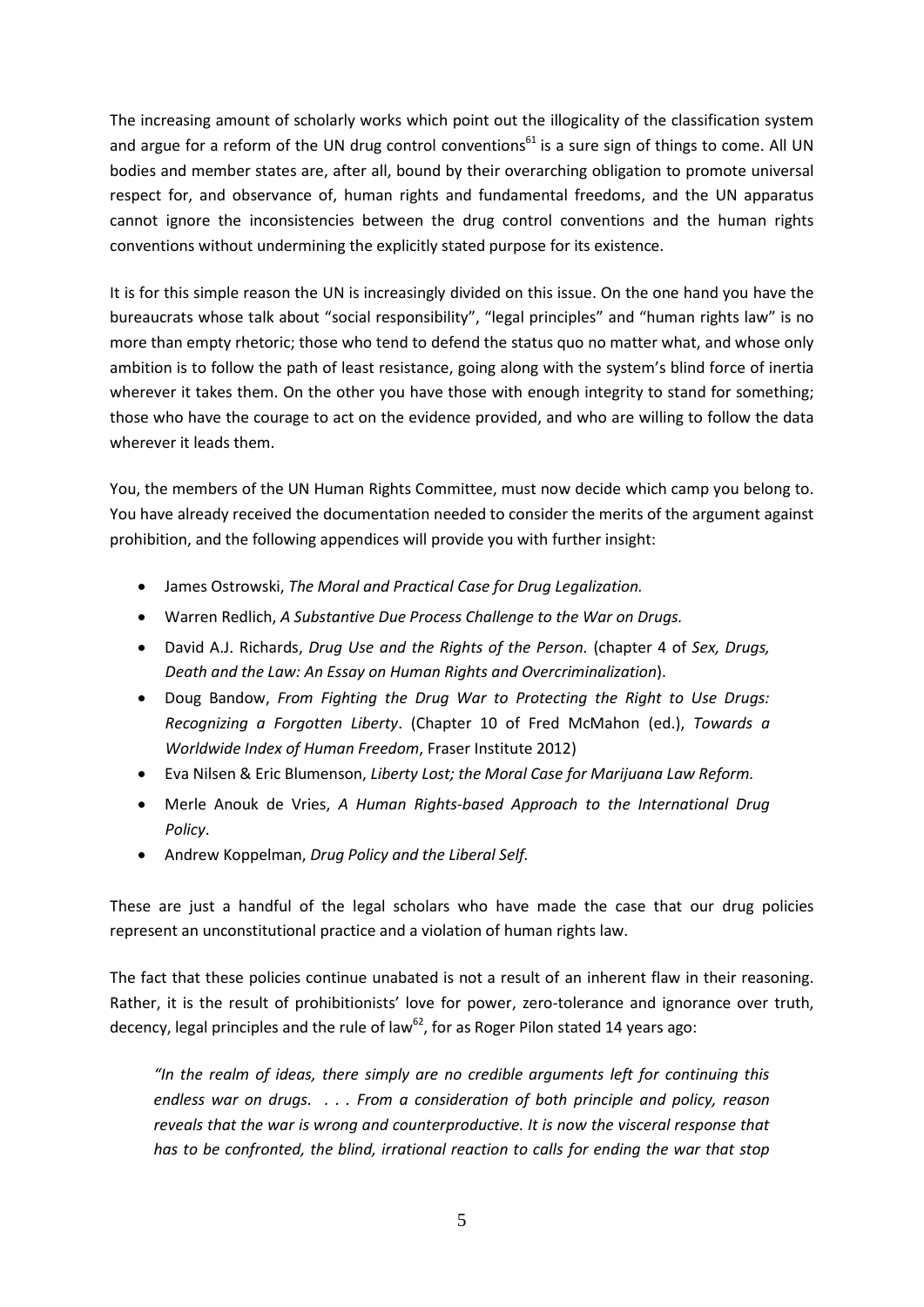The increasing amount of scholarly works which point out the illogicality of the classification system and argue for a reform of the UN drug control conventions<sup>61</sup> is a sure sign of things to come. All UN bodies and member states are, after all, bound by their overarching obligation to promote universal respect for, and observance of, human rights and fundamental freedoms, and the UN apparatus cannot ignore the inconsistencies between the drug control conventions and the human rights conventions without undermining the explicitly stated purpose for its existence.

It is for this simple reason the UN is increasingly divided on this issue. On the one hand you have the bureaucrats whose talk about "social responsibility", "legal principles" and "human rights law" is no more than empty rhetoric; those who tend to defend the status quo no matter what, and whose only ambition is to follow the path of least resistance, going along with the system's blind force of inertia wherever it takes them. On the other you have those with enough integrity to stand for something; those who have the courage to act on the evidence provided, and who are willing to follow the data wherever it leads them.

You, the members of the UN Human Rights Committee, must now decide which camp you belong to. You have already received the documentation needed to consider the merits of the argument against prohibition, and the following appendices will provide you with further insight:

- James Ostrowski, *The Moral and Practical Case for Drug Legalization.*
- Warren Redlich, *A Substantive Due Process Challenge to the War on Drugs.*
- David A.J. Richards, *Drug Use and the Rights of the Person.* (chapter 4 of *Sex, Drugs, Death and the Law: An Essay on Human Rights and Overcriminalization*).
- Doug Bandow, *From Fighting the Drug War to Protecting the Right to Use Drugs: Recognizing a Forgotten Liberty*. (Chapter 10 of Fred McMahon (ed.), *Towards a Worldwide Index of Human Freedom*, Fraser Institute 2012)
- Eva Nilsen & Eric Blumenson, *Liberty Lost; the Moral Case for Marijuana Law Reform.*
- Merle Anouk de Vries, *A Human Rights-based Approach to the International Drug Policy*.
- Andrew Koppelman, *Drug Policy and the Liberal Self.*

These are just a handful of the legal scholars who have made the case that our drug policies represent an unconstitutional practice and a violation of human rights law.

The fact that these policies continue unabated is not a result of an inherent flaw in their reasoning. Rather, it is the result of prohibitionists' love for power, zero-tolerance and ignorance over truth, decency, legal principles and the rule of law<sup>62</sup>, for as Roger Pilon stated 14 years ago:

*"In the realm of ideas, there simply are no credible arguments left for continuing this endless war on drugs. . . . From a consideration of both principle and policy, reason reveals that the war is wrong and counterproductive. It is now the visceral response that*  has to be confronted, the blind, irrational reaction to calls for ending the war that stop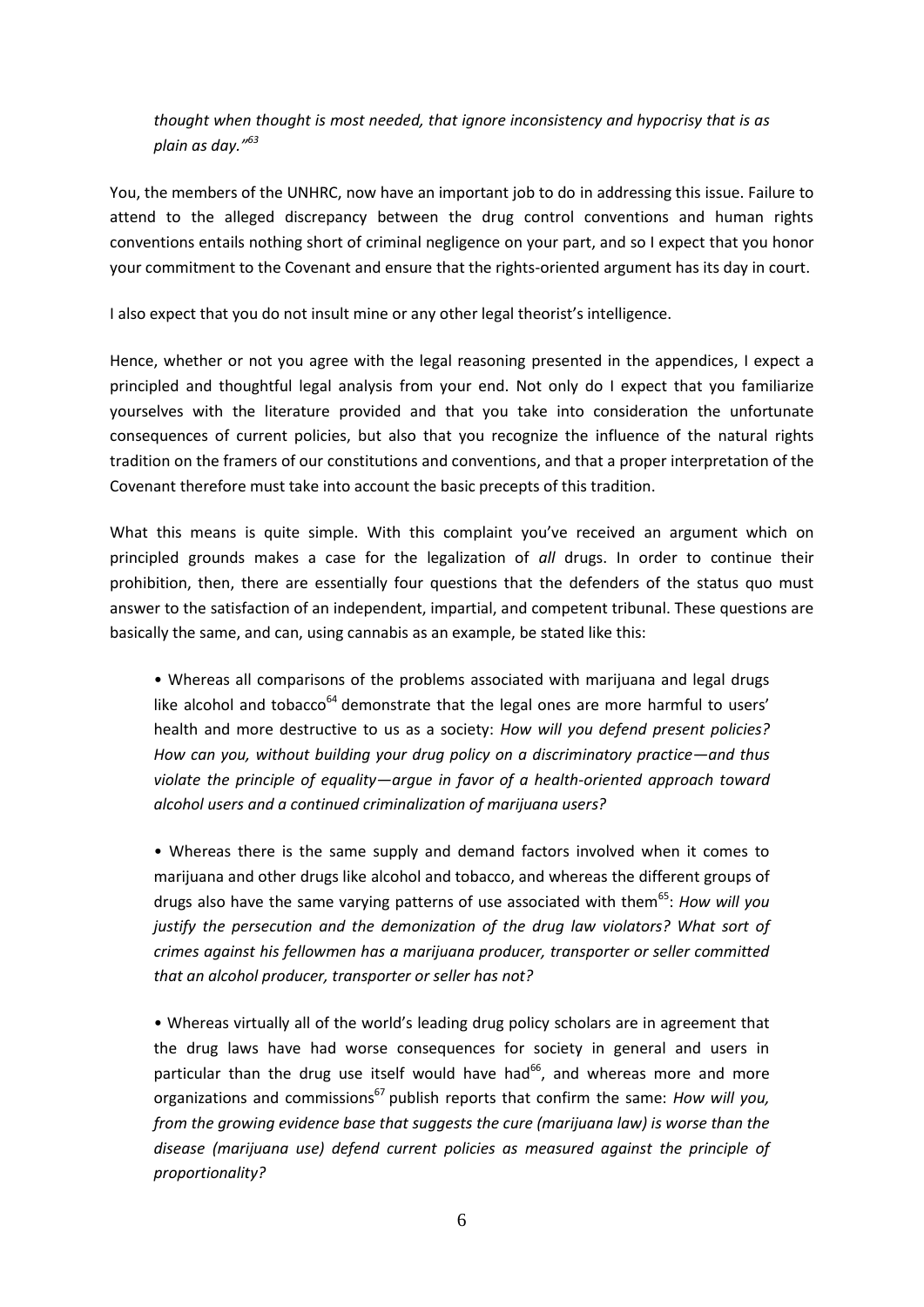*thought when thought is most needed, that ignore inconsistency and hypocrisy that is as plain as day." 63*

You, the members of the UNHRC, now have an important job to do in addressing this issue. Failure to attend to the alleged discrepancy between the drug control conventions and human rights conventions entails nothing short of criminal negligence on your part, and so I expect that you honor your commitment to the Covenant and ensure that the rights-oriented argument has its day in court.

I also expect that you do not insult mine or any other legal theorist's intelligence.

Hence, whether or not you agree with the legal reasoning presented in the appendices, I expect a principled and thoughtful legal analysis from your end. Not only do I expect that you familiarize yourselves with the literature provided and that you take into consideration the unfortunate consequences of current policies, but also that you recognize the influence of the natural rights tradition on the framers of our constitutions and conventions, and that a proper interpretation of the Covenant therefore must take into account the basic precepts of this tradition.

What this means is quite simple. With this complaint you've received an argument which on principled grounds makes a case for the legalization of *all* drugs. In order to continue their prohibition, then, there are essentially four questions that the defenders of the status quo must answer to the satisfaction of an independent, impartial, and competent tribunal. These questions are basically the same, and can, using cannabis as an example, be stated like this:

• Whereas all comparisons of the problems associated with marijuana and legal drugs like alcohol and tobacco $64$  demonstrate that the legal ones are more harmful to users' health and more destructive to us as a society: *How will you defend present policies? How can you, without building your drug policy on a discriminatory practice—and thus violate the principle of equality—argue in favor of a health-oriented approach toward alcohol users and a continued criminalization of marijuana users?*

• Whereas there is the same supply and demand factors involved when it comes to marijuana and other drugs like alcohol and tobacco, and whereas the different groups of drugs also have the same varying patterns of use associated with them<sup>65</sup>: *How will you justify the persecution and the demonization of the drug law violators? What sort of crimes against his fellowmen has a marijuana producer, transporter or seller committed that an alcohol producer, transporter or seller has not?*

• Whereas virtually all of the world's leading drug policy scholars are in agreement that the drug laws have had worse consequences for society in general and users in particular than the drug use itself would have had<sup>66</sup>, and whereas more and more organizations and commissions<sup>67</sup> publish reports that confirm the same: *How will you*, *from the growing evidence base that suggests the cure (marijuana law) is worse than the disease (marijuana use) defend current policies as measured against the principle of proportionality?*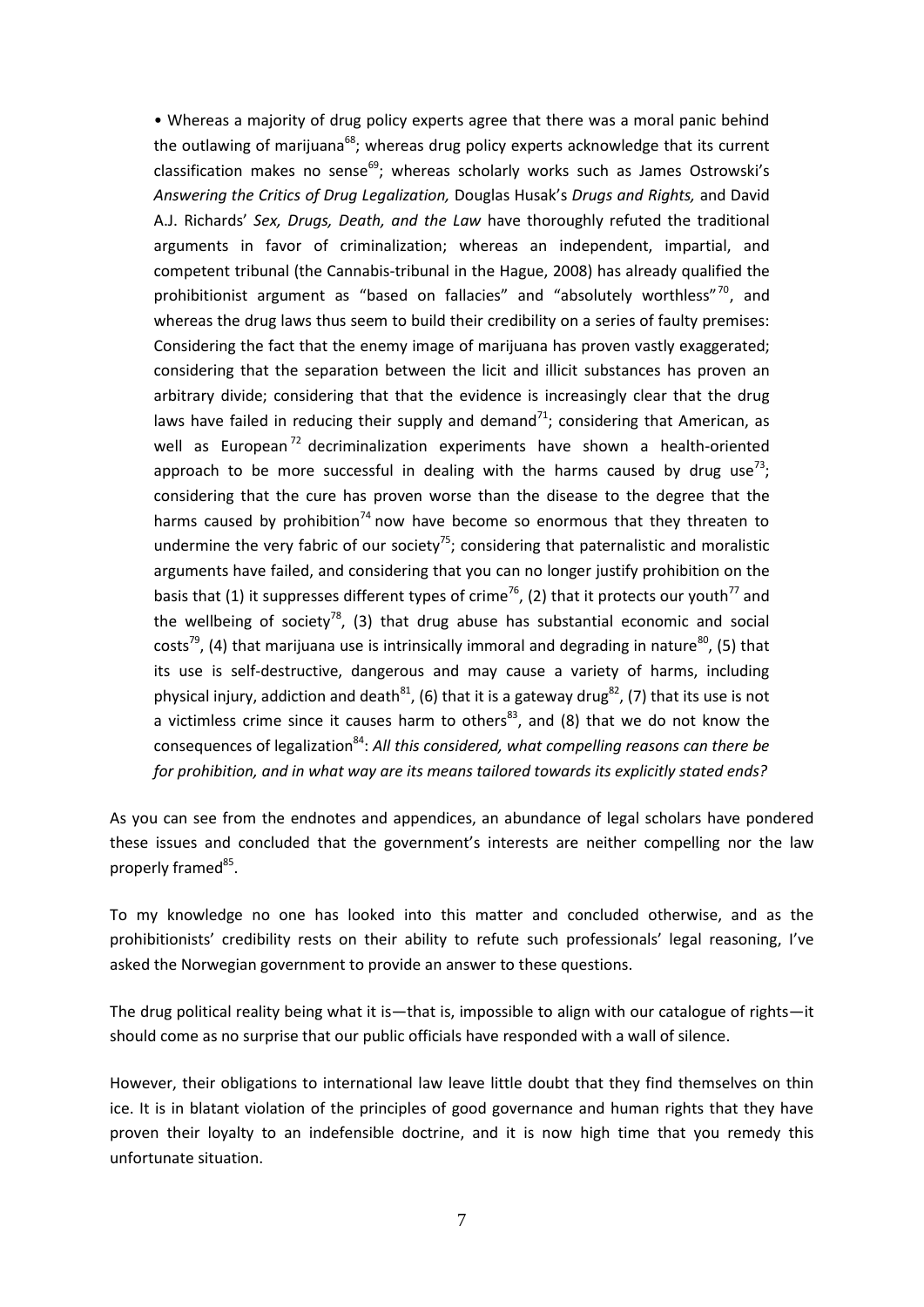• Whereas a majority of drug policy experts agree that there was a moral panic behind the outlawing of marijuana<sup>68</sup>; whereas drug policy experts acknowledge that its current classification makes no sense $^{69}$ ; whereas scholarly works such as James Ostrowski's *Answering the Critics of Drug Legalization,* Douglas Husak's *Drugs and Rights,* and David A.J. Richards' *Sex, Drugs, Death, and the Law* have thoroughly refuted the traditional arguments in favor of criminalization; whereas an independent, impartial, and competent tribunal (the Cannabis-tribunal in the Hague, 2008) has already qualified the prohibitionist argument as "based on fallacies" and "absolutely worthless"<sup>70</sup>, and whereas the drug laws thus seem to build their credibility on a series of faulty premises: Considering the fact that the enemy image of marijuana has proven vastly exaggerated; considering that the separation between the licit and illicit substances has proven an arbitrary divide; considering that that the evidence is increasingly clear that the drug laws have failed in reducing their supply and demand<sup>71</sup>; considering that American, as well as European<sup>72</sup> decriminalization experiments have shown a health-oriented approach to be more successful in dealing with the harms caused by drug use<sup>73</sup>; considering that the cure has proven worse than the disease to the degree that the harms caused by prohibition<sup>74</sup> now have become so enormous that they threaten to undermine the very fabric of our society<sup>75</sup>; considering that paternalistic and moralistic arguments have failed, and considering that you can no longer justify prohibition on the basis that (1) it suppresses different types of crime<sup>76</sup>, (2) that it protects our youth<sup>77</sup> and the wellbeing of society<sup>78</sup>, (3) that drug abuse has substantial economic and social costs<sup>79</sup>, (4) that marijuana use is intrinsically immoral and degrading in nature<sup>80</sup>, (5) that its use is self-destructive, dangerous and may cause a variety of harms, including physical injury, addiction and death $^{81}$ , (6) that it is a gateway drug $^{82}$ , (7) that its use is not a victimless crime since it causes harm to others $^{83}$ , and (8) that we do not know the consequences of legalization<sup>84</sup>: All this considered, what compelling reasons can there be *for prohibition, and in what way are its means tailored towards its explicitly stated ends?*

As you can see from the endnotes and appendices, an abundance of legal scholars have pondered these issues and concluded that the government's interests are neither compelling nor the law properly framed<sup>85</sup>.

To my knowledge no one has looked into this matter and concluded otherwise, and as the prohibitionists' credibility rests on their ability to refute such professionals' legal reasoning, I've asked the Norwegian government to provide an answer to these questions.

The drug political reality being what it is—that is, impossible to align with our catalogue of rights—it should come as no surprise that our public officials have responded with a wall of silence.

However, their obligations to international law leave little doubt that they find themselves on thin ice. It is in blatant violation of the principles of good governance and human rights that they have proven their loyalty to an indefensible doctrine, and it is now high time that you remedy this unfortunate situation.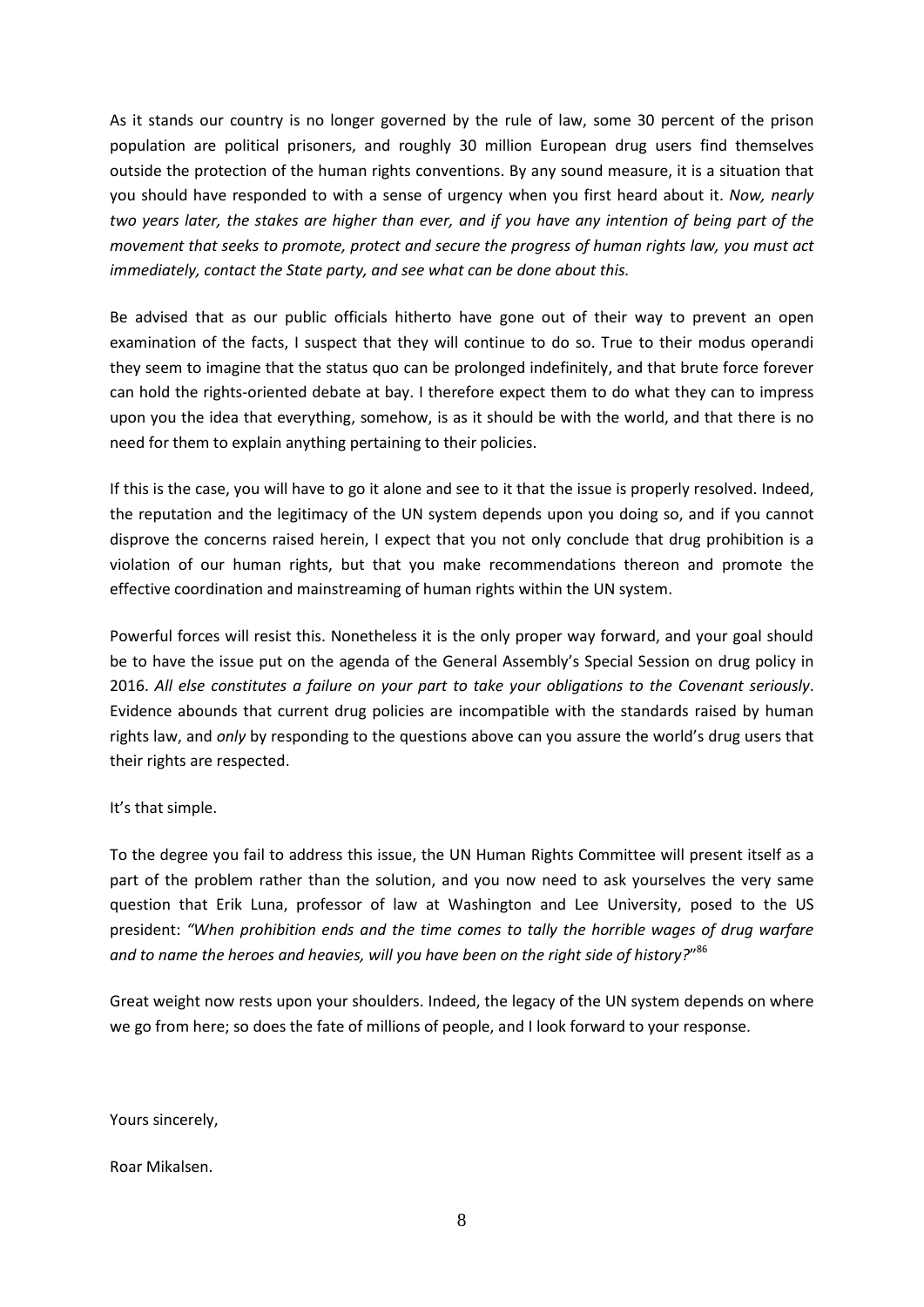As it stands our country is no longer governed by the rule of law, some 30 percent of the prison population are political prisoners, and roughly 30 million European drug users find themselves outside the protection of the human rights conventions. By any sound measure, it is a situation that you should have responded to with a sense of urgency when you first heard about it. *Now, nearly two years later, the stakes are higher than ever, and if you have any intention of being part of the movement that seeks to promote, protect and secure the progress of human rights law, you must act immediately, contact the State party, and see what can be done about this.*

Be advised that as our public officials hitherto have gone out of their way to prevent an open examination of the facts, I suspect that they will continue to do so. True to their modus operandi they seem to imagine that the status quo can be prolonged indefinitely, and that brute force forever can hold the rights-oriented debate at bay. I therefore expect them to do what they can to impress upon you the idea that everything, somehow, is as it should be with the world, and that there is no need for them to explain anything pertaining to their policies.

If this is the case, you will have to go it alone and see to it that the issue is properly resolved. Indeed, the reputation and the legitimacy of the UN system depends upon you doing so, and if you cannot disprove the concerns raised herein, I expect that you not only conclude that drug prohibition is a violation of our human rights, but that you make recommendations thereon and promote the effective coordination and mainstreaming of human rights within the UN system.

Powerful forces will resist this. Nonetheless it is the only proper way forward, and your goal should be to have the issue put on the agenda of the General Assembly's Special Session on drug policy in 2016. *All else constitutes a failure on your part to take your obligations to the Covenant seriously*. Evidence abounds that current drug policies are incompatible with the standards raised by human rights law, and *only* by responding to the questions above can you assure the world's drug users that their rights are respected.

## It's that simple.

To the degree you fail to address this issue, the UN Human Rights Committee will present itself as a part of the problem rather than the solution, and you now need to ask yourselves the very same question that Erik Luna, professor of law at Washington and Lee University, posed to the US president: *"When prohibition ends and the time comes to tally the horrible wages of drug warfare and to name the heroes and heavies, will you have been on the right side of history?*" 86

Great weight now rests upon your shoulders. Indeed, the legacy of the UN system depends on where we go from here; so does the fate of millions of people, and I look forward to your response.

Yours sincerely,

Roar Mikalsen.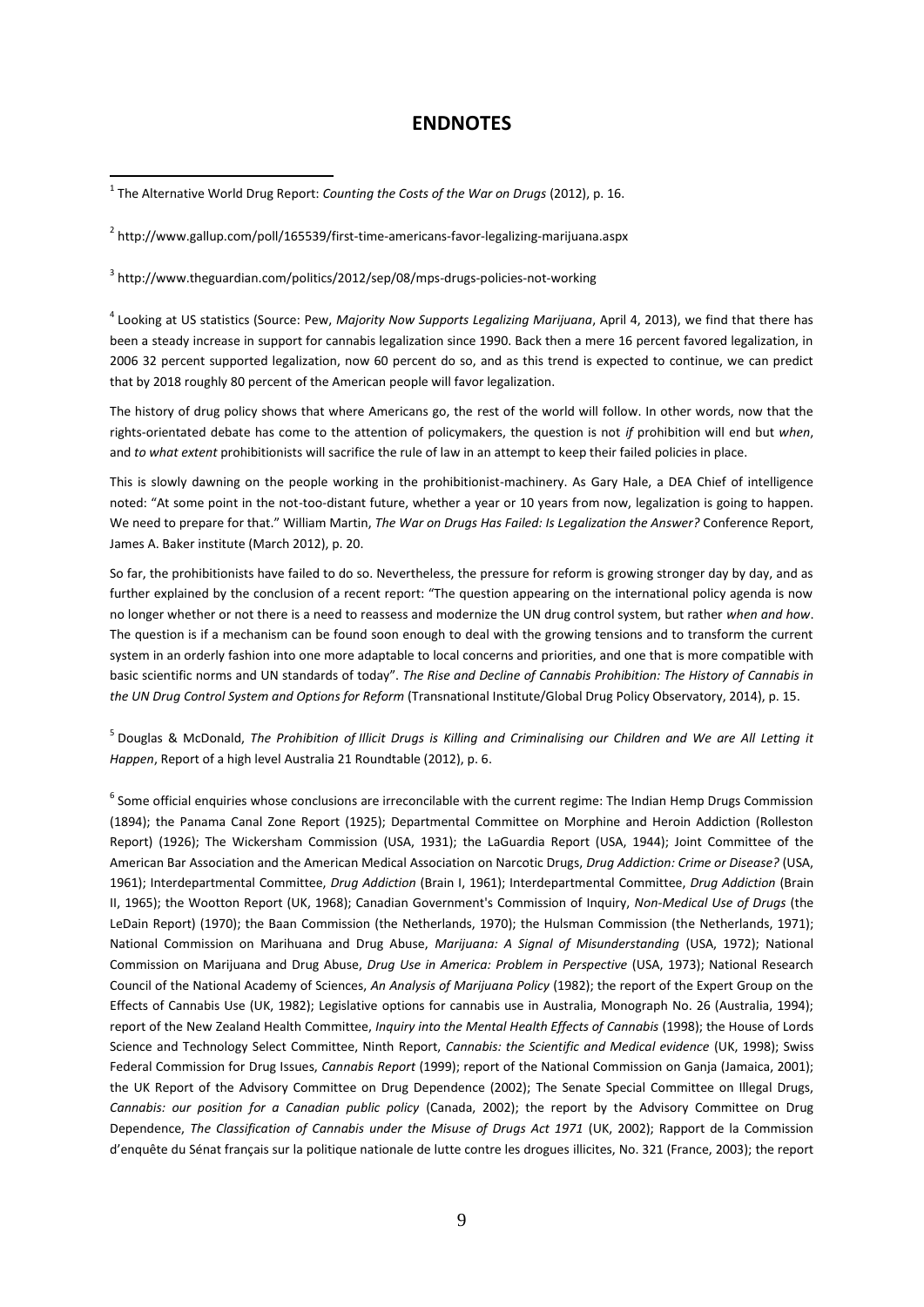## **ENDNOTES**

<sup>1</sup> The Alternative World Drug Report: *Counting the Costs of the War on Drugs* (2012), p. 16.

<u>.</u>

<sup>2</sup> http://www.gallup.com/poll/165539/first-time-americans-favor-legalizing-marijuana.aspx

<sup>3</sup> <http://www.theguardian.com/politics/2012/sep/08/mps-drugs-policies-not-working>

4 Looking at US statistics (Source: Pew, *Majority Now Supports Legalizing Marijuana*, April 4, 2013), we find that there has been a steady increase in support for cannabis legalization since 1990. Back then a mere 16 percent favored legalization, in 2006 32 percent supported legalization, now 60 percent do so, and as this trend is expected to continue, we can predict that by 2018 roughly 80 percent of the American people will favor legalization.

The history of drug policy shows that where Americans go, the rest of the world will follow. In other words, now that the rights-orientated debate has come to the attention of policymakers, the question is not *if* prohibition will end but *when*, and *to what extent* prohibitionists will sacrifice the rule of law in an attempt to keep their failed policies in place.

This is slowly dawning on the people working in the prohibitionist-machinery. As Gary Hale, a DEA Chief of intelligence noted: "At some point in the not-too-distant future, whether a year or 10 years from now, legalization is going to happen. We need to prepare for that." William Martin, *The War on Drugs Has Failed: Is Legalization the Answer?* Conference Report, James A. Baker institute (March 2012), p. 20.

So far, the prohibitionists have failed to do so. Nevertheless, the pressure for reform is growing stronger day by day, and as further explained by the conclusion of a recent report: "The question appearing on the international policy agenda is now no longer whether or not there is a need to reassess and modernize the UN drug control system, but rather *when and how*. The question is if a mechanism can be found soon enough to deal with the growing tensions and to transform the current system in an orderly fashion into one more adaptable to local concerns and priorities, and one that is more compatible with basic scientific norms and UN standards of today". *The Rise and Decline of Cannabis Prohibition: The History of Cannabis in the UN Drug Control System and Options for Reform* (Transnational Institute/Global Drug Policy Observatory, 2014), p. 15.

5 Douglas & McDonald, *The Prohibition of Illicit Drugs is Killing and Criminalising our Children and We are All Letting it Happen*, Report of a high level Australia 21 Roundtable (2012), p. 6.

 $^6$  Some official enquiries whose conclusions are irreconcilable with the current regime: The Indian Hemp Drugs Commission (1894); the Panama Canal Zone Report (1925); Departmental Committee on Morphine and Heroin Addiction (Rolleston Report) (1926); The Wickersham Commission (USA, 1931); the LaGuardia Report (USA, 1944); Joint Committee of the American Bar Association and the American Medical Association on Narcotic Drugs, *Drug Addiction: Crime or Disease?* (USA, 1961); Interdepartmental Committee, *Drug Addiction* (Brain I, 1961); Interdepartmental Committee, *Drug Addiction* (Brain II, 1965); the Wootton Report (UK, 1968); Canadian Government's Commission of Inquiry, *Non-Medical Use of Drugs* (the LeDain Report) (1970); the Baan Commission (the Netherlands, 1970); the Hulsman Commission (the Netherlands, 1971); National Commission on Marihuana and Drug Abuse, *Marijuana: A Signal of Misunderstanding* (USA, 1972); National Commission on Marijuana and Drug Abuse, *Drug Use in America: Problem in Perspective* (USA, 1973); National Research Council of the National Academy of Sciences, *An Analysis of Marijuana Policy* (1982); the report of the Expert Group on the Effects of Cannabis Use (UK, 1982); Legislative options for cannabis use in Australia, Monograph No. 26 (Australia, 1994); report of the New Zealand Health Committee, *Inquiry into the Mental Health Effects of Cannabis* (1998); the House of Lords Science and Technology Select Committee, Ninth Report, *Cannabis: the Scientific and Medical evidence* (UK, 1998); Swiss Federal Commission for Drug Issues, *Cannabis Report* (1999); report of the National Commission on Ganja (Jamaica, 2001); the UK Report of the Advisory Committee on Drug Dependence (2002); The Senate Special Committee on Illegal Drugs, *Cannabis: our position for a Canadian public policy* (Canada, 2002); the report by the Advisory Committee on Drug Dependence, *The Classification of Cannabis under the Misuse of Drugs Act 1971* (UK, 2002); Rapport de la Commission d'enquête du Sénat français sur la politique nationale de lutte contre les drogues illicites, No. 321 (France, 2003); the report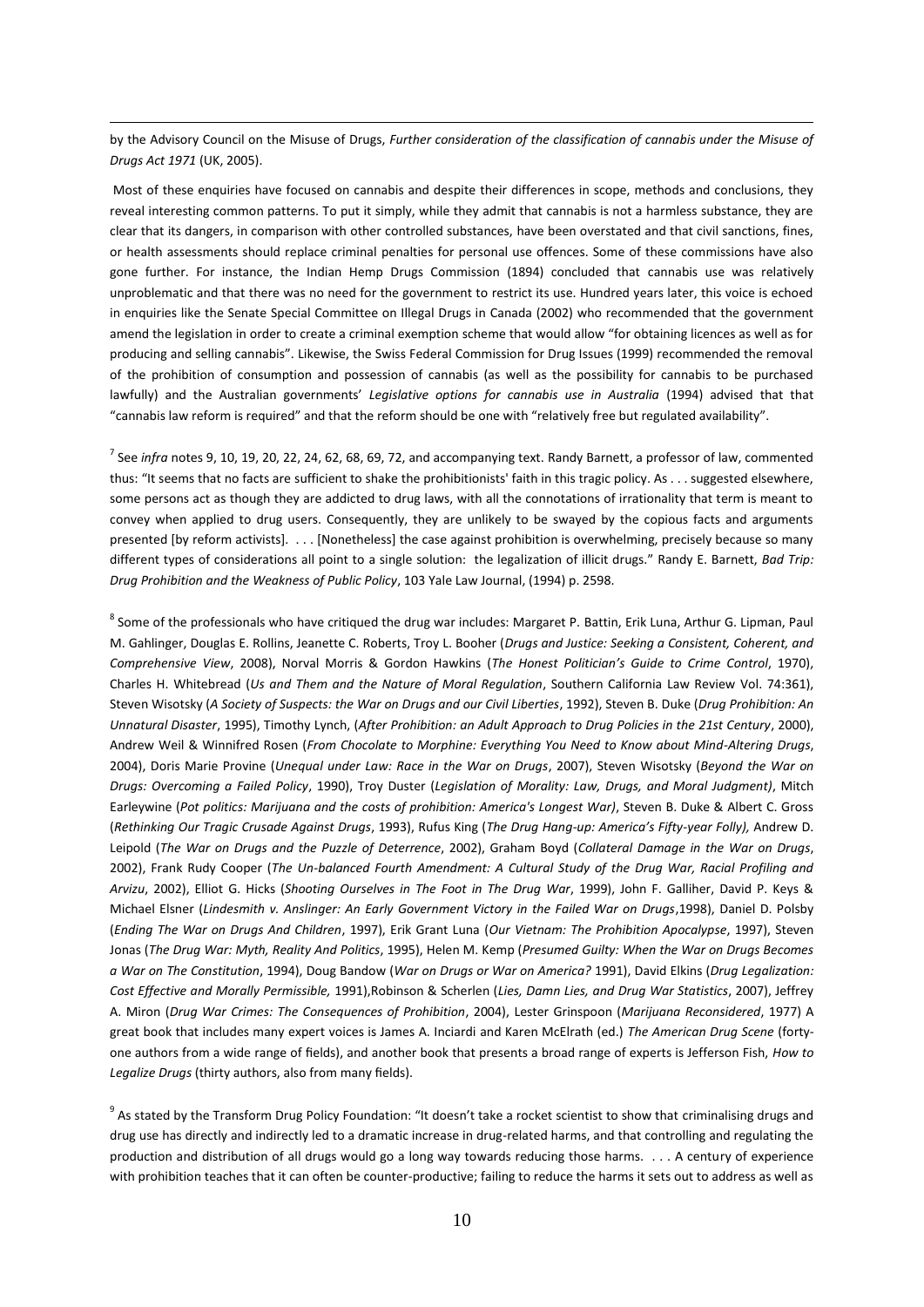by the Advisory Council on the Misuse of Drugs, *Further consideration of the classification of cannabis under the Misuse of Drugs Act 1971* (UK, 2005).

 $\overline{a}$ 

Most of these enquiries have focused on cannabis and despite their differences in scope, methods and conclusions, they reveal interesting common patterns. To put it simply, while they admit that cannabis is not a harmless substance, they are clear that its dangers, in comparison with other controlled substances, have been overstated and that civil sanctions, fines, or health assessments should replace criminal penalties for personal use offences. Some of these commissions have also gone further. For instance, the Indian Hemp Drugs Commission (1894) concluded that cannabis use was relatively unproblematic and that there was no need for the government to restrict its use. Hundred years later, this voice is echoed in enquiries like the Senate Special Committee on Illegal Drugs in Canada (2002) who recommended that the government amend the legislation in order to create a criminal exemption scheme that would allow "for obtaining licences as well as for producing and selling cannabis". Likewise, the Swiss Federal Commission for Drug Issues (1999) recommended the removal of the prohibition of consumption and possession of cannabis (as well as the possibility for cannabis to be purchased lawfully) and the Australian governments' *Legislative options for cannabis use in Australia* (1994) advised that that "cannabis law reform is required" and that the reform should be one with "relatively free but regulated availability".

7 See *infra* notes 9, 10, 19, 20, 22, 24, 62, 68, 69, 72, and accompanying text. Randy Barnett, a professor of law, commented thus: "It seems that no facts are sufficient to shake the prohibitionists' faith in this tragic policy. As . . . suggested elsewhere, some persons act as though they are addicted to drug laws, with all the connotations of irrationality that term is meant to convey when applied to drug users. Consequently, they are unlikely to be swayed by the copious facts and arguments presented [by reform activists]. . . . [Nonetheless] the case against prohibition is overwhelming, precisely because so many different types of considerations all point to a single solution: the legalization of illicit drugs." Randy E. Barnett, *Bad Trip: Drug Prohibition and the Weakness of Public Policy*, 103 Yale Law Journal, (1994) p. 2598.

<sup>8</sup> Some of the professionals who have critiqued the drug war includes: Margaret P. Battin, Erik Luna, Arthur G. Lipman, Paul M. Gahlinger, Douglas E. Rollins, Jeanette C. Roberts, Troy L. Booher (*Drugs and Justice: Seeking a Consistent, Coherent, and Comprehensive View*, 2008), Norval Morris & Gordon Hawkins (*The Honest Politician's Guide to Crime Control*, 1970), Charles H. Whitebread (*Us and Them and the Nature of Moral Regulation*, Southern California Law Review Vol. 74:361), Steven Wisotsky (*A Society of Suspects: the War on Drugs and our Civil Liberties*, 1992), Steven B. Duke (*Drug Prohibition: An Unnatural Disaster*, 1995), Timothy Lynch, (*After Prohibition: an Adult Approach to Drug Policies in the 21st Century*, 2000), Andrew Weil & Winnifred Rosen (*From Chocolate to Morphine: Everything You Need to Know about Mind-Altering Drugs*, 2004), Doris Marie Provine (*Unequal under Law: Race in the War on Drugs*, 2007), Steven Wisotsky (*Beyond the War on Drugs: Overcoming a Failed Policy*, 1990), Troy Duster (*Legislation of Morality: Law, Drugs, and Moral Judgment)*, Mitch Earleywine (*Pot politics: Marijuana and the costs of prohibition: America's Longest War)*, Steven B. Duke & Albert C. Gross (*Rethinking Our Tragic Crusade Against Drugs*, 1993), Rufus King (*The Drug Hang-up: America's Fifty-year Folly),* Andrew D. Leipold (*The War on Drugs and the Puzzle of Deterrence*, 2002), Graham Boyd (*Collateral Damage in the War on Drugs*, 2002), Frank Rudy Cooper (*The Un-balanced Fourth Amendment: A Cultural Study of the Drug War, Racial Profiling and Arvizu*, 2002), Elliot G. Hicks (*Shooting Ourselves in The Foot in The Drug War*, 1999), John F. Galliher, David P. Keys & Michael Elsner (*Lindesmith v. Anslinger: An Early Government Victory in the Failed War on Drugs*,1998), Daniel D. Polsby (*Ending The War on Drugs And Children*, 1997), Erik Grant Luna (*Our Vietnam: The Prohibition Apocalypse*, 1997), Steven Jonas (*The Drug War: Myth, Reality And Politics*, 1995), Helen M. Kemp (*Presumed Guilty: When the War on Drugs Becomes a War on The Constitution*, 1994), Doug Bandow (*War on Drugs or War on America?* 1991), David Elkins (*Drug Legalization: Cost Effective and Morally Permissible,* 1991),Robinson & Scherlen (*Lies, Damn Lies, and Drug War Statistics*, 2007), Jeffrey A. Miron (*Drug War Crimes: The Consequences of Prohibition*, 2004), Lester Grinspoon (*Marijuana Reconsidered*, 1977) A great book that includes many expert voices is James A. Inciardi and Karen McElrath (ed.) *The American Drug Scene* (fortyone authors from a wide range of fields), and another book that presents a broad range of experts is Jefferson Fish, *How to Legalize Drugs* (thirty authors, also from many fields).

<sup>9</sup> As stated by the Transform Drug Policy Foundation: "It doesn't take a rocket scientist to show that criminalising drugs and drug use has directly and indirectly led to a dramatic increase in drug-related harms, and that controlling and regulating the production and distribution of all drugs would go a long way towards reducing those harms. . . . A century of experience with prohibition teaches that it can often be counter-productive; failing to reduce the harms it sets out to address as well as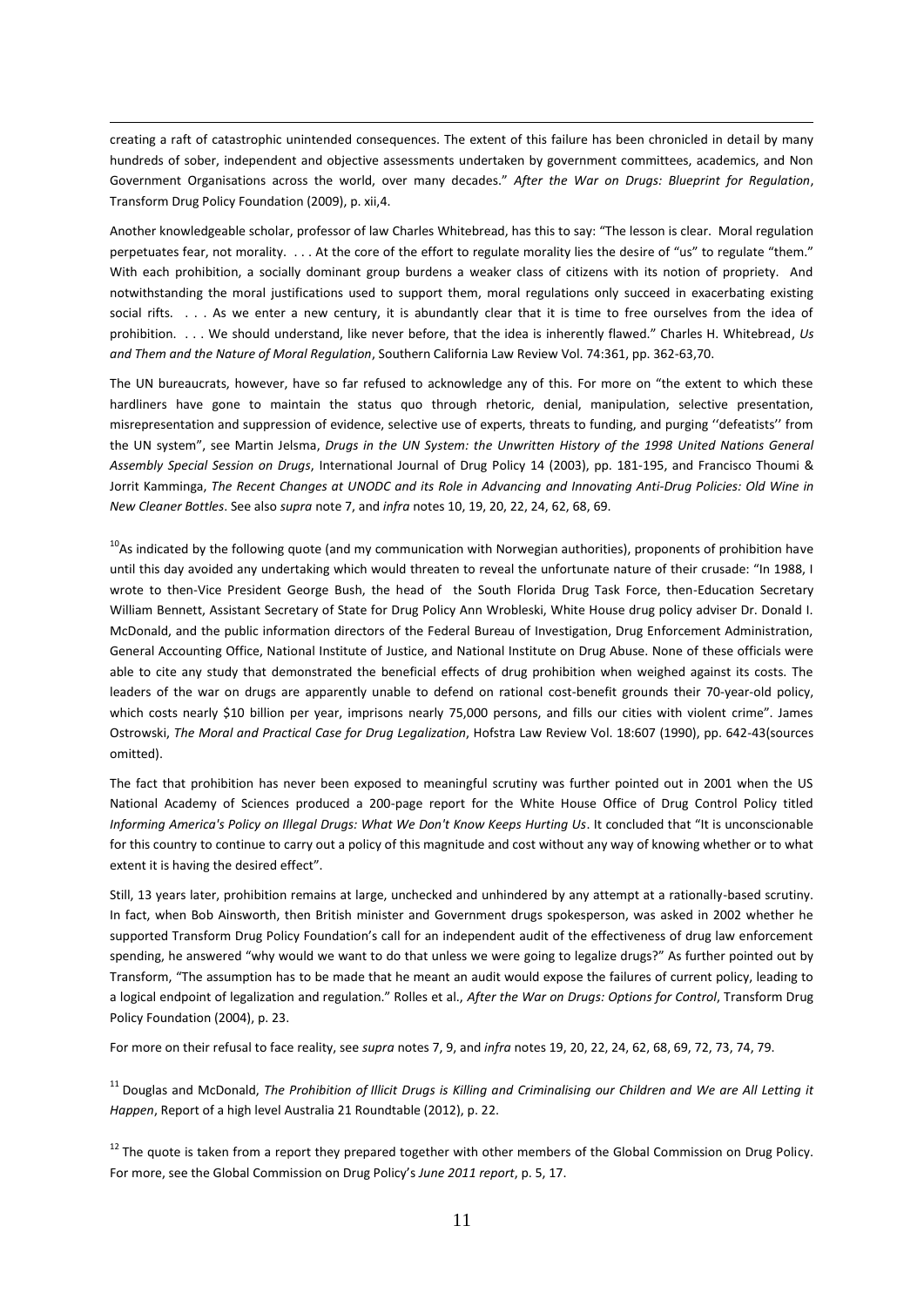creating a raft of catastrophic unintended consequences. The extent of this failure has been chronicled in detail by many hundreds of sober, independent and objective assessments undertaken by government committees, academics, and Non Government Organisations across the world, over many decades." *After the War on Drugs: Blueprint for Regulation*, Transform Drug Policy Foundation (2009), p. xii,4.

 $\overline{a}$ 

Another knowledgeable scholar, professor of law Charles Whitebread, has this to say: "The lesson is clear. Moral regulation perpetuates fear, not morality. . . . At the core of the effort to regulate morality lies the desire of "us" to regulate "them." With each prohibition, a socially dominant group burdens a weaker class of citizens with its notion of propriety. And notwithstanding the moral justifications used to support them, moral regulations only succeed in exacerbating existing social rifts. . . . As we enter a new century, it is abundantly clear that it is time to free ourselves from the idea of prohibition. . . . We should understand, like never before, that the idea is inherently flawed." Charles H. Whitebread, *Us and Them and the Nature of Moral Regulation*, Southern California Law Review Vol. 74:361, pp. 362-63,70.

The UN bureaucrats, however, have so far refused to acknowledge any of this. For more on "the extent to which these hardliners have gone to maintain the status quo through rhetoric, denial, manipulation, selective presentation, misrepresentation and suppression of evidence, selective use of experts, threats to funding, and purging ''defeatists'' from the UN system", see Martin Jelsma, *Drugs in the UN System: the Unwritten History of the 1998 United Nations General Assembly Special Session on Drugs*, International Journal of Drug Policy 14 (2003), pp. 181-195, and Francisco Thoumi & Jorrit Kamminga, *The Recent Changes at UNODC and its Role in Advancing and Innovating Anti-Drug Policies: Old Wine in New Cleaner Bottles*. See also *supra* note 7, and *infra* notes 10, 19, 20, 22, 24, 62, 68, 69.

 $10A$ s indicated by the following quote (and my communication with Norwegian authorities), proponents of prohibition have until this day avoided any undertaking which would threaten to reveal the unfortunate nature of their crusade: "In 1988, I wrote to then-Vice President George Bush, the head of the South Florida Drug Task Force, then-Education Secretary William Bennett, Assistant Secretary of State for Drug Policy Ann Wrobleski, White House drug policy adviser Dr. Donald I. McDonald, and the public information directors of the Federal Bureau of Investigation, Drug Enforcement Administration, General Accounting Office, National Institute of Justice, and National Institute on Drug Abuse. None of these officials were able to cite any study that demonstrated the beneficial effects of drug prohibition when weighed against its costs. The leaders of the war on drugs are apparently unable to defend on rational cost-benefit grounds their 70-year-old policy, which costs nearly \$10 billion per year, imprisons nearly 75,000 persons, and fills our cities with violent crime". James Ostrowski, *The Moral and Practical Case for Drug Legalization*, Hofstra Law Review Vol. 18:607 (1990), pp. 642-43(sources omitted).

The fact that prohibition has never been exposed to meaningful scrutiny was further pointed out in 2001 when the US National Academy of Sciences produced a 200-page report for the White House Office of Drug Control Policy titled *Informing America's Policy on Illegal Drugs: What We Don't Know Keeps Hurting Us*. It concluded that "It is unconscionable for this country to continue to carry out a policy of this magnitude and cost without any way of knowing whether or to what extent it is having the desired effect".

Still, 13 years later, prohibition remains at large, unchecked and unhindered by any attempt at a rationally-based scrutiny. In fact, when Bob Ainsworth, then British minister and Government drugs spokesperson, was asked in 2002 whether he supported Transform Drug Policy Foundation's call for an independent audit of the effectiveness of drug law enforcement spending, he answered "why would we want to do that unless we were going to legalize drugs?" As further pointed out by Transform, "The assumption has to be made that he meant an audit would expose the failures of current policy, leading to a logical endpoint of legalization and regulation." Rolles et al., *After the War on Drugs: Options for Control*, Transform Drug Policy Foundation (2004), p. 23.

For more on their refusal to face reality, see *supra* notes 7, 9, and *infra* notes 19, 20, 22, 24, 62, 68, 69, 72, 73, 74, 79.

<sup>11</sup> Douglas and McDonald, *The Prohibition of Illicit Drugs is Killing and Criminalising our Children and We are All Letting it Happen*, Report of a high level Australia 21 Roundtable (2012), p. 22.

<sup>12</sup> The quote is taken from a report they prepared together with other members of the Global Commission on Drug Policy. For more, see the Global Commission on Drug Policy's *June 2011 report*, p. 5, 17.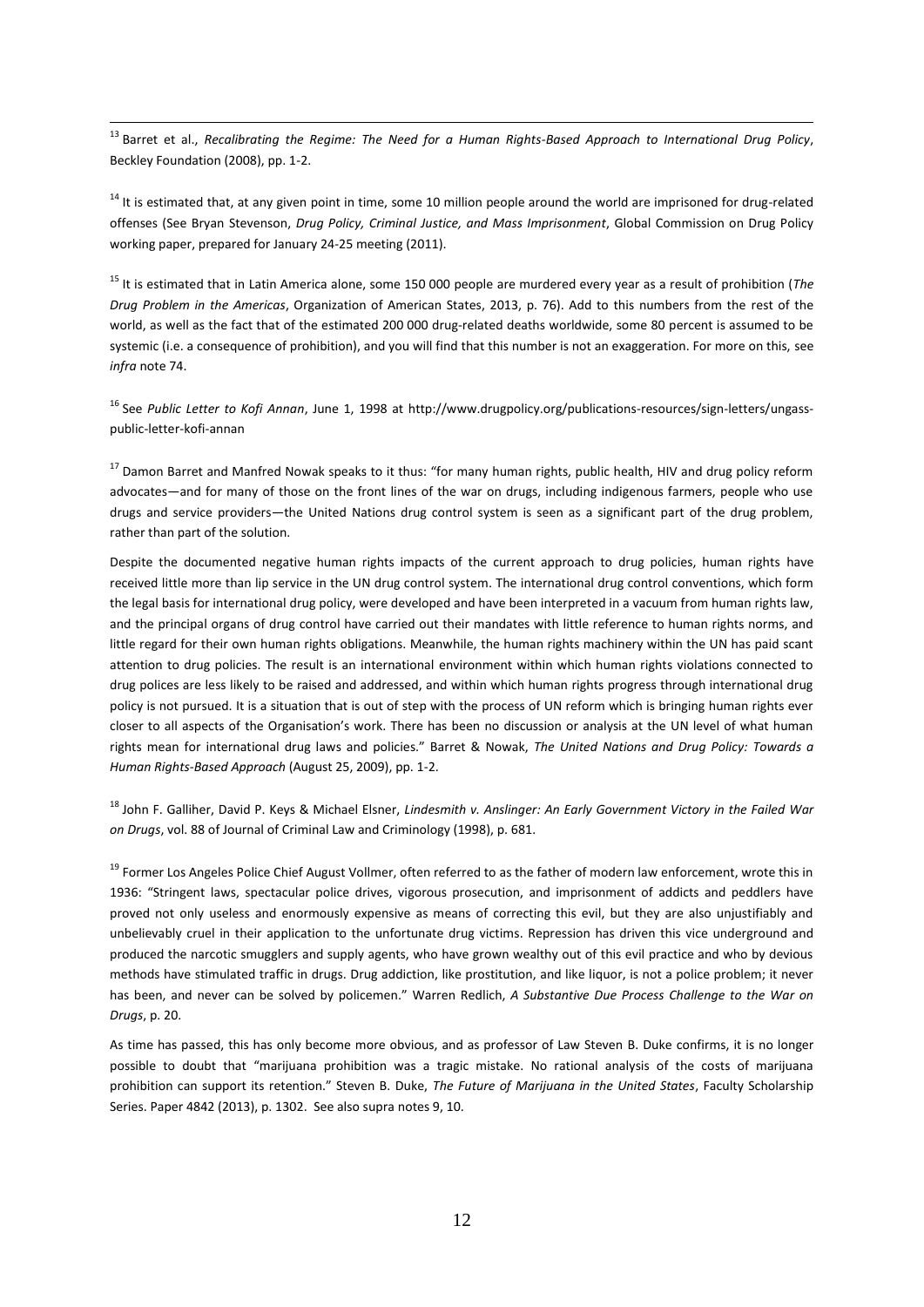<sup>13</sup> Barret et al., *Recalibrating the Regime: The Need for a Human Rights-Based Approach to International Drug Policy*, Beckley Foundation (2008), pp. 1-2.

 $\overline{a}$ 

<sup>14</sup> It is estimated that, at any given point in time, some 10 million people around the world are imprisoned for drug-related offenses (See Bryan Stevenson, *Drug Policy, Criminal Justice, and Mass Imprisonment*, Global Commission on Drug Policy working paper, prepared for January 24-25 meeting (2011).

<sup>15</sup> It is estimated that in Latin America alone, some 150 000 people are murdered every year as a result of prohibition (*The Drug Problem in the Americas*, Organization of American States, 2013, p. 76). Add to this numbers from the rest of the world, as well as the fact that of the estimated 200 000 drug-related deaths worldwide, some 80 percent is assumed to be systemic (i.e. a consequence of prohibition), and you will find that this number is not an exaggeration. For more on this, see *infra* note 74.

<sup>16</sup> See *Public Letter to Kofi Annan*, June 1, 1998 at [http://www.drugpolicy.org/publications-resources/sign-letters/ungass](http://www.drugpolicy.org/publications-resources/sign-letters/ungass-public-letter-kofi-annan)[public-letter-kofi-annan](http://www.drugpolicy.org/publications-resources/sign-letters/ungass-public-letter-kofi-annan)

<sup>17</sup> Damon Barret and Manfred Nowak speaks to it thus: "for many human rights, public health, HIV and drug policy reform advocates—and for many of those on the front lines of the war on drugs, including indigenous farmers, people who use drugs and service providers—the United Nations drug control system is seen as a significant part of the drug problem, rather than part of the solution.

Despite the documented negative human rights impacts of the current approach to drug policies, human rights have received little more than lip service in the UN drug control system. The international drug control conventions, which form the legal basis for international drug policy, were developed and have been interpreted in a vacuum from human rights law, and the principal organs of drug control have carried out their mandates with little reference to human rights norms, and little regard for their own human rights obligations. Meanwhile, the human rights machinery within the UN has paid scant attention to drug policies. The result is an international environment within which human rights violations connected to drug polices are less likely to be raised and addressed, and within which human rights progress through international drug policy is not pursued. It is a situation that is out of step with the process of UN reform which is bringing human rights ever closer to all aspects of the Organisation's work. There has been no discussion or analysis at the UN level of what human rights mean for international drug laws and policies." Barret & Nowak, *The United Nations and Drug Policy: Towards a Human Rights-Based Approach* (August 25, 2009), pp. 1-2.

<sup>18</sup> John F. Galliher, David P. Keys & Michael Elsner, *Lindesmith v. Anslinger: An Early Government Victory in the Failed War on Drugs*, vol. 88 of Journal of Criminal Law and Criminology (1998), p. 681.

<sup>19</sup> Former Los Angeles Police Chief August Vollmer, often referred to as the father of modern law enforcement, wrote this in 1936: "Stringent laws, spectacular police drives, vigorous prosecution, and imprisonment of addicts and peddlers have proved not only useless and enormously expensive as means of correcting this evil, but they are also unjustifiably and unbelievably cruel in their application to the unfortunate drug victims. Repression has driven this vice underground and produced the narcotic smugglers and supply agents, who have grown wealthy out of this evil practice and who by devious methods have stimulated traffic in drugs. Drug addiction, like prostitution, and like liquor, is not a police problem; it never has been, and never can be solved by policemen." Warren Redlich, *A Substantive Due Process Challenge to the War on Drugs*, p. 20.

As time has passed, this has only become more obvious, and as professor of Law Steven B. Duke confirms, it is no longer possible to doubt that "marijuana prohibition was a tragic mistake. No rational analysis of the costs of marijuana prohibition can support its retention." Steven B. Duke, *The Future of Marijuana in the United States*, Faculty Scholarship Series. Paper 4842 (2013), p. 1302. See also supra notes 9, 10.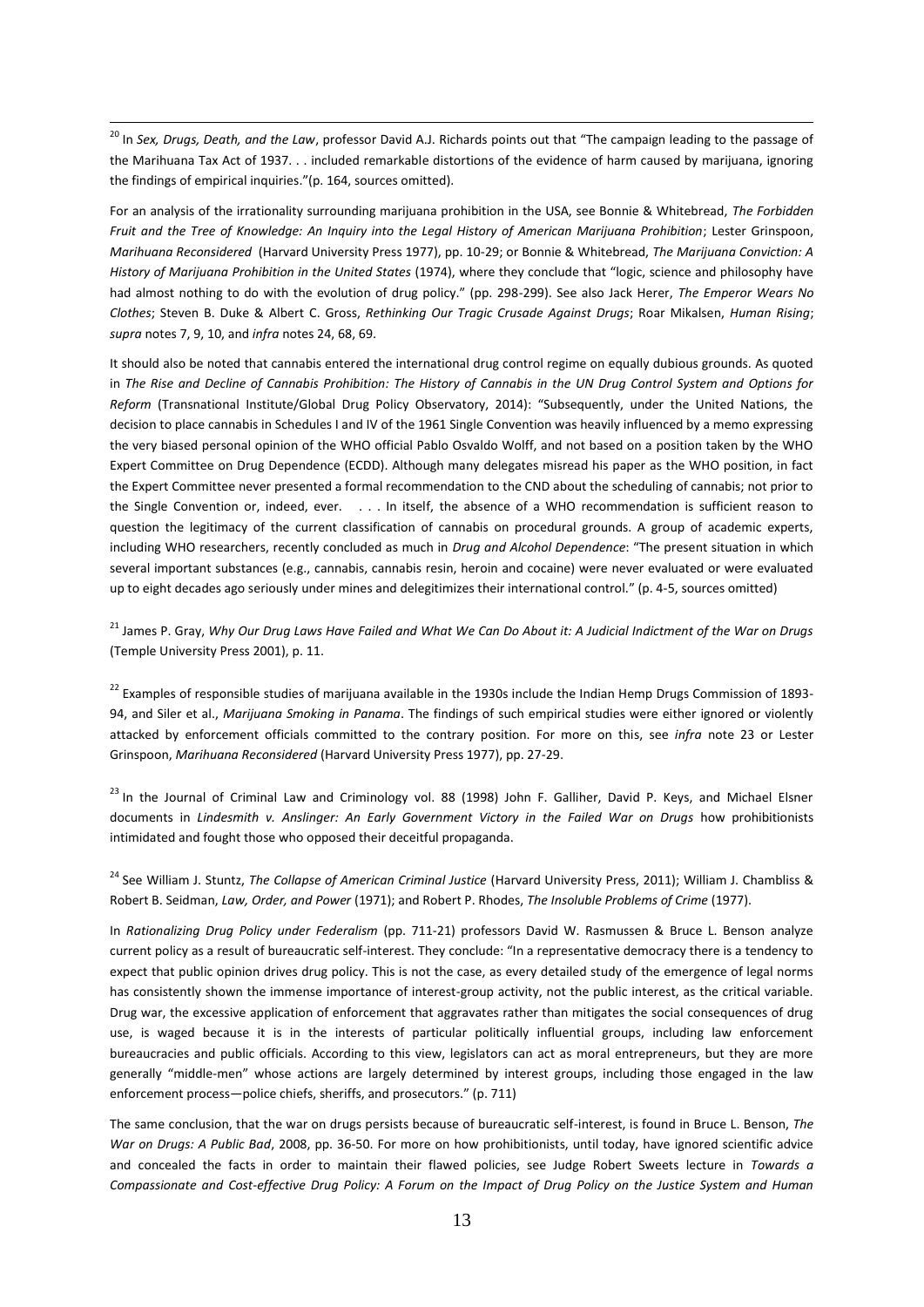<sup>20</sup> In *Sex, Drugs, Death, and the Law*, professor David A.J. Richards points out that "The campaign leading to the passage of the Marihuana Tax Act of 1937. . . included remarkable distortions of the evidence of harm caused by marijuana, ignoring the findings of empirical inquiries."(p. 164, sources omitted).

 $\overline{a}$ 

For an analysis of the irrationality surrounding marijuana prohibition in the USA, see Bonnie & Whitebread, *The Forbidden Fruit and the Tree of Knowledge: An Inquiry into the Legal History of American Marijuana Prohibition*; Lester Grinspoon, *Marihuana Reconsidered* (Harvard University Press 1977), pp. 10-29; or Bonnie & Whitebread, *The Marijuana Conviction: A History of Marijuana Prohibition in the United States* (1974), where they conclude that "logic, science and philosophy have had almost nothing to do with the evolution of drug policy." (pp. 298-299). See also Jack Herer, *The Emperor Wears No Clothes*; Steven B. Duke & Albert C. Gross, *Rethinking Our Tragic Crusade Against Drugs*; Roar Mikalsen, *Human Rising*; *supra* notes 7, 9, 10, and *infra* notes 24, 68, 69.

It should also be noted that cannabis entered the international drug control regime on equally dubious grounds. As quoted in *The Rise and Decline of Cannabis Prohibition: The History of Cannabis in the UN Drug Control System and Options for Reform* (Transnational Institute/Global Drug Policy Observatory, 2014): "Subsequently, under the United Nations, the decision to place cannabis in Schedules I and IV of the 1961 Single Convention was heavily influenced by a memo expressing the very biased personal opinion of the WHO official Pablo Osvaldo Wolff, and not based on a position taken by the WHO Expert Committee on Drug Dependence (ECDD). Although many delegates misread his paper as the WHO position, in fact the Expert Committee never presented a formal recommendation to the CND about the scheduling of cannabis; not prior to the Single Convention or, indeed, ever. . . . In itself, the absence of a WHO recommendation is sufficient reason to question the legitimacy of the current classification of cannabis on procedural grounds. A group of academic experts, including WHO researchers, recently concluded as much in *Drug and Alcohol Dependence*: "The present situation in which several important substances (e.g., cannabis, cannabis resin, heroin and cocaine) were never evaluated or were evaluated up to eight decades ago seriously under mines and delegitimizes their international control." (p. 4-5, sources omitted)

<sup>21</sup> James P. Gray, Why Our Drug Laws Have Failed and What We Can Do About it: A Judicial Indictment of the War on Drugs (Temple University Press 2001), p. 11.

 $22$  Examples of responsible studies of marijuana available in the 1930s include the Indian Hemp Drugs Commission of 1893-94, and Siler et al., *Marijuana Smoking in Panama*. The findings of such empirical studies were either ignored or violently attacked by enforcement officials committed to the contrary position. For more on this, see *infra* note 23 or Lester Grinspoon, *Marihuana Reconsidered* (Harvard University Press 1977), pp. 27-29.

<sup>23</sup> In the Journal of Criminal Law and Criminology vol. 88 (1998) John F. Galliher, David P. Keys, and Michael Elsner documents in *Lindesmith v. Anslinger: An Early Government Victory in the Failed War on Drugs* how prohibitionists intimidated and fought those who opposed their deceitful propaganda.

<sup>24</sup> See William J. Stuntz, *The Collapse of American Criminal Justice* (Harvard University Press, 2011); William J. Chambliss & Robert B. Seidman, *Law, Order, and Power* (1971); and Robert P. Rhodes, *The Insoluble Problems of Crime* (1977).

In *Rationalizing Drug Policy under Federalism* (pp. 711-21) professors David W. Rasmussen & Bruce L. Benson analyze current policy as a result of bureaucratic self-interest. They conclude: "In a representative democracy there is a tendency to expect that public opinion drives drug policy. This is not the case, as every detailed study of the emergence of legal norms has consistently shown the immense importance of interest-group activity, not the public interest, as the critical variable. Drug war, the excessive application of enforcement that aggravates rather than mitigates the social consequences of drug use, is waged because it is in the interests of particular politically influential groups, including law enforcement bureaucracies and public officials. According to this view, legislators can act as moral entrepreneurs, but they are more generally "middle-men" whose actions are largely determined by interest groups, including those engaged in the law enforcement process—police chiefs, sheriffs, and prosecutors." (p. 711)

The same conclusion, that the war on drugs persists because of bureaucratic self-interest, is found in Bruce L. Benson, *The War on Drugs: A Public Bad*, 2008, pp. 36-50. For more on how prohibitionists, until today, have ignored scientific advice and concealed the facts in order to maintain their flawed policies, see Judge Robert Sweets lecture in *Towards a Compassionate and Cost-effective Drug Policy: A Forum on the Impact of Drug Policy on the Justice System and Human*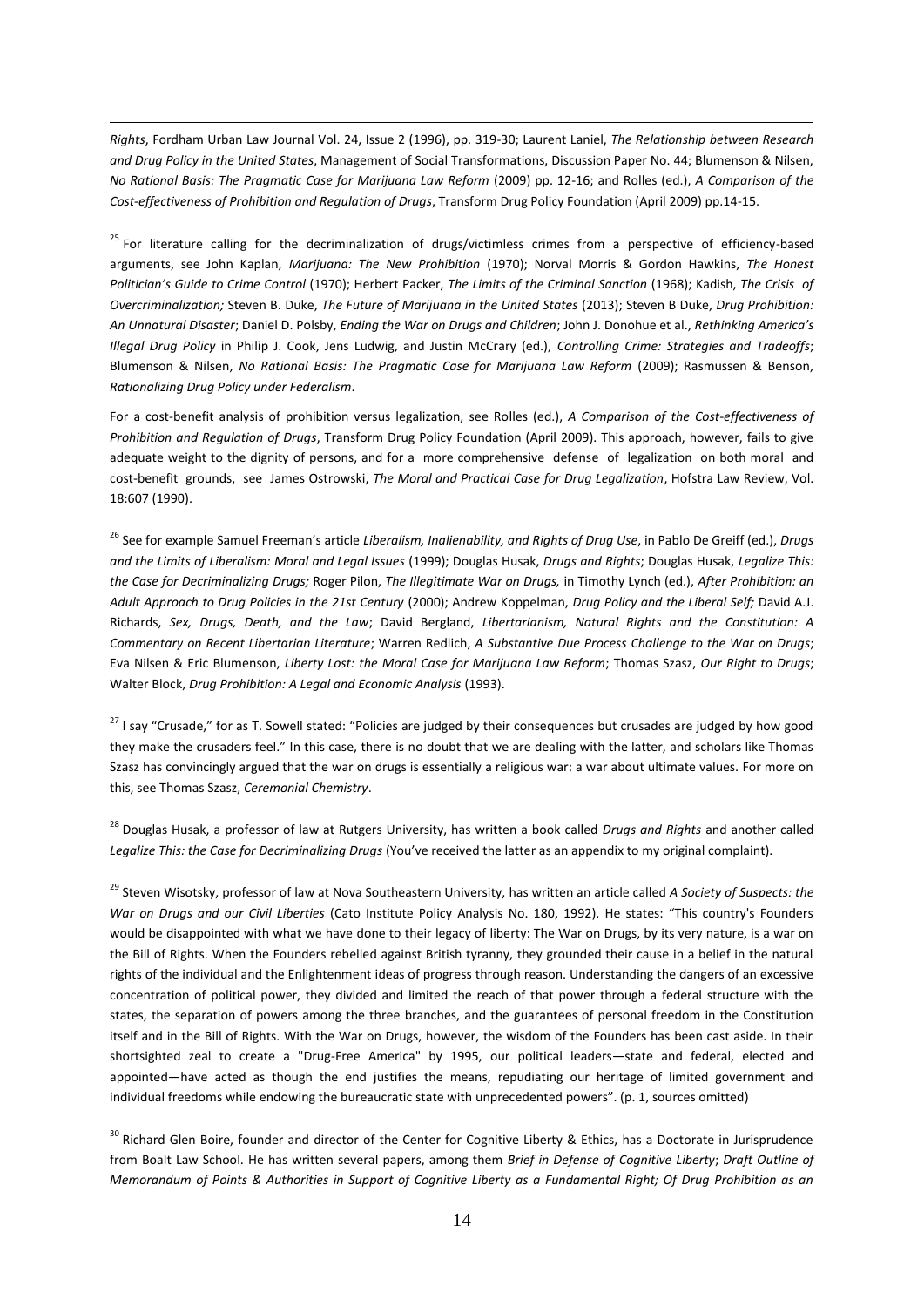*Rights*, Fordham Urban Law Journal Vol. 24, Issue 2 (1996), pp. 319-30; Laurent Laniel, *The Relationship between Research and Drug Policy in the United States*, Management of Social Transformations, Discussion Paper No. 44; Blumenson & Nilsen, *No Rational Basis: The Pragmatic Case for Marijuana Law Reform* (2009) pp. 12-16; and Rolles (ed.), *A Comparison of the Cost-effectiveness of Prohibition and Regulation of Drugs*, Transform Drug Policy Foundation (April 2009) pp.14-15.

 $\overline{a}$ 

<sup>25</sup> For literature calling for the decriminalization of drugs/victimless crimes from a perspective of efficiency-based arguments, see John Kaplan, *Marijuana: The New Prohibition* (1970); Norval Morris & Gordon Hawkins, *The Honest Politician's Guide to Crime Control* (1970); Herbert Packer, *The Limits of the Criminal Sanction* (1968); Kadish, *The Crisis of Overcriminalization;* Steven B. Duke, *The Future of Marijuana in the United States* (2013); Steven B Duke, *Drug Prohibition: An Unnatural Disaster*; Daniel D. Polsby, *Ending the War on Drugs and Children*; John J. Donohue et al., *Rethinking America's Illegal Drug Policy* in Philip J. Cook, Jens Ludwig, and Justin McCrary (ed.), *Controlling Crime: Strategies and Tradeoffs*; Blumenson & Nilsen, *No Rational Basis: The Pragmatic Case for Marijuana Law Reform* (2009); Rasmussen & Benson, *Rationalizing Drug Policy under Federalism*.

For a cost-benefit analysis of prohibition versus legalization, see Rolles (ed.), *A Comparison of the Cost-effectiveness of Prohibition and Regulation of Drugs*, Transform Drug Policy Foundation (April 2009). This approach, however, fails to give adequate weight to the dignity of persons, and for a more comprehensive defense of legalization on both moral and cost-benefit grounds, see James Ostrowski, *The Moral and Practical Case for Drug Legalization*, Hofstra Law Review, Vol. 18:607 (1990).

<sup>26</sup> See for example Samuel Freeman's article *Liberalism, Inalienability, and Rights of Drug Use*, in Pablo De Greiff (ed.), *Drugs and the Limits of Liberalism: Moral and Legal Issues* (1999); Douglas Husak, *Drugs and Rights*; Douglas Husak, *Legalize This: the Case for Decriminalizing Drugs;* Roger Pilon, *The Illegitimate War on Drugs,* in Timothy Lynch (ed.), *After Prohibition: an Adult Approach to Drug Policies in the 21st Century* (2000); Andrew Koppelman, *Drug Policy and the Liberal Self;* David A.J. Richards, *Sex, Drugs, Death, and the Law*; David Bergland, *Libertarianism, Natural Rights and the Constitution: A Commentary on Recent Libertarian Literature*; Warren Redlich, *A Substantive Due Process Challenge to the War on Drugs*; Eva Nilsen & Eric Blumenson, *Liberty Lost: the Moral Case for Marijuana Law Reform*; Thomas Szasz, *Our Right to Drugs*; Walter Block, *Drug Prohibition: A Legal and Economic Analysis* (1993).

<sup>27</sup> I say "Crusade," for as T. Sowell stated: "Policies are judged by their consequences but crusades are judged by how good they make the crusaders feel." In this case, there is no doubt that we are dealing with the latter, and scholars like Thomas Szasz has convincingly argued that the war on drugs is essentially a religious war: a war about ultimate values. For more on this, see Thomas Szasz, *Ceremonial Chemistry*.

<sup>28</sup> Douglas Husak, a professor of law at Rutgers University, has written a book called *Drugs and Rights* and another called *Legalize This: the Case for Decriminalizing Drugs* (You've received the latter as an appendix to my original complaint).

<sup>29</sup> Steven Wisotsky, professor of law at Nova Southeastern University, has written an article called *A Society of Suspects: the War on Drugs and our Civil Liberties* (Cato Institute Policy Analysis No. 180, 1992). He states: "This country's Founders would be disappointed with what we have done to their legacy of liberty: The War on Drugs, by its very nature, is a war on the Bill of Rights. When the Founders rebelled against British tyranny, they grounded their cause in a belief in the natural rights of the individual and the Enlightenment ideas of progress through reason. Understanding the dangers of an excessive concentration of political power, they divided and limited the reach of that power through a federal structure with the states, the separation of powers among the three branches, and the guarantees of personal freedom in the Constitution itself and in the Bill of Rights. With the War on Drugs, however, the wisdom of the Founders has been cast aside. In their shortsighted zeal to create a "Drug-Free America" by 1995, our political leaders—state and federal, elected and appointed—have acted as though the end justifies the means, repudiating our heritage of limited government and individual freedoms while endowing the bureaucratic state with unprecedented powers". (p. 1, sources omitted)

<sup>30</sup> Richard Glen Boire, founder and director of the Center for Cognitive Liberty & Ethics, has a Doctorate in Jurisprudence from Boalt Law School. He has written several papers, among them *Brief in Defense of Cognitive Liberty*; *Draft Outline of Memorandum of Points & Authorities in Support of Cognitive Liberty as a Fundamental Right; Of Drug Prohibition as an*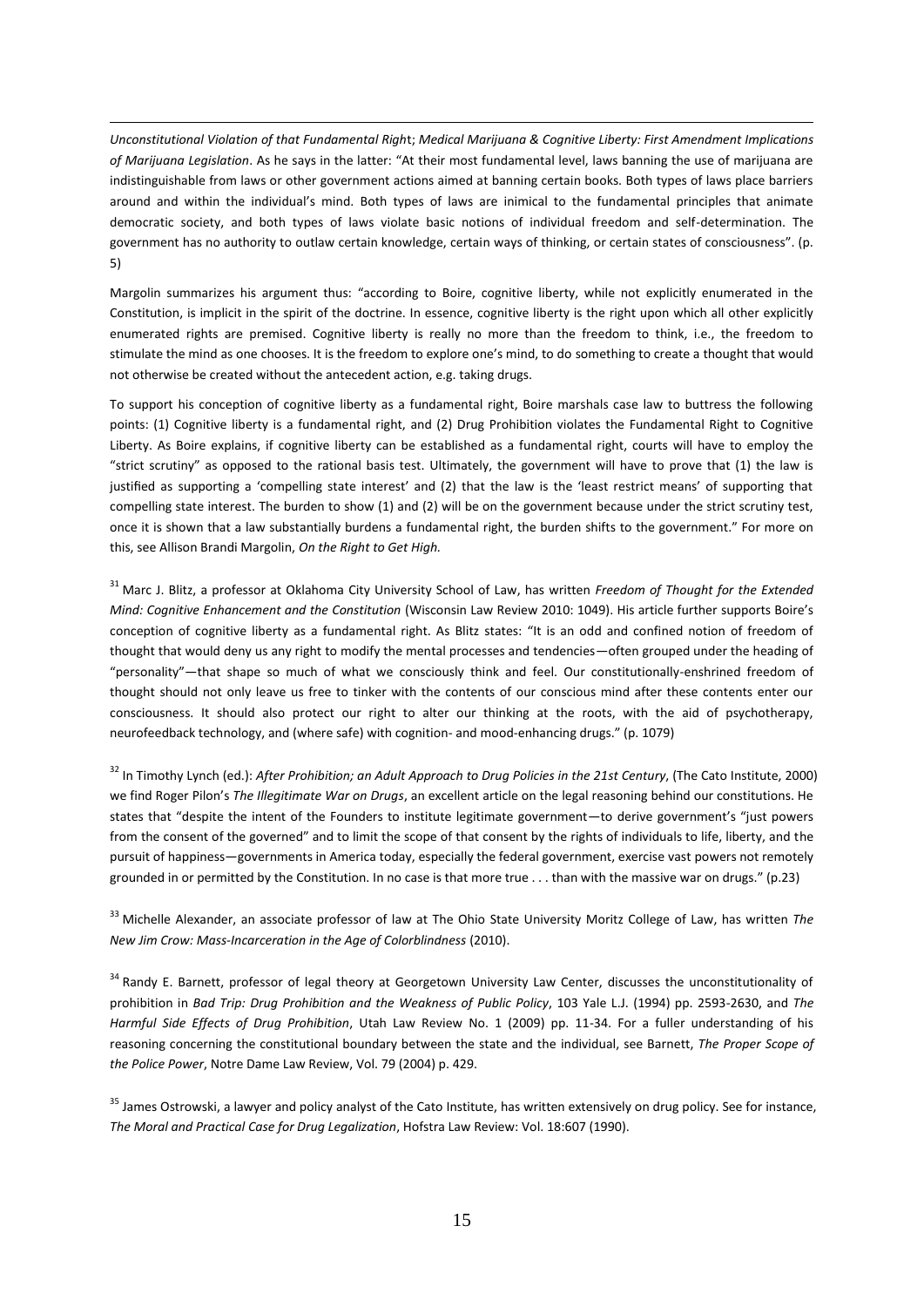*Unconstitutional Violation of that Fundamental Righ*t; *Medical Marijuana & Cognitive Liberty: First Amendment Implications of Marijuana Legislation*. As he says in the latter: "At their most fundamental level, laws banning the use of marijuana are indistinguishable from laws or other government actions aimed at banning certain books. Both types of laws place barriers around and within the individual's mind. Both types of laws are inimical to the fundamental principles that animate democratic society, and both types of laws violate basic notions of individual freedom and self-determination. The government has no authority to outlaw certain knowledge, certain ways of thinking, or certain states of consciousness". (p. 5)

 $\overline{a}$ 

Margolin summarizes his argument thus: "according to Boire, cognitive liberty, while not explicitly enumerated in the Constitution, is implicit in the spirit of the doctrine. In essence, cognitive liberty is the right upon which all other explicitly enumerated rights are premised. Cognitive liberty is really no more than the freedom to think, i.e., the freedom to stimulate the mind as one chooses. It is the freedom to explore one's mind, to do something to create a thought that would not otherwise be created without the antecedent action, e.g. taking drugs.

To support his conception of cognitive liberty as a fundamental right, Boire marshals case law to buttress the following points: (1) Cognitive liberty is a fundamental right, and (2) Drug Prohibition violates the Fundamental Right to Cognitive Liberty. As Boire explains, if cognitive liberty can be established as a fundamental right, courts will have to employ the "strict scrutiny" as opposed to the rational basis test. Ultimately, the government will have to prove that (1) the law is justified as supporting a 'compelling state interest' and (2) that the law is the 'least restrict means' of supporting that compelling state interest. The burden to show (1) and (2) will be on the government because under the strict scrutiny test, once it is shown that a law substantially burdens a fundamental right, the burden shifts to the government." For more on this, see Allison Brandi Margolin, *On the Right to Get High.*

<sup>31</sup> Marc J. Blitz, a professor at Oklahoma City University School of Law, has written *Freedom of Thought for the Extended Mind: Cognitive Enhancement and the Constitution* (Wisconsin Law Review 2010: 1049). His article further supports Boire's conception of cognitive liberty as a fundamental right. As Blitz states: "It is an odd and confined notion of freedom of thought that would deny us any right to modify the mental processes and tendencies—often grouped under the heading of "personality"—that shape so much of what we consciously think and feel. Our constitutionally-enshrined freedom of thought should not only leave us free to tinker with the contents of our conscious mind after these contents enter our consciousness. It should also protect our right to alter our thinking at the roots, with the aid of psychotherapy, neurofeedback technology, and (where safe) with cognition- and mood-enhancing drugs." (p. 1079)

<sup>32</sup> In Timothy Lynch (ed.): *After Prohibition; an Adult Approach to Drug Policies in the 21st Century*, (The Cato Institute, 2000) we find Roger Pilon's *The Illegitimate War on Drugs*, an excellent article on the legal reasoning behind our constitutions. He states that "despite the intent of the Founders to institute legitimate government—to derive government's "just powers from the consent of the governed" and to limit the scope of that consent by the rights of individuals to life, liberty, and the pursuit of happiness—governments in America today, especially the federal government, exercise vast powers not remotely grounded in or permitted by the Constitution. In no case is that more true . . . than with the massive war on drugs." (p.23)

<sup>33</sup> Michelle Alexander, an associate professor of law at The Ohio State University Moritz College of Law, has written *The New Jim Crow: Mass-Incarceration in the Age of Colorblindness* (2010).

<sup>34</sup> Randy E. Barnett, professor of legal theory at Georgetown University Law Center, discusses the unconstitutionality of prohibition in *Bad Trip: Drug Prohibition and the Weakness of Public Policy*, 103 Yale L.J. (1994) pp. 2593-2630, and *The Harmful Side Effects of Drug Prohibition*, Utah Law Review No. 1 (2009) pp. 11-34. For a fuller understanding of his reasoning concerning the constitutional boundary between the state and the individual, see Barnett, *The Proper Scope of the Police Power*, Notre Dame Law Review, Vol. 79 (2004) p. 429.

<sup>35</sup> James Ostrowski, a lawyer and policy analyst of the Cato Institute, has written extensively on drug policy. See for instance, *The Moral and Practical Case for Drug Legalization*, Hofstra Law Review: Vol. 18:607 (1990).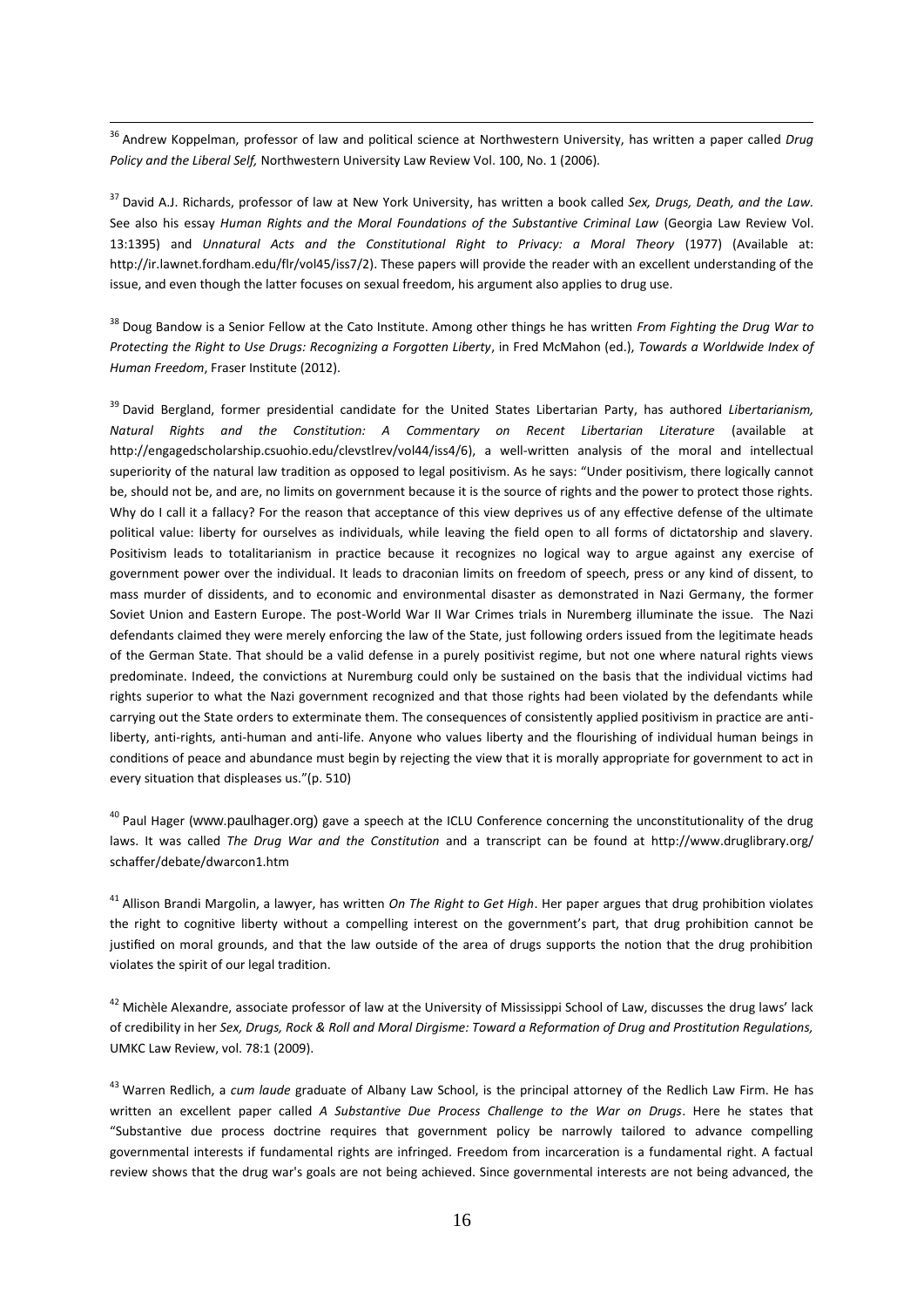<sup>36</sup> Andrew Koppelman, professor of law and political science at Northwestern University, has written a paper called *Drug Policy and the Liberal Self,* Northwestern University Law Review Vol. 100, No. 1 (2006)*.*

 $\overline{a}$ 

<sup>37</sup> David A.J. Richards, professor of law at New York University, has written a book called *Sex, Drugs, Death, and the Law.*  See also his essay *Human Rights and the Moral Foundations of the Substantive Criminal Law* (Georgia Law Review Vol. 13:1395) and *Unnatural Acts and the Constitutional Right to Privacy: a Moral Theory* (1977) (Available at: [http://ir.lawnet.fordham.edu/flr/vol45/iss7/2\)](http://ir.lawnet.fordham.edu/flr/vol45/iss7/2). These papers will provide the reader with an excellent understanding of the issue, and even though the latter focuses on sexual freedom, his argument also applies to drug use.

<sup>38</sup> Doug Bandow is a Senior Fellow at the Cato Institute. Among other things he has written *From Fighting the Drug War to Protecting the Right to Use Drugs: Recognizing a Forgotten Liberty*, in Fred McMahon (ed.), *Towards a Worldwide Index of Human Freedom*, Fraser Institute (2012).

<sup>39</sup> David Bergland, former presidential candidate for the [United States Libertarian Party,](http://en.wikipedia.org/wiki/United_States_Libertarian_Party) has authored *Libertarianism, Natural Rights and the Constitution: A Commentary on Recent Libertarian Literature* (available at [http://engagedscholarship.csuohio.edu/clevstlrev/vol44/iss4/6\)](http://engagedscholarship.csuohio.edu/clevstlrev/vol44/iss4/6), a well-written analysis of the moral and intellectual superiority of the natural law tradition as opposed to legal positivism. As he says: "Under positivism, there logically cannot be, should not be, and are, no limits on government because it is the source of rights and the power to protect those rights. Why do I call it a fallacy? For the reason that acceptance of this view deprives us of any effective defense of the ultimate political value: liberty for ourselves as individuals, while leaving the field open to all forms of dictatorship and slavery. Positivism leads to totalitarianism in practice because it recognizes no logical way to argue against any exercise of government power over the individual. It leads to draconian limits on freedom of speech, press or any kind of dissent, to mass murder of dissidents, and to economic and environmental disaster as demonstrated in Nazi Germany, the former Soviet Union and Eastern Europe. The post-World War II War Crimes trials in Nuremberg illuminate the issue. The Nazi defendants claimed they were merely enforcing the law of the State, just following orders issued from the legitimate heads of the German State. That should be a valid defense in a purely positivist regime, but not one where natural rights views predominate. Indeed, the convictions at Nuremburg could only be sustained on the basis that the individual victims had rights superior to what the Nazi government recognized and that those rights had been violated by the defendants while carrying out the State orders to exterminate them. The consequences of consistently applied positivism in practice are antiliberty, anti-rights, anti-human and anti-life. Anyone who values liberty and the flourishing of individual human beings in conditions of peace and abundance must begin by rejecting the view that it is morally appropriate for government to act in every situation that displeases us."(p. 510)

<sup>40</sup> Paul Hager (www.paulhager.org) gave a speech at the ICLU Conference concerning the unconstitutionality of the drug laws. It was called *The Drug War and the Constitution* and a transcript can be found at [http://www.druglibrary.org/](http://www.druglibrary.org/%20schaffer/debate/dwarcon1.htm)  [schaffer/debate/dwarcon1.htm](http://www.druglibrary.org/%20schaffer/debate/dwarcon1.htm)

<sup>41</sup> Allison Brandi Margolin, a lawyer, has written *On The Right to Get High*. Her paper argues that drug prohibition violates the right to cognitive liberty without a compelling interest on the government's part, that drug prohibition cannot be justified on moral grounds, and that the law outside of the area of drugs supports the notion that the drug prohibition violates the spirit of our legal tradition.

 $42$  Michèle Alexandre, associate professor of law at the University of Mississippi School of Law, discusses the drug laws' lack of credibility in her *Sex, Drugs, Rock & Roll and Moral Dirgisme: Toward a Reformation of Drug and Prostitution Regulations,*  UMKC Law Review, vol. 78:1 (2009).

<sup>43</sup> Warren Redlich, a *cum laude* graduate of Albany Law School, is the principal attorney of the Redlich Law Firm. He has written an excellent paper called *A Substantive Due Process Challenge to the War on Drugs*. Here he states that "Substantive due process doctrine requires that government policy be narrowly tailored to advance compelling governmental interests if fundamental rights are infringed. Freedom from incarceration is a fundamental right. A factual review shows that the drug war's goals are not being achieved. Since governmental interests are not being advanced, the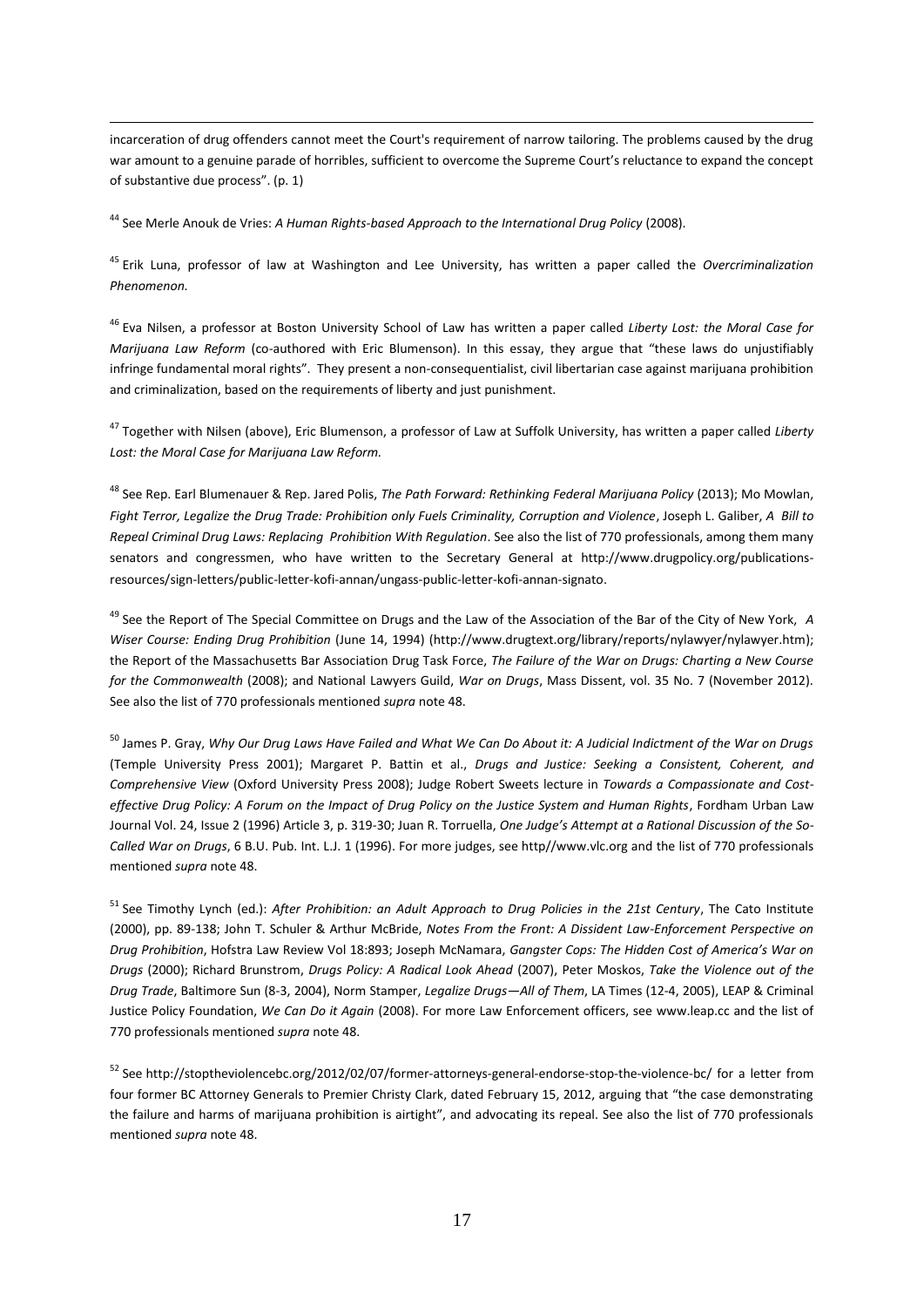incarceration of drug offenders cannot meet the Court's requirement of narrow tailoring. The problems caused by the drug war amount to a genuine parade of horribles, sufficient to overcome the Supreme Court's reluctance to expand the concept of substantive due process". (p. 1)

<sup>44</sup> See Merle Anouk de Vries: *A Human Rights-based Approach to the International Drug Policy* (2008).

 $\overline{a}$ 

<sup>45</sup> Erik Luna, professor of law at Washington and Lee University, has written a paper called the *Overcriminalization Phenomenon.*

<sup>46</sup> Eva Nilsen, a professor at Boston University School of Law has written a paper called *Liberty Lost: the Moral Case for Marijuana Law Reform* (co-authored with Eric Blumenson). In this essay, they argue that "these laws do unjustifiably infringe fundamental moral rights". They present a non-consequentialist, civil libertarian case against marijuana prohibition and criminalization, based on the requirements of liberty and just punishment.

<sup>47</sup> Together with Nilsen (above), Eric Blumenson, a professor of Law at Suffolk University, has written a paper called *Liberty Lost: the Moral Case for Marijuana Law Reform.*

<sup>48</sup> See Rep. Earl Blumenauer & Rep. Jared Polis, *The Path Forward: Rethinking Federal Marijuana Policy* (2013); Mo Mowlan, *Fight Terror, Legalize the Drug Trade: Prohibition only Fuels Criminality, Corruption and Violence*, Joseph L. Galiber, *A Bill to Repeal Criminal Drug Laws: Replacing Prohibition With Regulation*. See also the list of 770 professionals, among them many senators and congressmen, who have written to the Secretary General at [http://www.drugpolicy.org/publications](http://www.drugpolicy.org/publications-resources/sign-letters/public-letter-kofi-annan/ungass-public-letter-kofi-annan-signato)[resources/sign-letters/public-letter-kofi-annan/ungass-public-letter-kofi-annan-signato.](http://www.drugpolicy.org/publications-resources/sign-letters/public-letter-kofi-annan/ungass-public-letter-kofi-annan-signato)

<sup>49</sup> See the Report of The Special Committee on Drugs and the Law of the Association of the Bar of the City of New York, *A Wiser Course: Ending Drug Prohibition* (June 14, 1994) [\(http://www.drugtext.org/library/reports/nylawyer/nylawyer.htm\)](http://www.drugtext.org/library/reports/nylawyer/nylawyer.htm); the Report of the Massachusetts Bar Association Drug Task Force, *The Failure of the War on Drugs: Charting a New Course for the Commonwealth* (2008); and National Lawyers Guild, *War on Drugs*, Mass Dissent, vol. 35 No. 7 (November 2012). See also the list of 770 professionals mentioned *supra* note 48.

<sup>50</sup> James P. Gray, *Why Our Drug Laws Have Failed and What We Can Do About it: A Judicial Indictment of the War on Drugs* (Temple University Press 2001); Margaret P. Battin et al., *Drugs and Justice: Seeking a Consistent, Coherent, and Comprehensive View* (Oxford University Press 2008); Judge Robert Sweets lecture in *Towards a Compassionate and Costeffective Drug Policy: A Forum on the Impact of Drug Policy on the Justice System and Human Rights*, Fordham Urban Law Journal Vol. 24, Issue 2 (1996) Article 3, p. 319-30; Juan R. Torruella, *One Judge's Attempt at a Rational Discussion of the So-Called War on Drugs*, 6 B.U. Pub. Int. L.J. 1 (1996). For more judges, see http//www.vlc.org and the list of 770 professionals mentioned *supra* note 48.

<sup>51</sup> See Timothy Lynch (ed.): *After Prohibition: an Adult Approach to Drug Policies in the 21st Century*, The Cato Institute (2000), pp. 89-138; John T. Schuler & Arthur McBride, *Notes From the Front: A Dissident Law-Enforcement Perspective on Drug Prohibition*, Hofstra Law Review Vol 18:893; Joseph McNamara, *Gangster Cops: The Hidden Cost of America's War on Drugs* (2000); Richard Brunstrom, *Drugs Policy: A Radical Look Ahead* (2007), Peter Moskos, *Take the Violence out of the Drug Trade*, Baltimore Sun (8-3, 2004), Norm Stamper, *Legalize Drugs—All of Them*, LA Times (12-4, 2005), LEAP & Criminal Justice Policy Foundation, *We Can Do it Again* (2008). For more Law Enforcement officers, see [www.leap.cc](http://www.leap.cc/) and the list of 770 professionals mentioned *supra* note 48.

<sup>52</sup> See http://stoptheviolencebc.org/2012/02/07/former-attorneys-general-endorse-stop-the-violence-bc/ for a letter from four former BC Attorney Generals to Premier Christy Clark, dated February 15, 2012, arguing that "the case demonstrating the failure and harms of marijuana prohibition is airtight", and advocating its repeal. See also the list of 770 professionals mentioned *supra* note 48.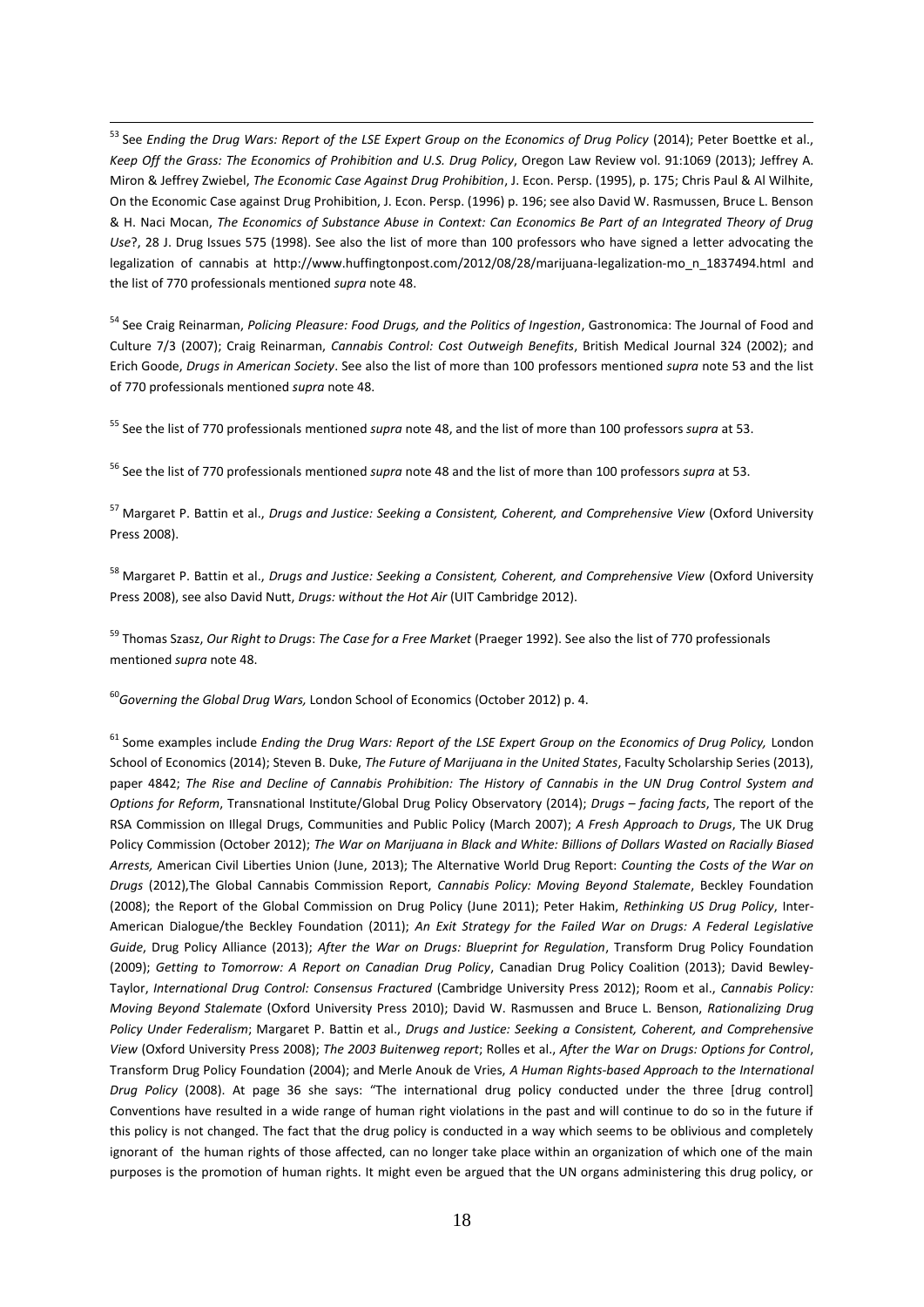<sup>53</sup> See *Ending the Drug Wars: Report of the LSE Expert Group on the Economics of Drug Policy* (2014); Peter Boettke et al., *Keep Off the Grass: The Economics of Prohibition and U.S. Drug Policy*, Oregon Law Review vol. 91:1069 (2013); Jeffrey A. Miron & Jeffrey Zwiebel, *The Economic Case Against Drug Prohibition*, J. Econ. Persp. (1995), p. 175; Chris Paul & Al Wilhite, On the Economic Case against Drug Prohibition, J. Econ. Persp. (1996) p. 196; see also David W. Rasmussen, Bruce L. Benson & H. Naci Mocan, *The Economics of Substance Abuse in Context: Can Economics Be Part of an Integrated Theory of Drug Use*?, 28 J. Drug Issues 575 (1998). See also the list of more than 100 professors who have signed a letter advocating the legalization of cannabis at [http://www.huffingtonpost.com/2012/08/28/marijuana-legalization-mo\\_n\\_1837494.html](http://www.huffingtonpost.com/2012/08/28/marijuana-legalization-mo_n_1837494.html) and the list of 770 professionals mentioned *supra* note 48.

<sup>54</sup> See Craig Reinarman, *Policing Pleasure: Food Drugs, and the Politics of Ingestion*, Gastronomica: The Journal of Food and Culture 7/3 (2007); Craig Reinarman, *Cannabis Control: Cost Outweigh Benefits*, British Medical Journal 324 (2002); and Erich Goode, *Drugs in American Society*. See also the list of more than 100 professors mentioned *supra* note 53 and the list of 770 professionals mentioned *supra* note 48.

<sup>55</sup> See the list of 770 professionals mentioned *supra* note 48, and the list of more than 100 professors *supra* at 53.

<sup>56</sup> See the list of 770 professionals mentioned *supra* note 48 and the list of more than 100 professors *supra* at 53.

<sup>57</sup> Margaret P. Battin et al., *Drugs and Justice: Seeking a Consistent, Coherent, and Comprehensive View* (Oxford University Press 2008).

<sup>58</sup> Margaret P. Battin et al., *Drugs and Justice: Seeking a Consistent, Coherent, and Comprehensive View* (Oxford University Press 2008), see also David Nutt, *Drugs: without the Hot Air* (UIT Cambridge 2012).

<sup>59</sup> Thomas Szasz, *Our Right to Drugs*: *The Case for a Free Market* (Praeger 1992). See also the list of 770 professionals mentioned *supra* note 48.

<sup>60</sup>*Governing the Global Drug Wars,* London School of Economics (October 2012) p. 4.

 $\overline{a}$ 

<sup>61</sup> Some examples include *Ending the Drug Wars: Report of the LSE Expert Group on the Economics of Drug Policy,* London School of Economics (2014); Steven B. Duke, *The Future of Marijuana in the United States*, Faculty Scholarship Series (2013), paper 4842; *The Rise and Decline of Cannabis Prohibition: The History of Cannabis in the UN Drug Control System and Options for Reform*, Transnational Institute/Global Drug Policy Observatory (2014); *Drugs – facing facts*, The report of the RSA Commission on Illegal Drugs, Communities and Public Policy (March 2007); *A Fresh Approach to Drugs*, The UK Drug Policy Commission (October 2012); *The War on Marijuana in Black and White: Billions of Dollars Wasted on Racially Biased Arrests,* American Civil Liberties Union (June, 2013); The Alternative World Drug Report: *Counting the Costs of the War on Drugs* (2012),The Global Cannabis Commission Report, *Cannabis Policy: Moving Beyond Stalemate*, Beckley Foundation (2008); the Report of the Global Commission on Drug Policy (June 2011); Peter Hakim, *Rethinking US Drug Policy*, Inter-American Dialogue/the Beckley Foundation (2011); *An Exit Strategy for the Failed War on Drugs: A Federal Legislative Guide*, Drug Policy Alliance (2013); *After the War on Drugs: Blueprint for Regulation*, Transform Drug Policy Foundation (2009); *Getting to Tomorrow: A Report on Canadian Drug Policy*, Canadian Drug Policy Coalition (2013); David Bewley-Taylor, *International Drug Control: Consensus Fractured* (Cambridge University Press 2012); Room et al., *Cannabis Policy: Moving Beyond Stalemate* (Oxford University Press 2010); David W. Rasmussen and Bruce L. Benson, *Rationalizing Drug Policy Under Federalism*; Margaret P. Battin et al., *Drugs and Justice: Seeking a Consistent, Coherent, and Comprehensive View* (Oxford University Press 2008); *The 2003 Buitenweg report*; Rolles et al., *After the War on Drugs: Options for Control*, Transform Drug Policy Foundation (2004); and Merle Anouk de Vries, *A Human Rights-based Approach to the International Drug Policy* (2008). At page 36 she says: "The international drug policy conducted under the three [drug control] Conventions have resulted in a wide range of human right violations in the past and will continue to do so in the future if this policy is not changed. The fact that the drug policy is conducted in a way which seems to be oblivious and completely ignorant of the human rights of those affected, can no longer take place within an organization of which one of the main purposes is the promotion of human rights. It might even be argued that the UN organs administering this drug policy, or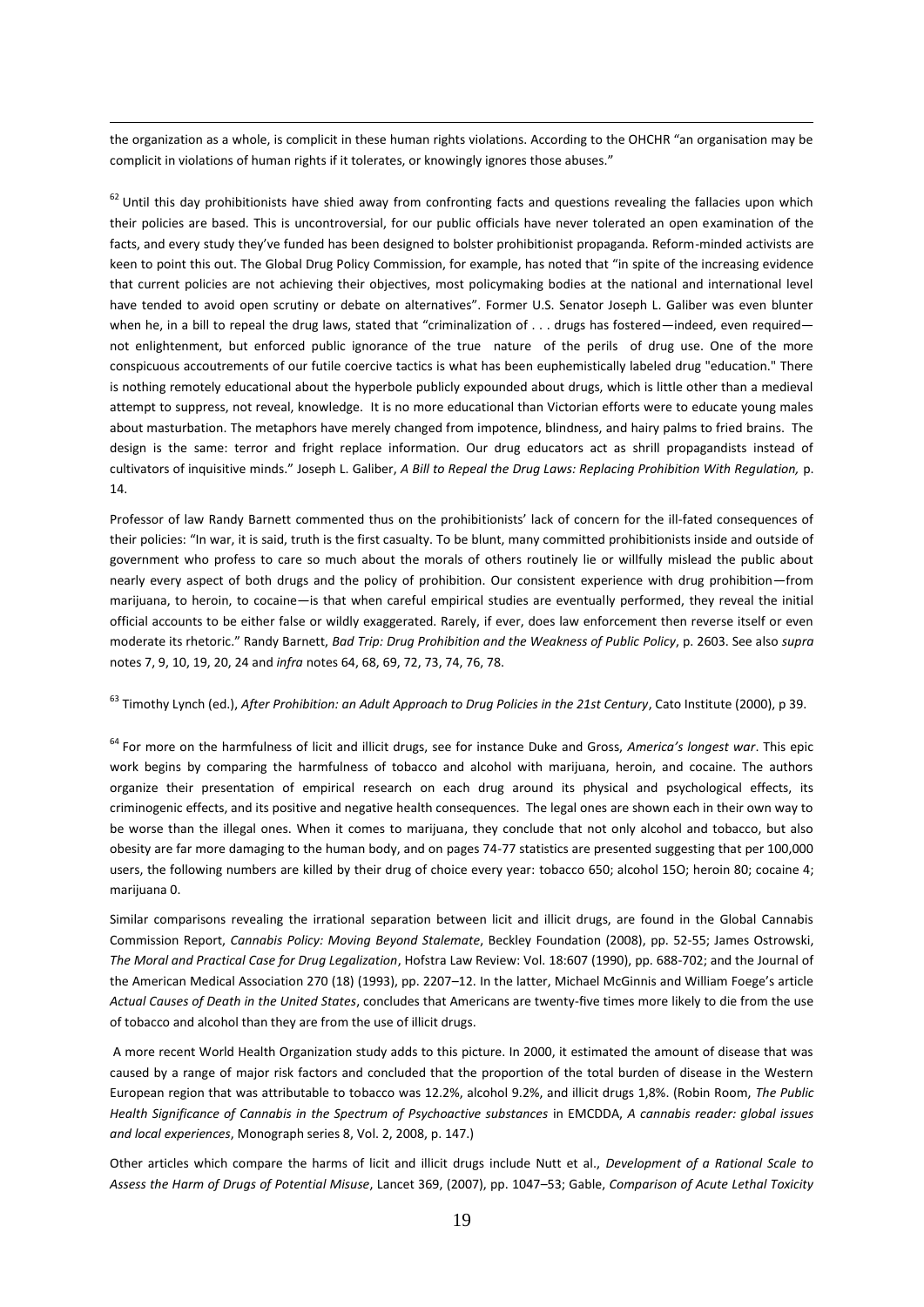the organization as a whole, is complicit in these human rights violations. According to the OHCHR "an organisation may be complicit in violations of human rights if it tolerates, or knowingly ignores those abuses."

 $\overline{a}$ 

 $62$  Until this day prohibitionists have shied away from confronting facts and questions revealing the fallacies upon which their policies are based. This is uncontroversial, for our public officials have never tolerated an open examination of the facts, and every study they've funded has been designed to bolster prohibitionist propaganda. Reform-minded activists are keen to point this out. The Global Drug Policy Commission, for example, has noted that "in spite of the increasing evidence that current policies are not achieving their objectives, most policymaking bodies at the national and international level have tended to avoid open scrutiny or debate on alternatives". Former U.S. Senator Joseph L. Galiber was even blunter when he, in a bill to repeal the drug laws, stated that "criminalization of . . . drugs has fostered—indeed, even required not enlightenment, but enforced public ignorance of the true nature of the perils of drug use. One of the more conspicuous accoutrements of our futile coercive tactics is what has been euphemistically labeled drug "education." There is nothing remotely educational about the hyperbole publicly expounded about drugs, which is little other than a medieval attempt to suppress, not reveal, knowledge. It is no more educational than Victorian efforts were to educate young males about masturbation. The metaphors have merely changed from impotence, blindness, and hairy palms to fried brains. The design is the same: terror and fright replace information. Our drug educators act as shrill propagandists instead of cultivators of inquisitive minds." Joseph L. Galiber, *A Bill to Repeal the Drug Laws: Replacing Prohibition With Regulation,* p. 14.

Professor of law Randy Barnett commented thus on the prohibitionists' lack of concern for the ill-fated consequences of their policies: "In war, it is said, truth is the first casualty. To be blunt, many committed prohibitionists inside and outside of government who profess to care so much about the morals of others routinely lie or willfully mislead the public about nearly every aspect of both drugs and the policy of prohibition. Our consistent experience with drug prohibition—from marijuana, to heroin, to cocaine—is that when careful empirical studies are eventually performed, they reveal the initial official accounts to be either false or wildly exaggerated. Rarely, if ever, does law enforcement then reverse itself or even moderate its rhetoric." Randy Barnett, *Bad Trip: Drug Prohibition and the Weakness of Public Policy*, p. 2603. See also *supra* notes 7, 9, 10, 19, 20, 24 and *infra* notes 64, 68, 69, 72, 73, 74, 76, 78.

## <sup>63</sup> Timothy Lynch (ed.), *After Prohibition: an Adult Approach to Drug Policies in the 21st Century*, Cato Institute (2000), p 39.

<sup>64</sup> For more on the harmfulness of licit and illicit drugs, see for instance Duke and Gross, *America's longest war*. This epic work begins by comparing the harmfulness of tobacco and alcohol with marijuana, heroin, and cocaine. The authors organize their presentation of empirical research on each drug around its physical and psychological effects, its criminogenic effects, and its positive and negative health consequences. The legal ones are shown each in their own way to be worse than the illegal ones. When it comes to marijuana, they conclude that not only alcohol and tobacco, but also obesity are far more damaging to the human body, and on pages 74-77 statistics are presented suggesting that per 100,000 users, the following numbers are killed by their drug of choice every year: tobacco 650; alcohol 15O; heroin 80; cocaine 4; marijuana 0.

Similar comparisons revealing the irrational separation between licit and illicit drugs, are found in the Global Cannabis Commission Report, *Cannabis Policy: Moving Beyond Stalemate*, Beckley Foundation (2008), pp. 52-55; James Ostrowski, *The Moral and Practical Case for Drug Legalization*, Hofstra Law Review: Vol. 18:607 (1990), pp. 688-702; and the Journal of the American Medical Association 270 (18) (1993), pp. 2207–12. In the latter, Michael McGinnis and William Foege's article *Actual Causes of Death in the United States*, concludes that Americans are twenty-five times more likely to die from the use of tobacco and alcohol than they are from the use of illicit drugs.

A more recent World Health Organization study adds to this picture. In 2000, it estimated the amount of disease that was caused by a range of major risk factors and concluded that the proportion of the total burden of disease in the Western European region that was attributable to tobacco was 12.2%, alcohol 9.2%, and illicit drugs 1,8%. (Robin Room, *The Public Health Significance of Cannabis in the Spectrum of Psychoactive substances* in EMCDDA, *A cannabis reader: global issues and local experiences*, Monograph series 8, Vol. 2, 2008, p. 147.)

Other articles which compare the harms of licit and illicit drugs include Nutt et al., *Development of a Rational Scale to Assess the Harm of Drugs of Potential Misuse*, Lancet 369, (2007), pp. 1047–53; Gable, *Comparison of Acute Lethal Toxicity*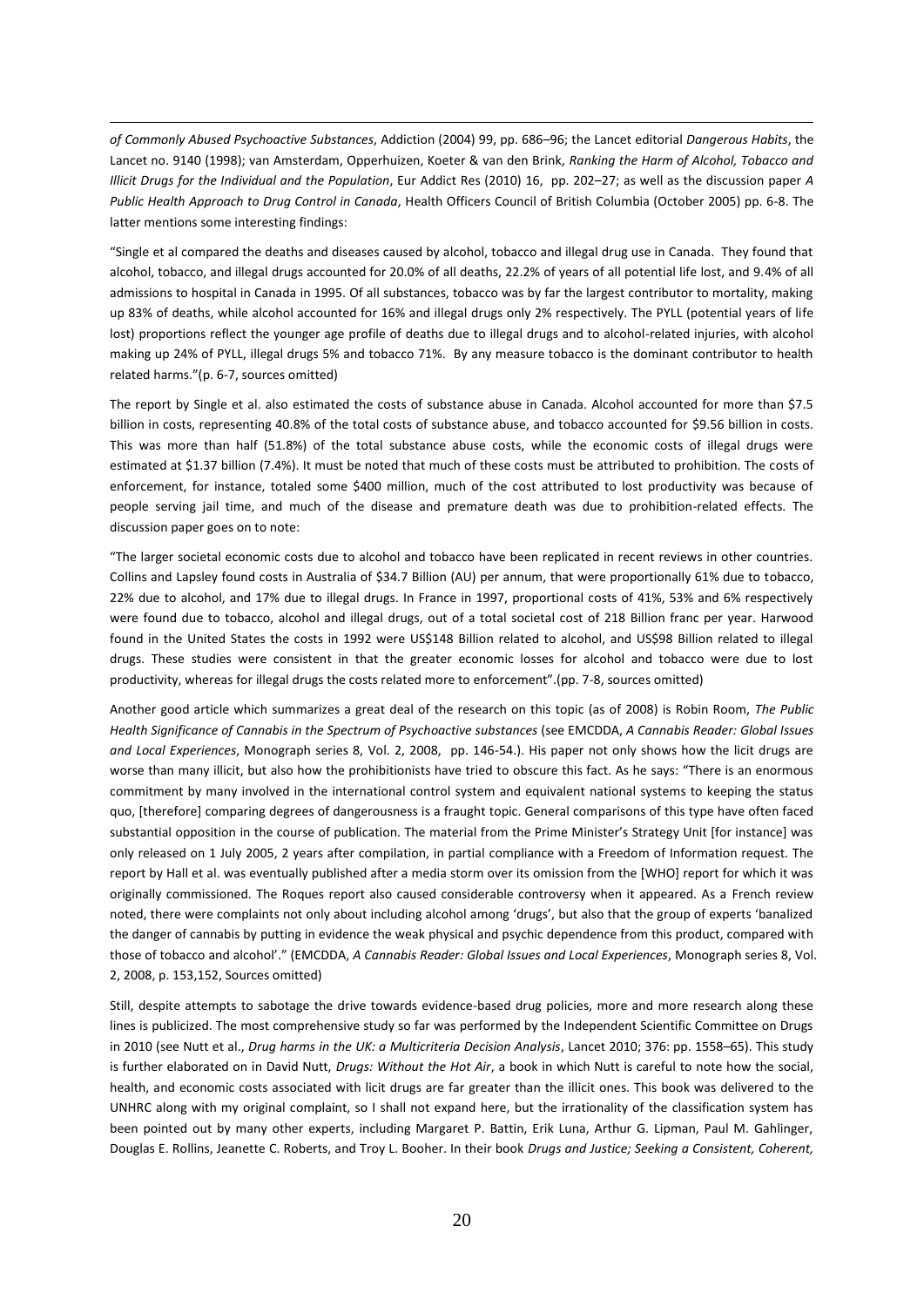*of Commonly Abused Psychoactive Substances*, Addiction (2004) 99, pp. 686–96; the Lancet editorial *Dangerous Habits*, the Lancet no. 9140 (1998); van Amsterdam, Opperhuizen, Koeter & van den Brink, *Ranking the Harm of Alcohol, Tobacco and Illicit Drugs for the Individual and the Population*, Eur Addict Res (2010) 16, pp. 202–27; as well as the discussion paper *A Public Health Approach to Drug Control in Canada*, Health Officers Council of British Columbia (October 2005) pp. 6-8. The latter mentions some interesting findings:

 $\overline{a}$ 

"Single et al compared the deaths and diseases caused by alcohol, tobacco and illegal drug use in Canada. They found that alcohol, tobacco, and illegal drugs accounted for 20.0% of all deaths, 22.2% of years of all potential life lost, and 9.4% of all admissions to hospital in Canada in 1995. Of all substances, tobacco was by far the largest contributor to mortality, making up 83% of deaths, while alcohol accounted for 16% and illegal drugs only 2% respectively. The PYLL (potential years of life lost) proportions reflect the younger age profile of deaths due to illegal drugs and to alcohol-related injuries, with alcohol making up 24% of PYLL, illegal drugs 5% and tobacco 71%. By any measure tobacco is the dominant contributor to health related harms."(p. 6-7, sources omitted)

The report by Single et al. also estimated the costs of substance abuse in Canada. Alcohol accounted for more than \$7.5 billion in costs, representing 40.8% of the total costs of substance abuse, and tobacco accounted for \$9.56 billion in costs. This was more than half (51.8%) of the total substance abuse costs, while the economic costs of illegal drugs were estimated at \$1.37 billion (7.4%). It must be noted that much of these costs must be attributed to prohibition. The costs of enforcement, for instance, totaled some \$400 million, much of the cost attributed to lost productivity was because of people serving jail time, and much of the disease and premature death was due to prohibition-related effects. The discussion paper goes on to note:

"The larger societal economic costs due to alcohol and tobacco have been replicated in recent reviews in other countries. Collins and Lapsley found costs in Australia of \$34.7 Billion (AU) per annum, that were proportionally 61% due to tobacco, 22% due to alcohol, and 17% due to illegal drugs. In France in 1997, proportional costs of 41%, 53% and 6% respectively were found due to tobacco, alcohol and illegal drugs, out of a total societal cost of 218 Billion franc per year. Harwood found in the United States the costs in 1992 were US\$148 Billion related to alcohol, and US\$98 Billion related to illegal drugs. These studies were consistent in that the greater economic losses for alcohol and tobacco were due to lost productivity, whereas for illegal drugs the costs related more to enforcement".(pp. 7-8, sources omitted)

Another good article which summarizes a great deal of the research on this topic (as of 2008) is Robin Room, *The Public Health Significance of Cannabis in the Spectrum of Psychoactive substances* (see EMCDDA, *A Cannabis Reader: Global Issues and Local Experiences*, Monograph series 8, Vol. 2, 2008, pp. 146-54.). His paper not only shows how the licit drugs are worse than many illicit, but also how the prohibitionists have tried to obscure this fact. As he says: "There is an enormous commitment by many involved in the international control system and equivalent national systems to keeping the status quo, [therefore] comparing degrees of dangerousness is a fraught topic. General comparisons of this type have often faced substantial opposition in the course of publication. The material from the Prime Minister's Strategy Unit [for instance] was only released on 1 July 2005, 2 years after compilation, in partial compliance with a Freedom of Information request. The report by Hall et al. was eventually published after a media storm over its omission from the [WHO] report for which it was originally commissioned. The Roques report also caused considerable controversy when it appeared. As a French review noted, there were complaints not only about including alcohol among 'drugs', but also that the group of experts 'banalized the danger of cannabis by putting in evidence the weak physical and psychic dependence from this product, compared with those of tobacco and alcohol'." (EMCDDA, *A Cannabis Reader: Global Issues and Local Experiences*, Monograph series 8, Vol. 2, 2008, p. 153,152, Sources omitted)

Still, despite attempts to sabotage the drive towards evidence-based drug policies, more and more research along these lines is publicized. The most comprehensive study so far was performed by the Independent Scientific Committee on Drugs in 2010 (see Nutt et al., *Drug harms in the UK: a Multicriteria Decision Analysis*, Lancet 2010; 376: pp. 1558–65). This study is further elaborated on in David Nutt, *Drugs: Without the Hot Air*, a book in which Nutt is careful to note how the social, health, and economic costs associated with licit drugs are far greater than the illicit ones. This book was delivered to the UNHRC along with my original complaint, so I shall not expand here, but the irrationality of the classification system has been pointed out by many other experts, including Margaret P. Battin, Erik Luna, Arthur G. Lipman, Paul M. Gahlinger, Douglas E. Rollins, Jeanette C. Roberts, and Troy L. Booher. In their book *Drugs and Justice; Seeking a Consistent, Coherent,*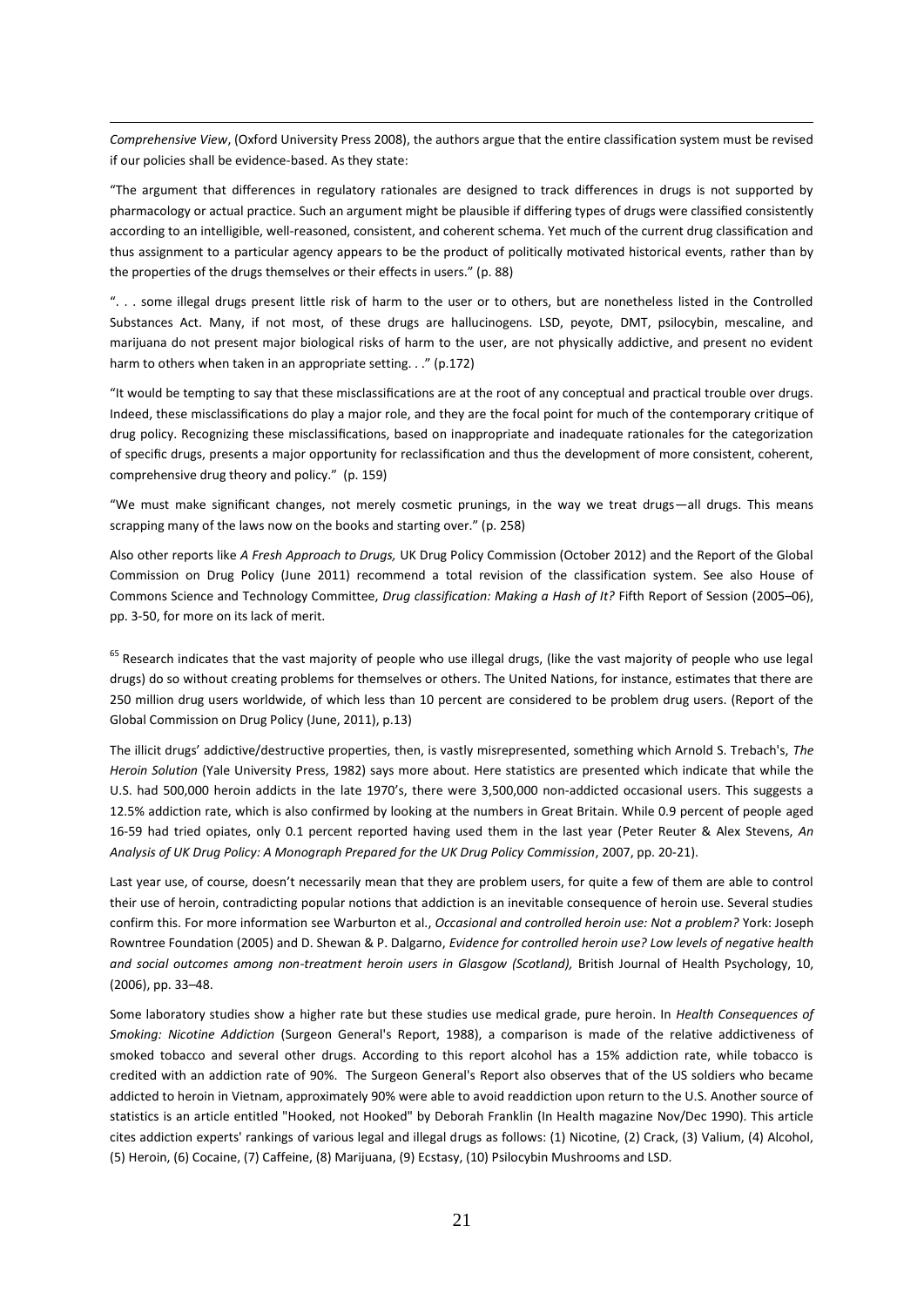*Comprehensive View*, (Oxford University Press 2008), the authors argue that the entire classification system must be revised if our policies shall be evidence-based. As they state:

 $\overline{a}$ 

"The argument that differences in regulatory rationales are designed to track differences in drugs is not supported by pharmacology or actual practice. Such an argument might be plausible if differing types of drugs were classified consistently according to an intelligible, well-reasoned, consistent, and coherent schema. Yet much of the current drug classification and thus assignment to a particular agency appears to be the product of politically motivated historical events, rather than by the properties of the drugs themselves or their effects in users." (p. 88)

". . . some illegal drugs present little risk of harm to the user or to others, but are nonetheless listed in the Controlled Substances Act. Many, if not most, of these drugs are hallucinogens. LSD, peyote, DMT, psilocybin, mescaline, and marijuana do not present major biological risks of harm to the user, are not physically addictive, and present no evident harm to others when taken in an appropriate setting. . ." (p.172)

"It would be tempting to say that these misclassifications are at the root of any conceptual and practical trouble over drugs. Indeed, these misclassifications do play a major role, and they are the focal point for much of the contemporary critique of drug policy. Recognizing these misclassifications, based on inappropriate and inadequate rationales for the categorization of specific drugs, presents a major opportunity for reclassification and thus the development of more consistent, coherent, comprehensive drug theory and policy." (p. 159)

"We must make significant changes, not merely cosmetic prunings, in the way we treat drugs—all drugs. This means scrapping many of the laws now on the books and starting over." (p. 258)

Also other reports like *A Fresh Approach to Drugs,* UK Drug Policy Commission (October 2012) and the Report of the Global Commission on Drug Policy (June 2011) recommend a total revision of the classification system. See also House of Commons Science and Technology Committee, *Drug classification: Making a Hash of It?* Fifth Report of Session (2005–06), pp. 3-50, for more on its lack of merit.

<sup>65</sup> Research indicates that the vast majority of people who use illegal drugs, (like the vast majority of people who use legal drugs) do so without creating problems for themselves or others. The United Nations, for instance, estimates that there are 250 million drug users worldwide, of which less than 10 percent are considered to be problem drug users. (Report of the Global Commission on Drug Policy (June, 2011), p.13)

The illicit drugs' addictive/destructive properties, then, is vastly misrepresented, something which Arnold S. Trebach's, *The Heroin Solution* (Yale University Press, 1982) says more about. Here statistics are presented which indicate that while the U.S. had 500,000 heroin addicts in the late 1970's, there were 3,500,000 non-addicted occasional users. This suggests a 12.5% addiction rate, which is also confirmed by looking at the numbers in Great Britain. While 0.9 percent of people aged 16-59 had tried opiates, only 0.1 percent reported having used them in the last year (Peter Reuter & Alex Stevens, *An Analysis of UK Drug Policy: A Monograph Prepared for the UK Drug Policy Commission*, 2007, pp. 20-21).

Last year use, of course, doesn't necessarily mean that they are problem users, for quite a few of them are able to control their use of heroin, contradicting popular notions that addiction is an inevitable consequence of heroin use. Several studies confirm this. For more information see Warburton et al., *Occasional and controlled heroin use: Not a problem?* York: Joseph Rowntree Foundation (2005) and D. Shewan & P. Dalgarno, *Evidence for controlled heroin use? Low levels of negative health and social outcomes among non-treatment heroin users in Glasgow (Scotland),* British Journal of Health Psychology, 10, (2006), pp. 33–48.

Some laboratory studies show a higher rate but these studies use medical grade, pure heroin. In *Health Consequences of Smoking: Nicotine Addiction* (Surgeon General's Report, 1988), a comparison is made of the relative addictiveness of smoked tobacco and several other drugs. According to this report alcohol has a 15% addiction rate, while tobacco is credited with an addiction rate of 90%. The Surgeon General's Report also observes that of the US soldiers who became addicted to heroin in Vietnam, approximately 90% were able to avoid readdiction upon return to the U.S. Another source of statistics is an article entitled "Hooked, not Hooked" by Deborah Franklin (In Health magazine Nov/Dec 1990). This article cites addiction experts' rankings of various legal and illegal drugs as follows: (1) Nicotine, (2) Crack, (3) Valium, (4) Alcohol, (5) Heroin, (6) Cocaine, (7) Caffeine, (8) Marijuana, (9) Ecstasy, (10) Psilocybin Mushrooms and LSD.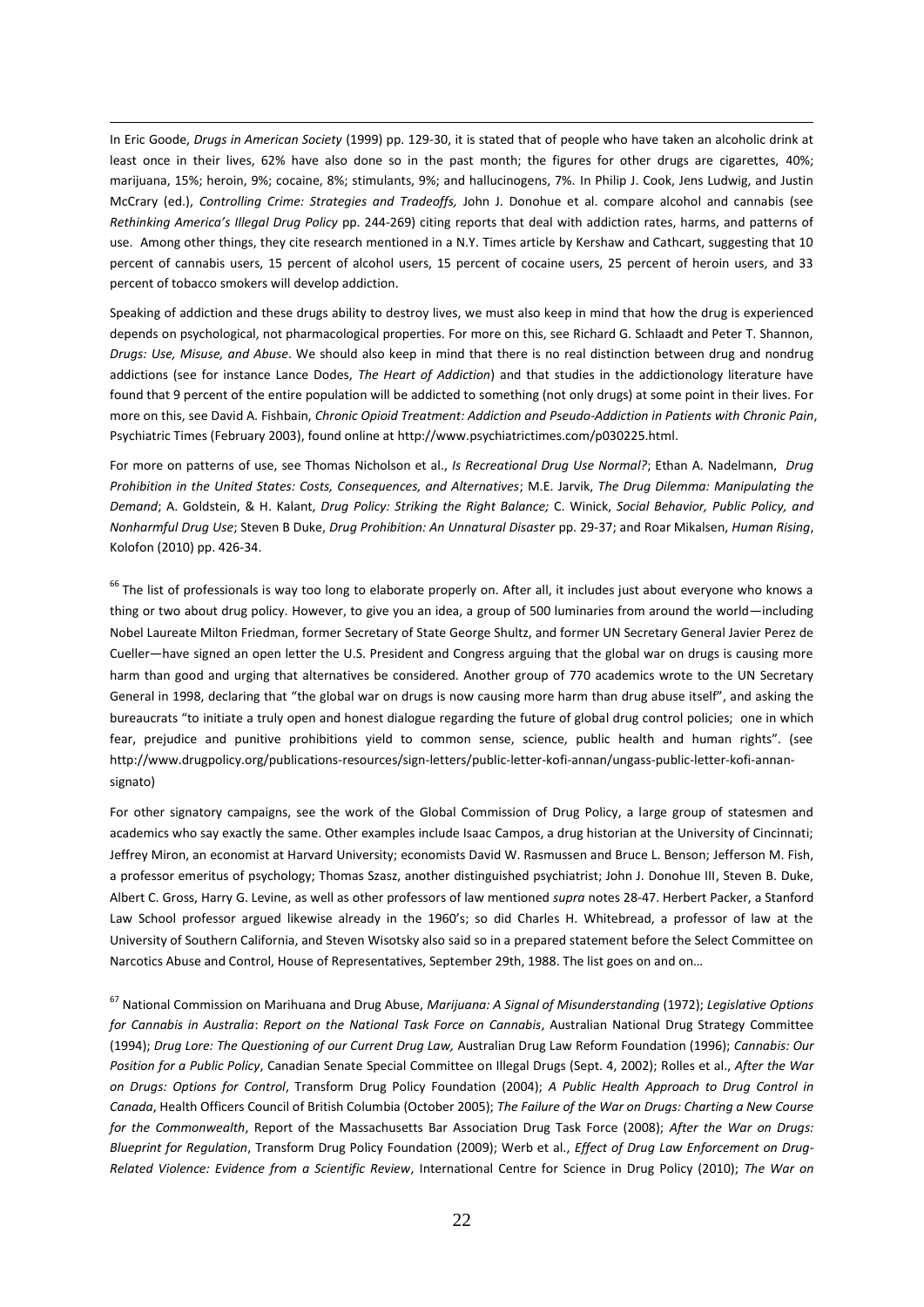In Eric Goode, *Drugs in American Society* (1999) pp. 129-30, it is stated that of people who have taken an alcoholic drink at least once in their lives, 62% have also done so in the past month; the figures for other drugs are cigarettes, 40%; marijuana, 15%; heroin, 9%; cocaine, 8%; stimulants, 9%; and hallucinogens, 7%. In Philip J. Cook, Jens Ludwig, and Justin McCrary (ed.), *Controlling Crime: Strategies and Tradeoffs,* John J. Donohue et al. compare alcohol and cannabis (see *Rethinking America's Illegal Drug Policy* pp. 244-269) citing reports that deal with addiction rates, harms, and patterns of use. Among other things, they cite research mentioned in a N.Y. Times article by Kershaw and Cathcart, suggesting that 10 percent of cannabis users, 15 percent of alcohol users, 15 percent of cocaine users, 25 percent of heroin users, and 33 percent of tobacco smokers will develop addiction.

 $\overline{a}$ 

Speaking of addiction and these drugs ability to destroy lives, we must also keep in mind that how the drug is experienced depends on psychological, not pharmacological properties. For more on this, see Richard G. Schlaadt and Peter T. Shannon, *Drugs: Use, Misuse, and Abuse*. We should also keep in mind that there is no real distinction between drug and nondrug addictions (see for instance Lance Dodes, *The Heart of Addiction*) and that studies in the addictionology literature have found that 9 percent of the entire population will be addicted to something (not only drugs) at some point in their lives. For more on this, see David A. Fishbain, *Chronic Opioid Treatment: Addiction and Pseudo-Addiction in Patients with Chronic Pain*, Psychiatric Times (February 2003), found online at http://www.psychiatrictimes.com/p030225.html.

For more on patterns of use, see Thomas Nicholson et al., *Is Recreational Drug Use Normal?*; Ethan A. Nadelmann, *Drug Prohibition in the United States: Costs, Consequences, and Alternatives*; M.E. Jarvik, *The Drug Dilemma: Manipulating the Demand*; A. Goldstein, & H. Kalant, *Drug Policy: Striking the Right Balance;* C. Winick, *Social Behavior, Public Policy, and Nonharmful Drug Use*; Steven B Duke, *Drug Prohibition: An Unnatural Disaster* pp. 29-37; and Roar Mikalsen, *Human Rising*, Kolofon (2010) pp. 426-34.

 $66$  The list of professionals is way too long to elaborate properly on. After all, it includes just about everyone who knows a thing or two about drug policy. However, to give you an idea, a group of 500 luminaries from around the world—including Nobel Laureate Milton Friedman, former Secretary of State George Shultz, and former UN Secretary General Javier Perez de Cueller—have signed an open letter the U.S. President and Congress arguing that the global war on drugs is causing more harm than good and urging that alternatives be considered. Another group of 770 academics wrote to the UN Secretary General in 1998, declaring that "the global war on drugs is now causing more harm than drug abuse itself", and asking the bureaucrats "to initiate a truly open and honest dialogue regarding the future of global drug control policies; one in which fear, prejudice and punitive prohibitions yield to common sense, science, public health and human rights". (see [http://www.drugpolicy.org/publications-resources/sign-letters/public-letter-kofi-annan/ungass-public-letter-kofi-annan](http://www.drugpolicy.org/publications-resources/sign-letters/public-letter-kofi-annan/ungass-public-letter-kofi-annan-signato)[signato\)](http://www.drugpolicy.org/publications-resources/sign-letters/public-letter-kofi-annan/ungass-public-letter-kofi-annan-signato)

For other signatory campaigns, see the work of the Global Commission of Drug Policy, a large group of statesmen and academics who say exactly the same. Other examples include Isaac Campos, a drug historian at the University of Cincinnati; Jeffrey Miron, an economist at Harvard University; economists David W. Rasmussen and Bruce L. Benson; Jefferson M. Fish, a professor emeritus of psychology; Thomas Szasz, another distinguished psychiatrist; John J. Donohue III, Steven B. Duke, Albert C. Gross, Harry G. Levine, as well as other professors of law mentioned *supra* notes 28-47. Herbert Packer, a Stanford Law School professor argued likewise already in the 1960's; so did Charles H. Whitebread, a professor of law at the University of Southern California, and Steven Wisotsky also said so in a prepared statement before the Select Committee on Narcotics Abuse and Control, House of Representatives, September 29th, 1988. The list goes on and on…

<sup>67</sup> National Commission on Marihuana and Drug Abuse, *Marijuana: A Signal of Misunderstanding* (1972); *Legislative Options for Cannabis in Australia*: *Report on the National Task Force on Cannabis*, Australian National Drug Strategy Committee (1994); *Drug Lore: The Questioning of our Current Drug Law,* Australian Drug Law Reform Foundation (1996); *Cannabis: Our Position for a Public Policy*, Canadian Senate Special Committee on Illegal Drugs (Sept. 4, 2002); Rolles et al., *After the War on Drugs: Options for Control*, Transform Drug Policy Foundation (2004); *A Public Health Approach to Drug Control in Canada*, Health Officers Council of British Columbia (October 2005); *The Failure of the War on Drugs: Charting a New Course for the Commonwealth*, Report of the Massachusetts Bar Association Drug Task Force (2008); *After the War on Drugs: Blueprint for Regulation*, Transform Drug Policy Foundation (2009); Werb et al., *Effect of Drug Law Enforcement on Drug-Related Violence: Evidence from a Scientific Review*, International Centre for Science in Drug Policy (2010); *The War on*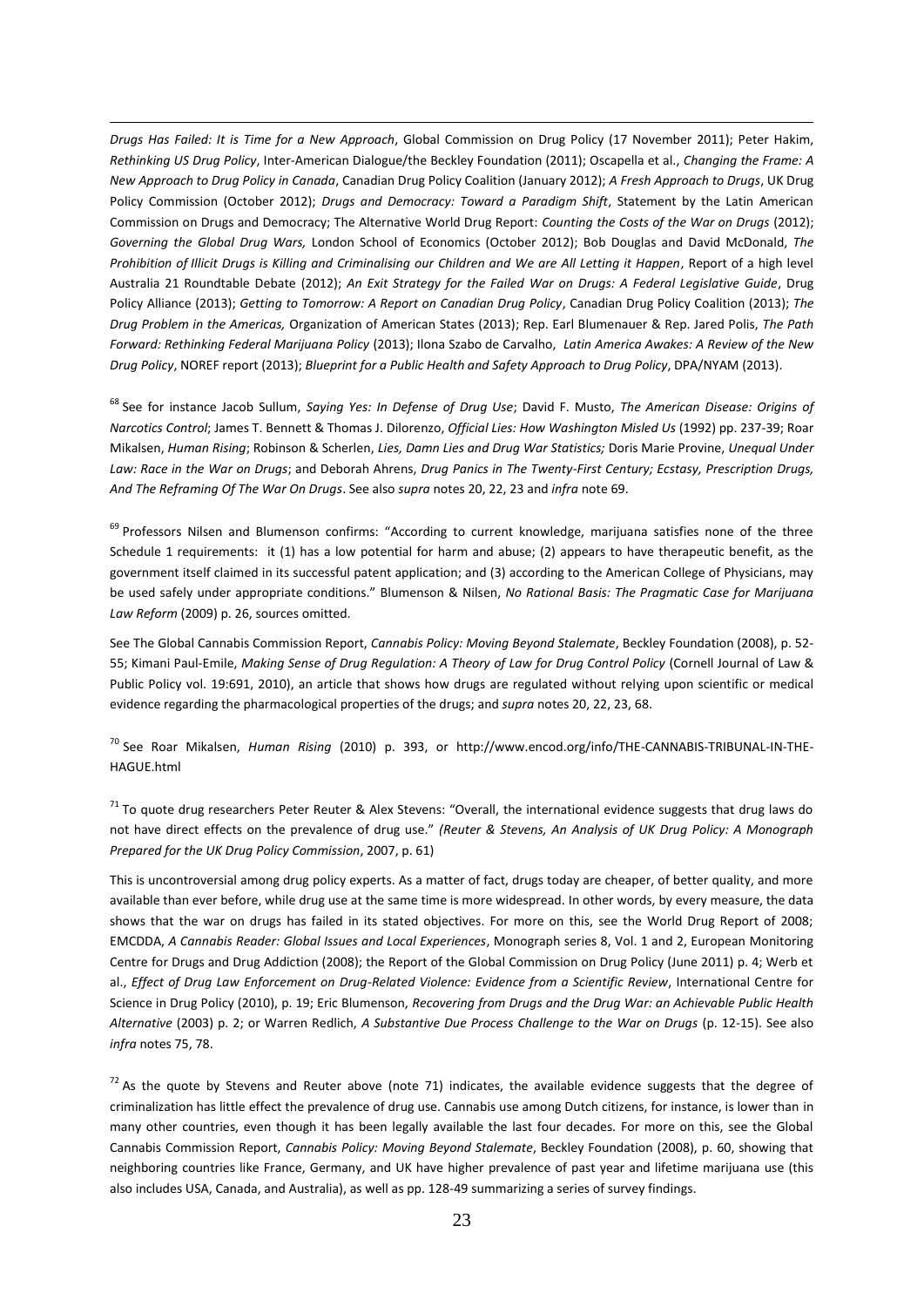*Drugs Has Failed: It is Time for a New Approach*, Global Commission on Drug Policy (17 November 2011); Peter Hakim, *Rethinking US Drug Policy*, Inter-American Dialogue/the Beckley Foundation (2011); Oscapella et al., *Changing the Frame: A New Approach to Drug Policy in Canada*, Canadian Drug Policy Coalition (January 2012); *A Fresh Approach to Drugs*, UK Drug Policy Commission (October 2012); *Drugs and Democracy: Toward a Paradigm Shift*, Statement by the Latin American Commission on Drugs and Democracy; The Alternative World Drug Report: *Counting the Costs of the War on Drugs* (2012); *Governing the Global Drug Wars,* London School of Economics (October 2012); Bob Douglas and David McDonald, *The Prohibition of Illicit Drugs is Killing and Criminalising our Children and We are All Letting it Happen*, Report of a high level Australia 21 Roundtable Debate (2012); *An Exit Strategy for the Failed War on Drugs: A Federal Legislative Guide*, Drug Policy Alliance (2013); *Getting to Tomorrow: A Report on Canadian Drug Policy*, Canadian Drug Policy Coalition (2013); *The Drug Problem in the Americas,* Organization of American States (2013); Rep. Earl Blumenauer & Rep. Jared Polis, *The Path Forward: Rethinking Federal Marijuana Policy* (2013); Ilona Szabo de Carvalho, *Latin America Awakes: A Review of the New Drug Policy*, NOREF report (2013); *Blueprint for a Public Health and Safety Approach to Drug Policy*, DPA/NYAM (2013).

 $\overline{a}$ 

<sup>68</sup> See for instance Jacob Sullum, *Saying Yes: In Defense of Drug Use*; David F. Musto, *The American Disease: Origins of Narcotics Control*; James T. Bennett & Thomas J. Dilorenzo, *Official Lies: How Washington Misled Us* (1992) pp. 237-39; Roar Mikalsen, *Human Rising*; Robinson & Scherlen, *Lies, Damn Lies and Drug War Statistics;* Doris Marie Provine, *Unequal Under Law: Race in the War on Drugs*; and Deborah Ahrens, *Drug Panics in The Twenty-First Century; Ecstasy, Prescription Drugs, And The Reframing Of The War On Drugs*. See also *supra* notes 20, 22, 23 and *infra* note 69.

<sup>69</sup> Professors Nilsen and Blumenson confirms: "According to current knowledge, marijuana satisfies none of the three Schedule 1 requirements: it (1) has a low potential for harm and abuse; (2) appears to have therapeutic benefit, as the government itself claimed in its successful patent application; and (3) according to the American College of Physicians, may be used safely under appropriate conditions." Blumenson & Nilsen, *No Rational Basis: The Pragmatic Case for Marijuana Law Reform* (2009) p. 26, sources omitted.

See The Global Cannabis Commission Report, *Cannabis Policy: Moving Beyond Stalemate*, Beckley Foundation (2008), p. 52- 55; Kimani Paul-Emile, *Making Sense of Drug Regulation: A Theory of Law for Drug Control Policy* (Cornell Journal of Law & Public Policy vol. 19:691, 2010), an article that shows how drugs are regulated without relying upon scientific or medical evidence regarding the pharmacological properties of the drugs; and *supra* notes 20, 22, 23, 68.

<sup>70</sup> See Roar Mikalsen, *Human Rising* (2010) p. 393, or [http://www.encod.org/info/THE-CANNABIS-TRIBUNAL-IN-THE-](http://www.encod.org/info/THE-CANNABIS-TRIBUNAL-IN-THE-HAGUE.html)[HAGUE.html](http://www.encod.org/info/THE-CANNABIS-TRIBUNAL-IN-THE-HAGUE.html)

 $71$  To quote drug researchers Peter Reuter & Alex Stevens: "Overall, the international evidence suggests that drug laws do not have direct effects on the prevalence of drug use." *(Reuter & Stevens, An Analysis of UK Drug Policy: A Monograph Prepared for the UK Drug Policy Commission*, 2007, p. 61)

This is uncontroversial among drug policy experts. As a matter of fact, drugs today are cheaper, of better quality, and more available than ever before, while drug use at the same time is more widespread. In other words, by every measure, the data shows that the war on drugs has failed in its stated objectives. For more on this, see the World Drug Report of 2008; EMCDDA, *A Cannabis Reader: Global Issues and Local Experiences*, Monograph series 8, Vol. 1 and 2, European Monitoring Centre for Drugs and Drug Addiction (2008); the Report of the Global Commission on Drug Policy (June 2011) p. 4; Werb et al., *Effect of Drug Law Enforcement on Drug-Related Violence: Evidence from a Scientific Review*, International Centre for Science in Drug Policy (2010), p. 19; Eric Blumenson, *Recovering from Drugs and the Drug War: an Achievable Public Health Alternative* (2003) p. 2; or Warren Redlich, *A Substantive Due Process Challenge to the War on Drugs* (p. 12-15). See also *infra* notes 75, 78.

 $72$  As the quote by Stevens and Reuter above (note 71) indicates, the available evidence suggests that the degree of criminalization has little effect the prevalence of drug use. Cannabis use among Dutch citizens, for instance, is lower than in many other countries, even though it has been legally available the last four decades. For more on this, see the Global Cannabis Commission Report, *Cannabis Policy: Moving Beyond Stalemate*, Beckley Foundation (2008), p. 60, showing that neighboring countries like France, Germany, and UK have higher prevalence of past year and lifetime marijuana use (this also includes USA, Canada, and Australia), as well as pp. 128-49 summarizing a series of survey findings.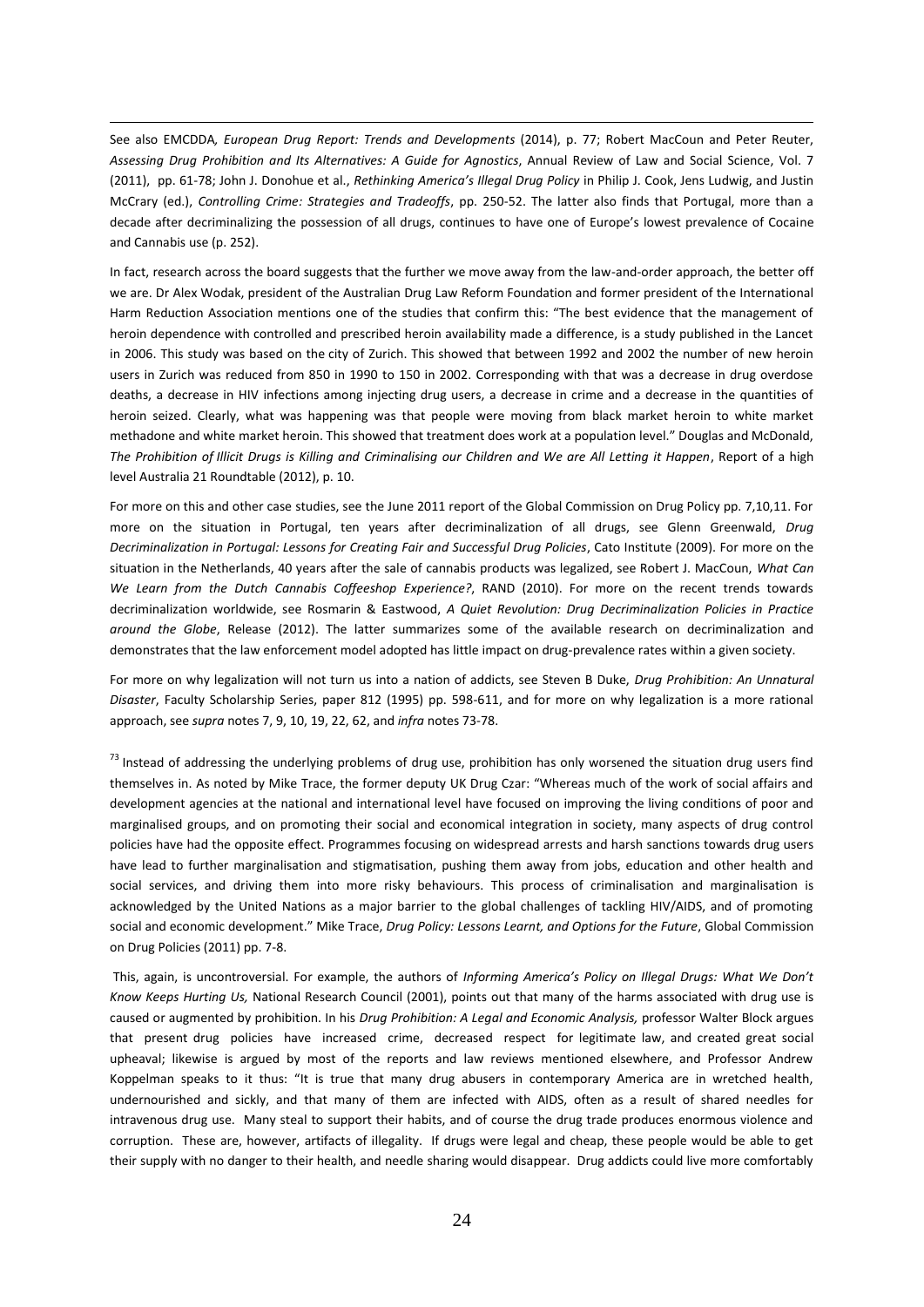See also EMCDDA*, European Drug Report: Trends and Developments* (2014), p. 77; Robert MacCoun and Peter Reuter, *[Assessing Drug Prohibition and Its Alternatives: A Guide for Agnostics](http://gspp.berkeley.edu/research/selected-publications/assessingdrugprohibition-and-its-alternatives-a-guide-for-agnostics)*, [Annual Review of Law and Social Science,](http://www.annualreviews.org/doi/pdf/10.1146/annurev-lawsocsci-102510-105442) Vol. 7 (2011), pp. 61-78; John J. Donohue et al., *Rethinking America's Illegal Drug Policy* in Philip J. Cook, Jens Ludwig, and Justin McCrary (ed.), *Controlling Crime: Strategies and Tradeoffs*, pp. 250-52. The latter also finds that Portugal, more than a decade after decriminalizing the possession of all drugs, continues to have one of Europe's lowest prevalence of Cocaine and Cannabis use (p. 252).

 $\overline{a}$ 

In fact, research across the board suggests that the further we move away from the law-and-order approach, the better off we are. Dr Alex Wodak, president of the Australian Drug Law Reform Foundation and former president of the International Harm Reduction Association mentions one of the studies that confirm this: "The best evidence that the management of heroin dependence with controlled and prescribed heroin availability made a difference, is a study published in the Lancet in 2006. This study was based on the city of Zurich. This showed that between 1992 and 2002 the number of new heroin users in Zurich was reduced from 850 in 1990 to 150 in 2002. Corresponding with that was a decrease in drug overdose deaths, a decrease in HIV infections among injecting drug users, a decrease in crime and a decrease in the quantities of heroin seized. Clearly, what was happening was that people were moving from black market heroin to white market methadone and white market heroin. This showed that treatment does work at a population level." Douglas and McDonald, *The Prohibition of Illicit Drugs is Killing and Criminalising our Children and We are All Letting it Happen*, Report of a high level Australia 21 Roundtable (2012), p. 10.

For more on this and other case studies, see the June 2011 report of the Global Commission on Drug Policy pp. 7,10,11. For more on the situation in Portugal, ten years after decriminalization of all drugs, see Glenn Greenwald, *Drug Decriminalization in Portugal: Lessons for Creating Fair and Successful Drug Policies*, Cato Institute (2009). For more on the situation in the Netherlands, 40 years after the sale of cannabis products was legalized, see Robert J. MacCoun, *What Can We Learn from the Dutch Cannabis Coffeeshop Experience?*, RAND (2010). For more on the recent trends towards decriminalization worldwide, see Rosmarin & Eastwood, *A Quiet Revolution: Drug Decriminalization Policies in Practice around the Globe*, Release (2012). The latter summarizes some of the available research on decriminalization and demonstrates that the law enforcement model adopted has little impact on drug-prevalence rates within a given society.

For more on why legalization will not turn us into a nation of addicts, see Steven B Duke, *Drug Prohibition: An Unnatural Disaster*, Faculty Scholarship Series, paper 812 (1995) pp. 598-611, and for more on why legalization is a more rational approach, see *supra* notes 7, 9, 10, 19, 22, 62, and *infra* notes 73-78.

 $<sup>73</sup>$  Instead of addressing the underlying problems of drug use, prohibition has only worsened the situation drug users find</sup> themselves in. As noted by Mike Trace, the former deputy UK Drug Czar: "Whereas much of the work of social affairs and development agencies at the national and international level have focused on improving the living conditions of poor and marginalised groups, and on promoting their social and economical integration in society, many aspects of drug control policies have had the opposite effect. Programmes focusing on widespread arrests and harsh sanctions towards drug users have lead to further marginalisation and stigmatisation, pushing them away from jobs, education and other health and social services, and driving them into more risky behaviours. This process of criminalisation and marginalisation is acknowledged by the United Nations as a major barrier to the global challenges of tackling HIV/AIDS, and of promoting social and economic development." Mike Trace, *Drug Policy: Lessons Learnt, and Options for the Future*, Global Commission on Drug Policies (2011) pp. 7-8.

This, again, is uncontroversial. For example, the authors of *Informing America's Policy on Illegal Drugs: What We Don't Know Keeps Hurting Us,* National Research Council (2001), points out that many of the harms associated with drug use is caused or augmented by prohibition. In his *Drug Prohibition: A Legal and Economic Analysis,* professor Walter Block argues that present drug policies have increased crime, decreased respect for legitimate law, and created great social upheaval; likewise is argued by most of the reports and law reviews mentioned elsewhere, and Professor Andrew Koppelman speaks to it thus: "It is true that many drug abusers in contemporary America are in wretched health, undernourished and sickly, and that many of them are infected with AIDS, often as a result of shared needles for intravenous drug use. Many steal to support their habits, and of course the drug trade produces enormous violence and corruption. These are, however, artifacts of illegality. If drugs were legal and cheap, these people would be able to get their supply with no danger to their health, and needle sharing would disappear. Drug addicts could live more comfortably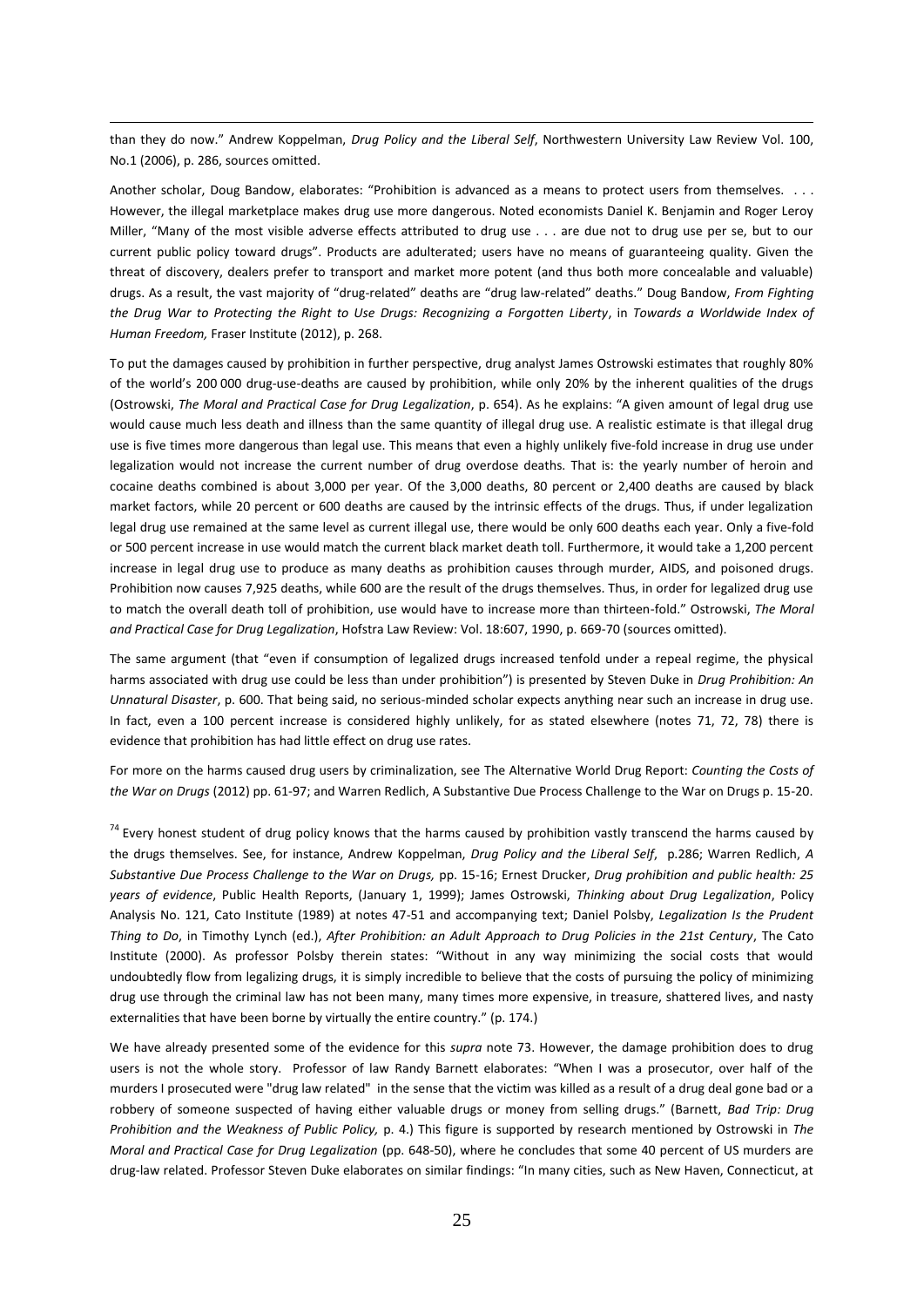than they do now." Andrew Koppelman, *Drug Policy and the Liberal Self*, Northwestern University Law Review Vol. 100, No.1 (2006), p. 286, sources omitted.

 $\overline{a}$ 

Another scholar, Doug Bandow, elaborates: "Prohibition is advanced as a means to protect users from themselves. However, the illegal marketplace makes drug use more dangerous. Noted economists Daniel K. Benjamin and Roger Leroy Miller, "Many of the most visible adverse effects attributed to drug use . . . are due not to drug use per se, but to our current public policy toward drugs". Products are adulterated; users have no means of guaranteeing quality. Given the threat of discovery, dealers prefer to transport and market more potent (and thus both more concealable and valuable) drugs. As a result, the vast majority of "drug-related" deaths are "drug law-related" deaths." Doug Bandow, *From Fighting the Drug War to Protecting the Right to Use Drugs: Recognizing a Forgotten Liberty*, in *Towards a Worldwide Index of Human Freedom,* Fraser Institute (2012), p. 268.

To put the damages caused by prohibition in further perspective, drug analyst James Ostrowski estimates that roughly 80% of the world's 200 000 drug-use-deaths are caused by prohibition, while only 20% by the inherent qualities of the drugs (Ostrowski, *The Moral and Practical Case for Drug Legalization*, p. 654). As he explains: "A given amount of legal drug use would cause much less death and illness than the same quantity of illegal drug use. A realistic estimate is that illegal drug use is five times more dangerous than legal use. This means that even a highly unlikely five-fold increase in drug use under legalization would not increase the current number of drug overdose deaths. That is: the yearly number of heroin and cocaine deaths combined is about 3,000 per year. Of the 3,000 deaths, 80 percent or 2,400 deaths are caused by black market factors, while 20 percent or 600 deaths are caused by the intrinsic effects of the drugs. Thus, if under legalization legal drug use remained at the same level as current illegal use, there would be only 600 deaths each year. Only a five-fold or 500 percent increase in use would match the current black market death toll. Furthermore, it would take a 1,200 percent increase in legal drug use to produce as many deaths as prohibition causes through murder, AIDS, and poisoned drugs. Prohibition now causes 7,925 deaths, while 600 are the result of the drugs themselves. Thus, in order for legalized drug use to match the overall death toll of prohibition, use would have to increase more than thirteen-fold." Ostrowski, *The Moral and Practical Case for Drug Legalization*, Hofstra Law Review: Vol. 18:607, 1990, p. 669-70 (sources omitted).

The same argument (that "even if consumption of legalized drugs increased tenfold under a repeal regime, the physical harms associated with drug use could be less than under prohibition") is presented by Steven Duke in *Drug Prohibition: An Unnatural Disaster*, p. 600. That being said, no serious-minded scholar expects anything near such an increase in drug use. In fact, even a 100 percent increase is considered highly unlikely, for as stated elsewhere (notes 71, 72, 78) there is evidence that prohibition has had little effect on drug use rates.

For more on the harms caused drug users by criminalization, see The Alternative World Drug Report: *Counting the Costs of the War on Drugs* (2012) pp. 61-97; and Warren Redlich, A Substantive Due Process Challenge to the War on Drugs p. 15-20.

 $74$  Every honest student of drug policy knows that the harms caused by prohibition vastly transcend the harms caused by the drugs themselves. See, for instance, Andrew Koppelman, *Drug Policy and the Liberal Self*, p.286; Warren Redlich, *A Substantive Due Process Challenge to the War on Drugs,* pp. 15-16; Ernest Drucker, *Drug prohibition and public health: 25 years of evidence*, Public Health Reports, (January 1, 1999); James Ostrowski, *Thinking about Drug Legalization*, Policy Analysis No. 121, Cato Institute (1989) at notes 47-51 and accompanying text; Daniel Polsby, *Legalization Is the Prudent Thing to Do*, in Timothy Lynch (ed.), *After Prohibition: an Adult Approach to Drug Policies in the 21st Century*, The Cato Institute (2000). As professor Polsby therein states: "Without in any way minimizing the social costs that would undoubtedly flow from legalizing drugs, it is simply incredible to believe that the costs of pursuing the policy of minimizing drug use through the criminal law has not been many, many times more expensive, in treasure, shattered lives, and nasty externalities that have been borne by virtually the entire country." (p. 174.)

We have already presented some of the evidence for this *supra* note 73. However, the damage prohibition does to drug users is not the whole story. Professor of law Randy Barnett elaborates: "When I was a prosecutor, over half of the murders I prosecuted were "drug law related" in the sense that the victim was killed as a result of a drug deal gone bad or a robbery of someone suspected of having either valuable drugs or money from selling drugs." (Barnett, *Bad Trip: Drug Prohibition and the Weakness of Public Policy,* p. 4.) This figure is supported by research mentioned by Ostrowski in *The Moral and Practical Case for Drug Legalization* (pp. 648-50), where he concludes that some 40 percent of US murders are drug-law related. Professor Steven Duke elaborates on similar findings: "In many cities, such as New Haven, Connecticut, at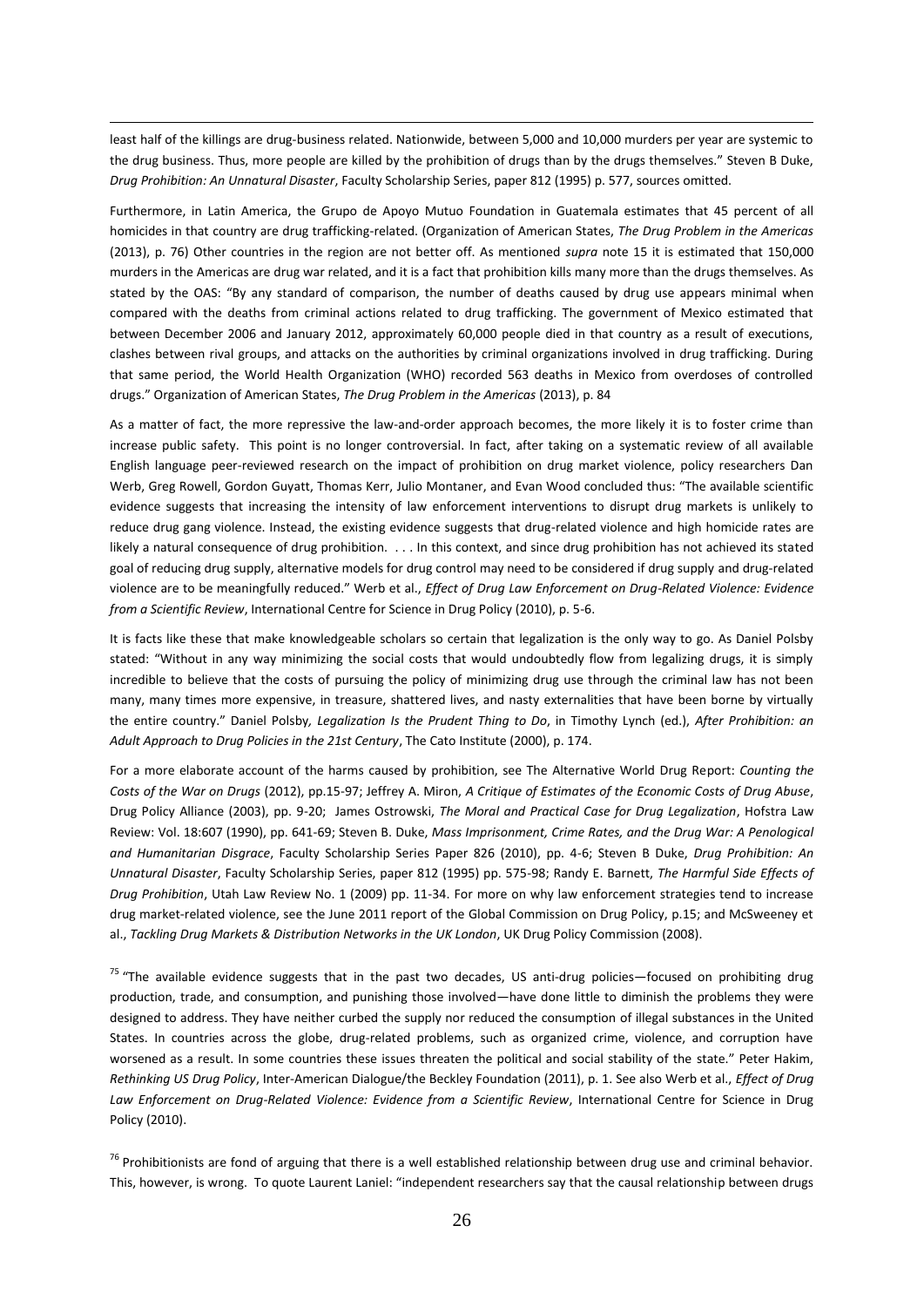least half of the killings are drug-business related. Nationwide, between 5,000 and 10,000 murders per year are systemic to the drug business. Thus, more people are killed by the prohibition of drugs than by the drugs themselves." Steven B Duke, *Drug Prohibition: An Unnatural Disaster*, Faculty Scholarship Series, paper 812 (1995) p. 577, sources omitted.

 $\overline{a}$ 

Furthermore, in Latin America, the Grupo de Apoyo Mutuo Foundation in Guatemala estimates that 45 percent of all homicides in that country are drug trafficking-related. (Organization of American States, *The Drug Problem in the Americas* (2013), p. 76) Other countries in the region are not better off. As mentioned *supra* note 15 it is estimated that 150,000 murders in the Americas are drug war related, and it is a fact that prohibition kills many more than the drugs themselves. As stated by the OAS: "By any standard of comparison, the number of deaths caused by drug use appears minimal when compared with the deaths from criminal actions related to drug trafficking. The government of Mexico estimated that between December 2006 and January 2012, approximately 60,000 people died in that country as a result of executions, clashes between rival groups, and attacks on the authorities by criminal organizations involved in drug trafficking. During that same period, the World Health Organization (WHO) recorded 563 deaths in Mexico from overdoses of controlled drugs." Organization of American States, *The Drug Problem in the Americas* (2013), p. 84

As a matter of fact, the more repressive the law-and-order approach becomes, the more likely it is to foster crime than increase public safety. This point is no longer controversial. In fact, after taking on a systematic review of all available English language peer-reviewed research on the impact of prohibition on drug market violence, policy researchers Dan Werb, Greg Rowell, Gordon Guyatt, Thomas Kerr, Julio Montaner, and Evan Wood concluded thus: "The available scientific evidence suggests that increasing the intensity of law enforcement interventions to disrupt drug markets is unlikely to reduce drug gang violence. Instead, the existing evidence suggests that drug-related violence and high homicide rates are likely a natural consequence of drug prohibition. . . . In this context, and since drug prohibition has not achieved its stated goal of reducing drug supply, alternative models for drug control may need to be considered if drug supply and drug-related violence are to be meaningfully reduced." Werb et al., *Effect of Drug Law Enforcement on Drug-Related Violence: Evidence from a Scientific Review*, International Centre for Science in Drug Policy (2010), p. 5-6.

It is facts like these that make knowledgeable scholars so certain that legalization is the only way to go. As Daniel Polsby stated: "Without in any way minimizing the social costs that would undoubtedly flow from legalizing drugs, it is simply incredible to believe that the costs of pursuing the policy of minimizing drug use through the criminal law has not been many, many times more expensive, in treasure, shattered lives, and nasty externalities that have been borne by virtually the entire country." Daniel Polsby*, Legalization Is the Prudent Thing to Do*, in Timothy Lynch (ed.), *After Prohibition: an Adult Approach to Drug Policies in the 21st Century*, The Cato Institute (2000), p. 174.

For a more elaborate account of the harms caused by prohibition, see The Alternative World Drug Report: *Counting the Costs of the War on Drugs* (2012), pp.15-97; Jeffrey A. Miron, *A Critique of Estimates of the Economic Costs of Drug Abuse*, Drug Policy Alliance (2003), pp. 9-20; James Ostrowski, *The Moral and Practical Case for Drug Legalization*, Hofstra Law Review: Vol. 18:607 (1990), pp. 641-69; Steven B. Duke, *Mass Imprisonment, Crime Rates, and the Drug War: A Penological and Humanitarian Disgrace*, Faculty Scholarship Series Paper 826 (2010), pp. 4-6; Steven B Duke, *Drug Prohibition: An Unnatural Disaster*, Faculty Scholarship Series, paper 812 (1995) pp. 575-98; Randy E. Barnett, *The Harmful Side Effects of Drug Prohibition*, Utah Law Review No. 1 (2009) pp. 11-34. For more on why law enforcement strategies tend to increase drug market-related violence, see the June 2011 report of the Global Commission on Drug Policy, p.15; and McSweeney et al., *Tackling Drug Markets & Distribution Networks in the UK London*, UK Drug Policy Commission (2008).

 $75$  "The available evidence suggests that in the past two decades, US anti-drug policies—focused on prohibiting drug production, trade, and consumption, and punishing those involved—have done little to diminish the problems they were designed to address. They have neither curbed the supply nor reduced the consumption of illegal substances in the United States. In countries across the globe, drug-related problems, such as organized crime, violence, and corruption have worsened as a result. In some countries these issues threaten the political and social stability of the state." Peter Hakim, *Rethinking US Drug Policy*, Inter-American Dialogue/the Beckley Foundation (2011), p. 1. See also Werb et al., *Effect of Drug Law Enforcement on Drug-Related Violence: Evidence from a Scientific Review*, International Centre for Science in Drug Policy (2010).

<sup>76</sup> Prohibitionists are fond of arguing that there is a well established relationship between drug use and criminal behavior. This, however, is wrong. To quote Laurent Laniel: "independent researchers say that the causal relationship between drugs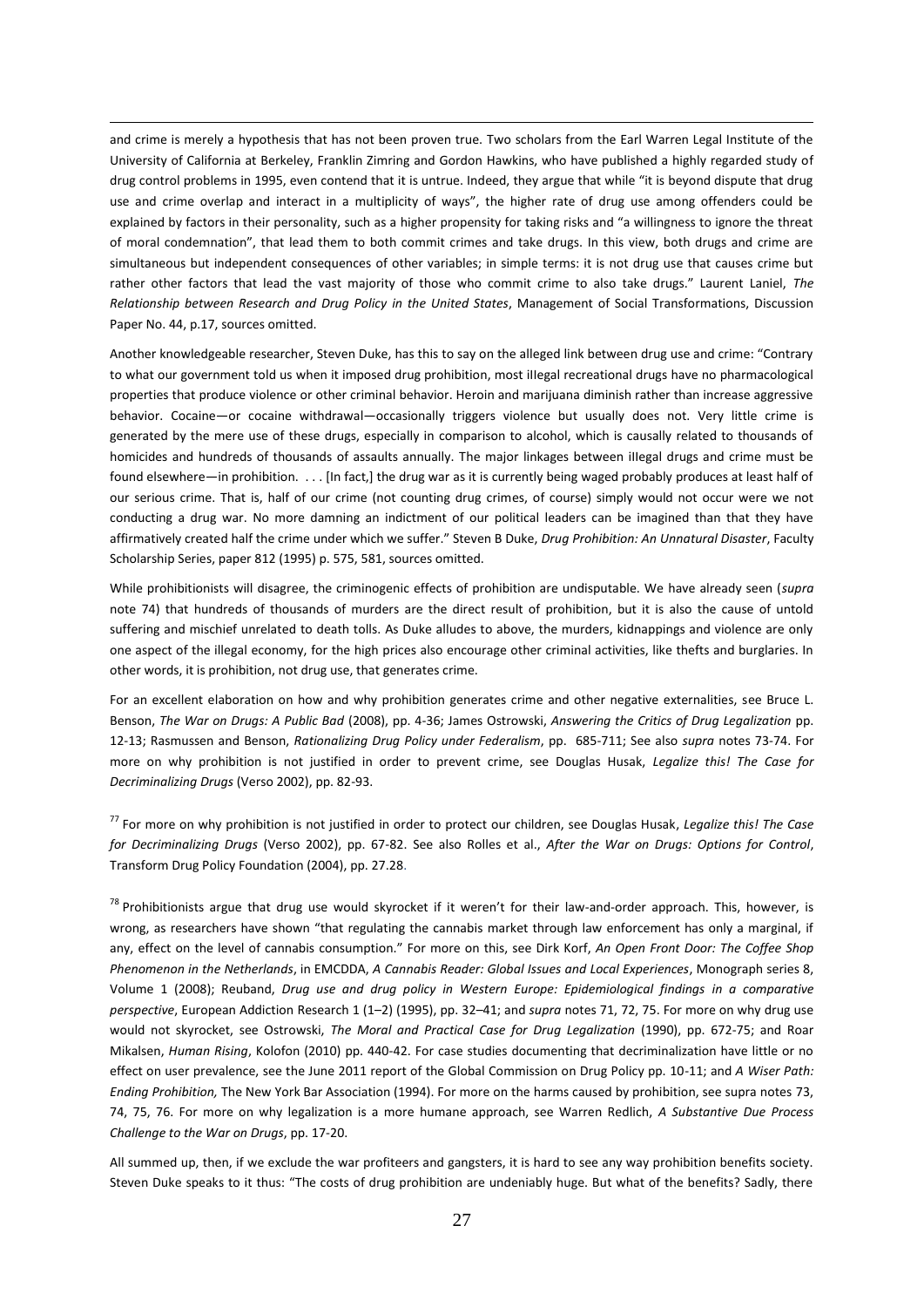and crime is merely a hypothesis that has not been proven true. Two scholars from the Earl Warren Legal Institute of the University of California at Berkeley, Franklin Zimring and Gordon Hawkins, who have published a highly regarded study of drug control problems in 1995, even contend that it is untrue. Indeed, they argue that while "it is beyond dispute that drug use and crime overlap and interact in a multiplicity of ways", the higher rate of drug use among offenders could be explained by factors in their personality, such as a higher propensity for taking risks and "a willingness to ignore the threat of moral condemnation", that lead them to both commit crimes and take drugs. In this view, both drugs and crime are simultaneous but independent consequences of other variables; in simple terms: it is not drug use that causes crime but rather other factors that lead the vast majority of those who commit crime to also take drugs." Laurent Laniel, *The Relationship between Research and Drug Policy in the United States*, Management of Social Transformations, Discussion Paper No. 44, p.17, sources omitted.

 $\overline{a}$ 

Another knowledgeable researcher, Steven Duke, has this to say on the alleged link between drug use and crime: "Contrary to what our government told us when it imposed drug prohibition, most iIIegal recreational drugs have no pharmacological properties that produce violence or other criminal behavior. Heroin and marijuana diminish rather than increase aggressive behavior. Cocaine—or cocaine withdrawal—occasionally triggers violence but usually does not. Very little crime is generated by the mere use of these drugs, especially in comparison to alcohol, which is causally related to thousands of homicides and hundreds of thousands of assaults annually. The major linkages between iIIegal drugs and crime must be found elsewhere—in prohibition. . . . [In fact,] the drug war as it is currently being waged probably produces at least half of our serious crime. That is, half of our crime (not counting drug crimes, of course) simply would not occur were we not conducting a drug war. No more damning an indictment of our political leaders can be imagined than that they have affirmatively created half the crime under which we suffer." Steven B Duke, *Drug Prohibition: An Unnatural Disaster*, Faculty Scholarship Series, paper 812 (1995) p. 575, 581, sources omitted.

While prohibitionists will disagree, the criminogenic effects of prohibition are undisputable. We have already seen (*supra* note 74) that hundreds of thousands of murders are the direct result of prohibition, but it is also the cause of untold suffering and mischief unrelated to death tolls. As Duke alludes to above, the murders, kidnappings and violence are only one aspect of the illegal economy, for the high prices also encourage other criminal activities, like thefts and burglaries. In other words, it is prohibition, not drug use, that generates crime.

For an excellent elaboration on how and why prohibition generates crime and other negative externalities, see Bruce L. Benson, *The War on Drugs: A Public Bad* (2008), pp. 4-36; James Ostrowski, *Answering the Critics of Drug Legalization* pp. 12-13; Rasmussen and Benson, *Rationalizing Drug Policy under Federalism*, pp. 685-711; See also *supra* notes 73-74. For more on why prohibition is not justified in order to prevent crime, see Douglas Husak, *Legalize this! The Case for Decriminalizing Drugs* (Verso 2002), pp. 82-93.

<sup>77</sup> For more on why prohibition is not justified in order to protect our children, see Douglas Husak, *Legalize this! The Case for Decriminalizing Drugs* (Verso 2002), pp. 67-82. See also Rolles et al., *After the War on Drugs: Options for Control*, Transform Drug Policy Foundation (2004), pp. 27.28.

<sup>78</sup> Prohibitionists argue that drug use would skyrocket if it weren't for their law-and-order approach. This, however, is wrong, as researchers have shown "that regulating the cannabis market through law enforcement has only a marginal, if any, effect on the level of cannabis consumption." For more on this, see Dirk Korf, *An Open Front Door: The Coffee Shop Phenomenon in the Netherlands*, in EMCDDA, *A Cannabis Reader: Global Issues and Local Experiences*, Monograph series 8, Volume 1 (2008); Reuband, *Drug use and drug policy in Western Europe: Epidemiological findings in a comparative perspective*, European Addiction Research 1 (1–2) (1995), pp. 32–41; and *supra* notes 71, 72, 75. For more on why drug use would not skyrocket, see Ostrowski, *The Moral and Practical Case for Drug Legalization* (1990), pp. 672-75; and Roar Mikalsen, *Human Rising*, Kolofon (2010) pp. 440-42. For case studies documenting that decriminalization have little or no effect on user prevalence, see the June 2011 report of the Global Commission on Drug Policy pp. 10-11; and *A Wiser Path: Ending Prohibition,* The New York Bar Association (1994). For more on the harms caused by prohibition, see supra notes 73, 74, 75, 76. For more on why legalization is a more humane approach, see Warren Redlich, *A Substantive Due Process Challenge to the War on Drugs*, pp. 17-20.

All summed up, then, if we exclude the war profiteers and gangsters, it is hard to see any way prohibition benefits society. Steven Duke speaks to it thus: "The costs of drug prohibition are undeniably huge. But what of the benefits? Sadly, there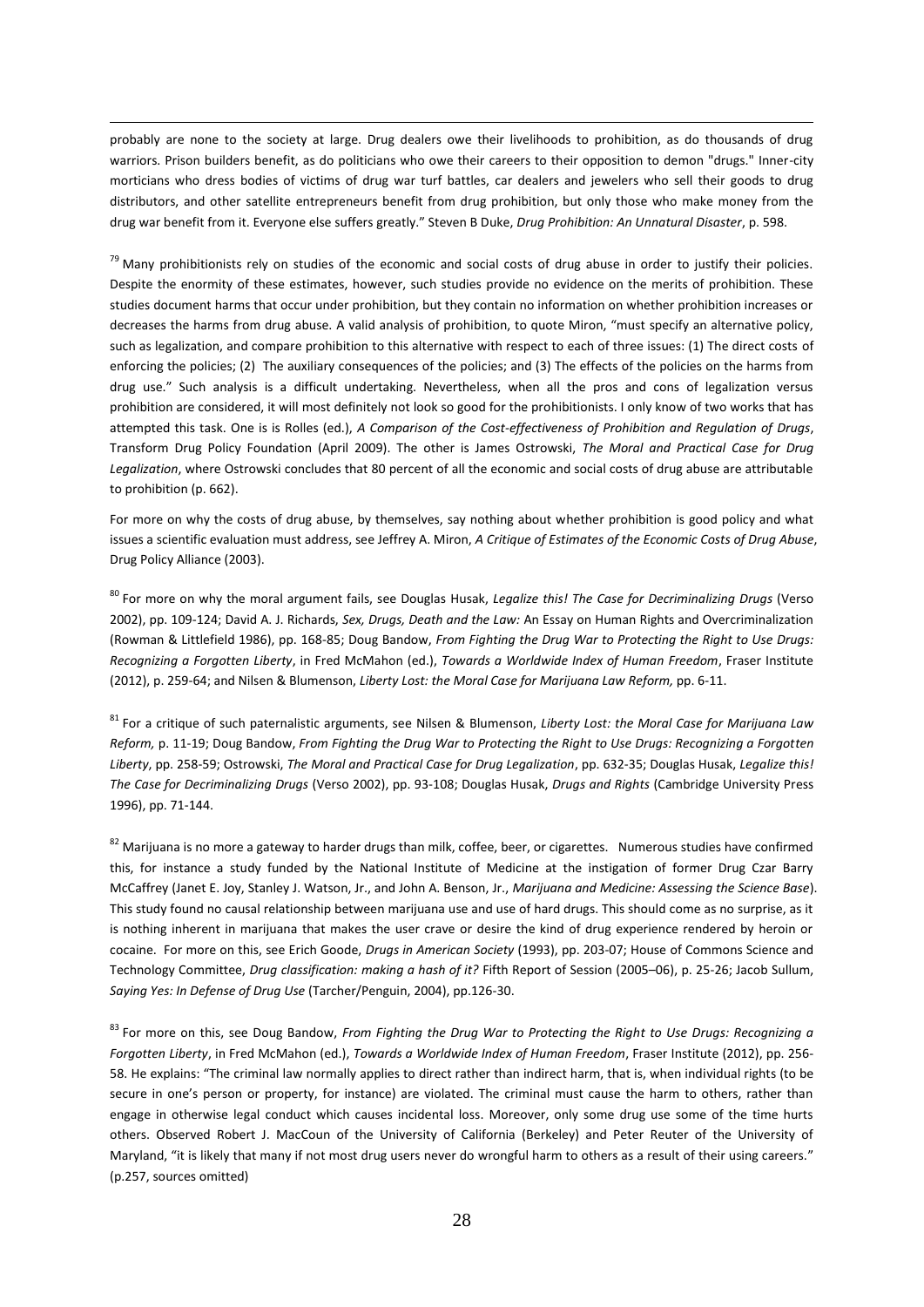probably are none to the society at large. Drug dealers owe their livelihoods to prohibition, as do thousands of drug warriors. Prison builders benefit, as do politicians who owe their careers to their opposition to demon "drugs." Inner-city morticians who dress bodies of victims of drug war turf battles, car dealers and jewelers who sell their goods to drug distributors, and other satellite entrepreneurs benefit from drug prohibition, but only those who make money from the drug war benefit from it. Everyone else suffers greatly." Steven B Duke, *Drug Prohibition: An Unnatural Disaster*, p. 598.

 $\overline{a}$ 

<sup>79</sup> Many prohibitionists rely on studies of the economic and social costs of drug abuse in order to justify their policies. Despite the enormity of these estimates, however, such studies provide no evidence on the merits of prohibition. These studies document harms that occur under prohibition, but they contain no information on whether prohibition increases or decreases the harms from drug abuse. A valid analysis of prohibition, to quote Miron, "must specify an alternative policy, such as legalization, and compare prohibition to this alternative with respect to each of three issues: (1) The direct costs of enforcing the policies; (2) The auxiliary consequences of the policies; and (3) The effects of the policies on the harms from drug use." Such analysis is a difficult undertaking. Nevertheless, when all the pros and cons of legalization versus prohibition are considered, it will most definitely not look so good for the prohibitionists. I only know of two works that has attempted this task. One is is Rolles (ed.), *A Comparison of the Cost-effectiveness of Prohibition and Regulation of Drugs*, Transform Drug Policy Foundation (April 2009). The other is James Ostrowski, *The Moral and Practical Case for Drug Legalization*, where Ostrowski concludes that 80 percent of all the economic and social costs of drug abuse are attributable to prohibition (p. 662).

For more on why the costs of drug abuse, by themselves, say nothing about whether prohibition is good policy and what issues a scientific evaluation must address, see Jeffrey A. Miron, *A Critique of Estimates of the Economic Costs of Drug Abuse*, Drug Policy Alliance (2003).

<sup>80</sup> For more on why the moral argument fails, see Douglas Husak, *Legalize this! The Case for Decriminalizing Drugs* (Verso 2002), pp. 109-124; David A. J. Richards, *Sex, Drugs, Death and the Law:* An Essay on Human Rights and Overcriminalization (Rowman & Littlefield 1986), pp. 168-85; Doug Bandow, *From Fighting the Drug War to Protecting the Right to Use Drugs: Recognizing a Forgotten Liberty*, in Fred McMahon (ed.), *Towards a Worldwide Index of Human Freedom*, Fraser Institute (2012), p. 259-64; and Nilsen & Blumenson, *Liberty Lost: the Moral Case for Marijuana Law Reform,* pp. 6-11.

<sup>81</sup> For a critique of such paternalistic arguments, see Nilsen & Blumenson, *Liberty Lost: the Moral Case for Marijuana Law Reform,* p. 11-19; Doug Bandow, *From Fighting the Drug War to Protecting the Right to Use Drugs: Recognizing a Forgotten Liberty*, pp. 258-59; Ostrowski, *The Moral and Practical Case for Drug Legalization*, pp. 632-35; Douglas Husak, *Legalize this! The Case for Decriminalizing Drugs* (Verso 2002), pp. 93-108; Douglas Husak, *Drugs and Rights* (Cambridge University Press 1996), pp. 71-144.

82 Marijuana is no more a gateway to harder drugs than milk, coffee, beer, or cigarettes. Numerous studies have confirmed this, for instance a study funded by the National Institute of Medicine at the instigation of former Drug Czar Barry McCaffrey (Janet E. Joy, Stanley J. Watson, Jr., and John A. Benson, Jr., *Marijuana and Medicine: Assessing the Science Base*). This study found no causal relationship between marijuana use and use of hard drugs. This should come as no surprise, as it is nothing inherent in marijuana that makes the user crave or desire the kind of drug experience rendered by heroin or cocaine. For more on this, see Erich Goode, *Drugs in American Society* (1993), pp. 203-07; House of Commons Science and Technology Committee, *Drug classification: making a hash of it?* Fifth Report of Session (2005–06), p. 25-26; Jacob Sullum, *Saying Yes: In Defense of Drug Use* (Tarcher/Penguin, 2004), pp.126-30.

<sup>83</sup> For more on this, see Doug Bandow, *From Fighting the Drug War to Protecting the Right to Use Drugs: Recognizing a Forgotten Liberty*, in Fred McMahon (ed.), *Towards a Worldwide Index of Human Freedom*, Fraser Institute (2012), pp. 256- 58. He explains: "The criminal law normally applies to direct rather than indirect harm, that is, when individual rights (to be secure in one's person or property, for instance) are violated. The criminal must cause the harm to others, rather than engage in otherwise legal conduct which causes incidental loss. Moreover, only some drug use some of the time hurts others. Observed Robert J. MacCoun of the University of California (Berkeley) and Peter Reuter of the University of Maryland, "it is likely that many if not most drug users never do wrongful harm to others as a result of their using careers." (p.257, sources omitted)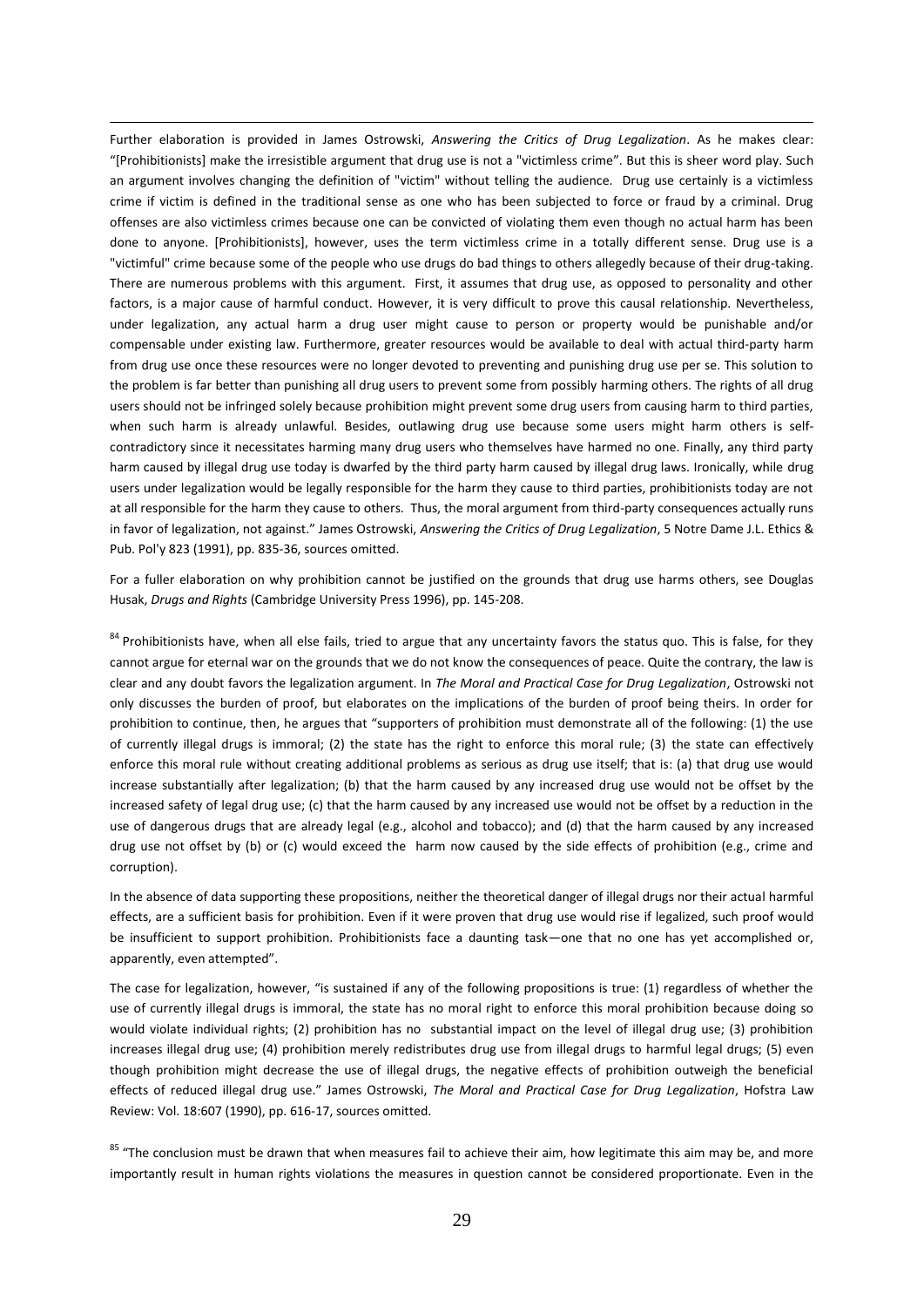Further elaboration is provided in James Ostrowski, *Answering the Critics of Drug Legalization*. As he makes clear: "[Prohibitionists] make the irresistible argument that drug use is not a "victimless crime". But this is sheer word play. Such an argument involves changing the definition of "victim" without telling the audience. Drug use certainly is a victimless crime if victim is defined in the traditional sense as one who has been subjected to force or fraud by a criminal. Drug offenses are also victimless crimes because one can be convicted of violating them even though no actual harm has been done to anyone. [Prohibitionists], however, uses the term victimless crime in a totally different sense. Drug use is a "victimful" crime because some of the people who use drugs do bad things to others allegedly because of their drug-taking. There are numerous problems with this argument. First, it assumes that drug use, as opposed to personality and other factors, is a major cause of harmful conduct. However, it is very difficult to prove this causal relationship. Nevertheless, under legalization, any actual harm a drug user might cause to person or property would be punishable and/or compensable under existing law. Furthermore, greater resources would be available to deal with actual third-party harm from drug use once these resources were no longer devoted to preventing and punishing drug use per se. This solution to the problem is far better than punishing all drug users to prevent some from possibly harming others. The rights of all drug users should not be infringed solely because prohibition might prevent some drug users from causing harm to third parties, when such harm is already unlawful. Besides, outlawing drug use because some users might harm others is selfcontradictory since it necessitates harming many drug users who themselves have harmed no one. Finally, any third party harm caused by illegal drug use today is dwarfed by the third party harm caused by illegal drug laws. Ironically, while drug users under legalization would be legally responsible for the harm they cause to third parties, prohibitionists today are not at all responsible for the harm they cause to others. Thus, the moral argument from third-party consequences actually runs in favor of legalization, not against." James Ostrowski, *Answering the Critics of Drug Legalization*, 5 Notre Dame J.L. Ethics & Pub. Pol'y 823 (1991), pp. 835-36, sources omitted.

 $\overline{a}$ 

For a fuller elaboration on why prohibition cannot be justified on the grounds that drug use harms others, see Douglas Husak, *Drugs and Rights* (Cambridge University Press 1996), pp. 145-208.

<sup>84</sup> Prohibitionists have, when all else fails, tried to argue that any uncertainty favors the status quo. This is false, for they cannot argue for eternal war on the grounds that we do not know the consequences of peace. Quite the contrary, the law is clear and any doubt favors the legalization argument. In *The Moral and Practical Case for Drug Legalization*, Ostrowski not only discusses the burden of proof, but elaborates on the implications of the burden of proof being theirs. In order for prohibition to continue, then, he argues that "supporters of prohibition must demonstrate all of the following: (1) the use of currently illegal drugs is immoral; (2) the state has the right to enforce this moral rule; (3) the state can effectively enforce this moral rule without creating additional problems as serious as drug use itself; that is: (a) that drug use would increase substantially after legalization; (b) that the harm caused by any increased drug use would not be offset by the increased safety of legal drug use; (c) that the harm caused by any increased use would not be offset by a reduction in the use of dangerous drugs that are already legal (e.g., alcohol and tobacco); and (d) that the harm caused by any increased drug use not offset by (b) or (c) would exceed the harm now caused by the side effects of prohibition (e.g., crime and corruption).

In the absence of data supporting these propositions, neither the theoretical danger of illegal drugs nor their actual harmful effects, are a sufficient basis for prohibition. Even if it were proven that drug use would rise if legalized, such proof would be insufficient to support prohibition. Prohibitionists face a daunting task—one that no one has yet accomplished or, apparently, even attempted".

The case for legalization, however, "is sustained if any of the following propositions is true: (1) regardless of whether the use of currently illegal drugs is immoral, the state has no moral right to enforce this moral prohibition because doing so would violate individual rights; (2) prohibition has no substantial impact on the level of illegal drug use; (3) prohibition increases illegal drug use; (4) prohibition merely redistributes drug use from illegal drugs to harmful legal drugs; (5) even though prohibition might decrease the use of illegal drugs, the negative effects of prohibition outweigh the beneficial effects of reduced illegal drug use." James Ostrowski, *The Moral and Practical Case for Drug Legalization*, Hofstra Law Review: Vol. 18:607 (1990), pp. 616-17, sources omitted.

<sup>85</sup> "The conclusion must be drawn that when measures fail to achieve their aim, how legitimate this aim may be, and more importantly result in human rights violations the measures in question cannot be considered proportionate. Even in the